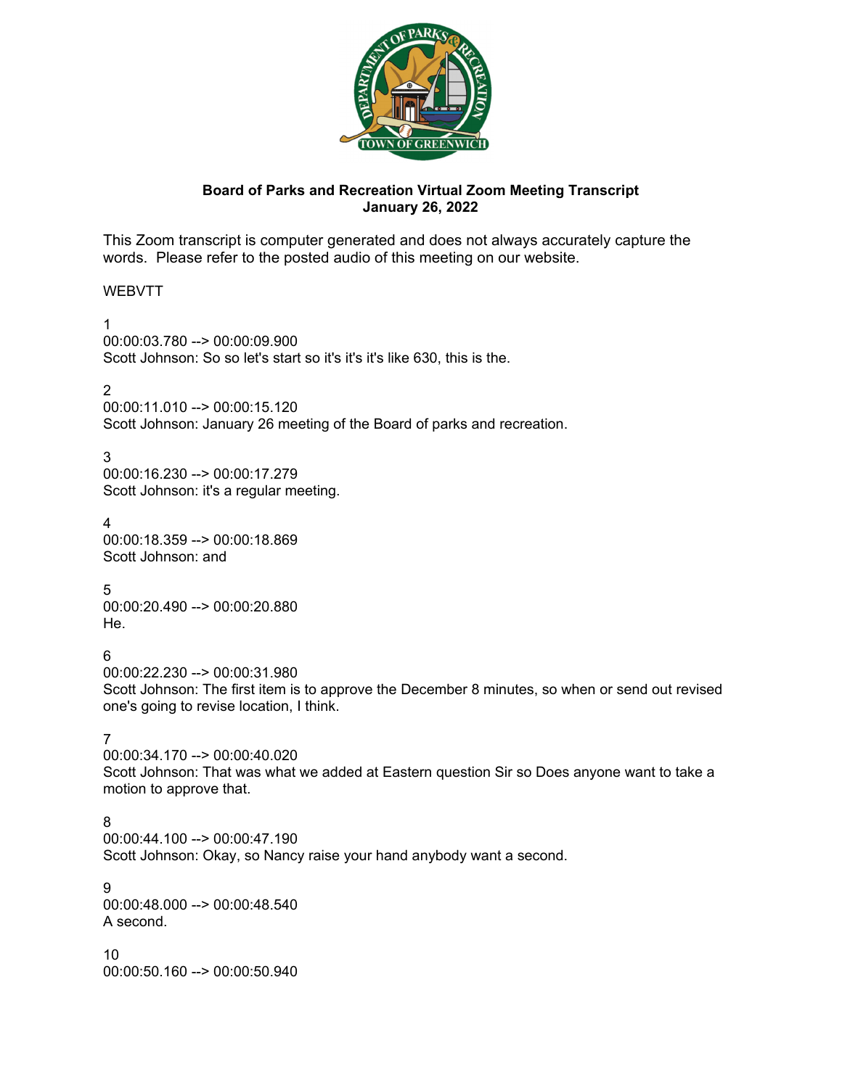

# **Board of Parks and Recreation Virtual Zoom Meeting Transcript January 26, 2022**

This Zoom transcript is computer generated and does not always accurately capture the words. Please refer to the posted audio of this meeting on our website.

# WEBVTT

1 00:00:03.780 --> 00:00:09.900 Scott Johnson: So so let's start so it's it's it's like 630, this is the.

 $\mathcal{P}$ 

00:00:11.010 --> 00:00:15.120

Scott Johnson: January 26 meeting of the Board of parks and recreation.

3

00:00:16.230 --> 00:00:17.279 Scott Johnson: it's a regular meeting.

4 00:00:18.359 --> 00:00:18.869 Scott Johnson: and

5 00:00:20.490 --> 00:00:20.880 He.

6

00:00:22.230 --> 00:00:31.980

Scott Johnson: The first item is to approve the December 8 minutes, so when or send out revised one's going to revise location, I think.

7

00:00:34.170 --> 00:00:40.020 Scott Johnson: That was what we added at Eastern question Sir so Does anyone want to take a motion to approve that.

8

00:00:44.100 --> 00:00:47.190

Scott Johnson: Okay, so Nancy raise your hand anybody want a second.

9 00:00:48.000 --> 00:00:48.540 A second.

10 00:00:50.160 --> 00:00:50.940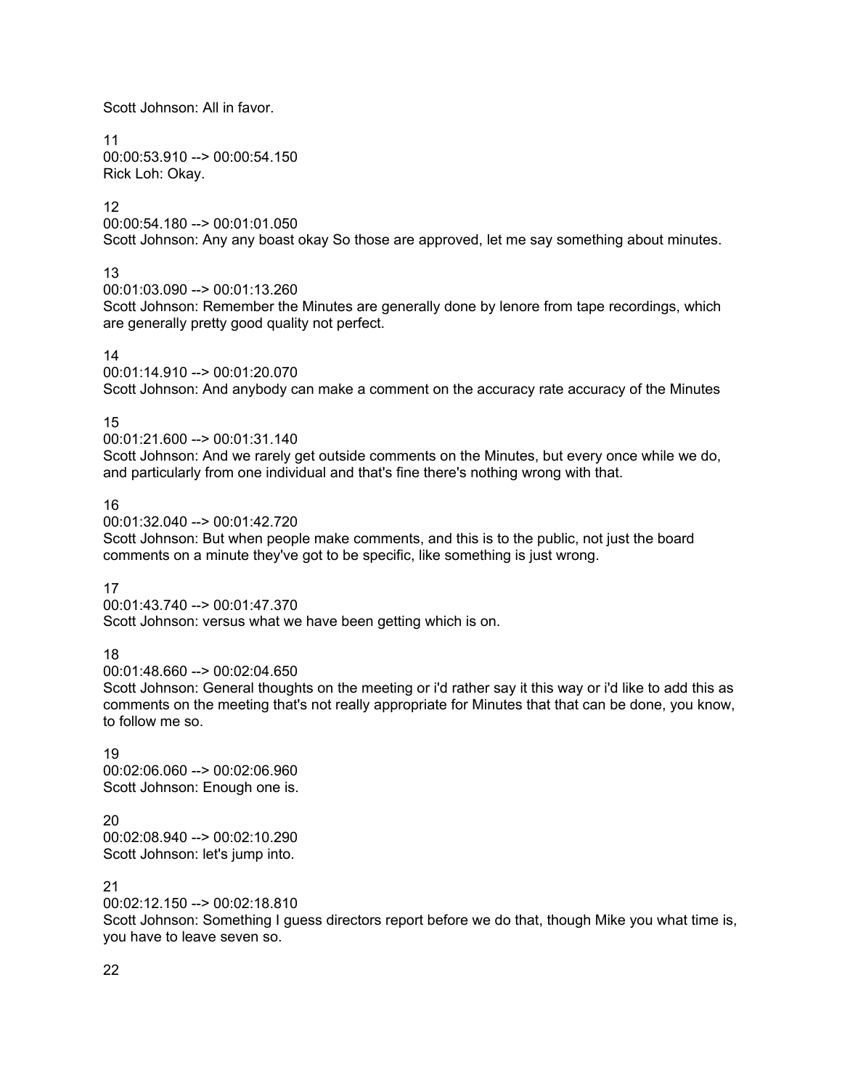Scott Johnson: All in favor.

11 00:00:53.910 --> 00:00:54.150 Rick Loh: Okay.

# 12

00:00:54.180 --> 00:01:01.050

Scott Johnson: Any any boast okay So those are approved, let me say something about minutes.

# 13

00:01:03.090 --> 00:01:13.260

Scott Johnson: Remember the Minutes are generally done by lenore from tape recordings, which are generally pretty good quality not perfect.

# 14

00:01:14.910 --> 00:01:20.070

Scott Johnson: And anybody can make a comment on the accuracy rate accuracy of the Minutes

# 15

00:01:21.600 --> 00:01:31.140

Scott Johnson: And we rarely get outside comments on the Minutes, but every once while we do, and particularly from one individual and that's fine there's nothing wrong with that.

# 16

00:01:32.040 --> 00:01:42.720

Scott Johnson: But when people make comments, and this is to the public, not just the board comments on a minute they've got to be specific, like something is just wrong.

## 17

00:01:43.740 --> 00:01:47.370 Scott Johnson: versus what we have been getting which is on.

# 18

00:01:48.660 --> 00:02:04.650

Scott Johnson: General thoughts on the meeting or i'd rather say it this way or i'd like to add this as comments on the meeting that's not really appropriate for Minutes that that can be done, you know, to follow me so.

19 00:02:06.060 --> 00:02:06.960 Scott Johnson: Enough one is.

20 00:02:08.940 --> 00:02:10.290 Scott Johnson: let's jump into.

# 21

00:02:12.150 --> 00:02:18.810

Scott Johnson: Something I guess directors report before we do that, though Mike you what time is, you have to leave seven so.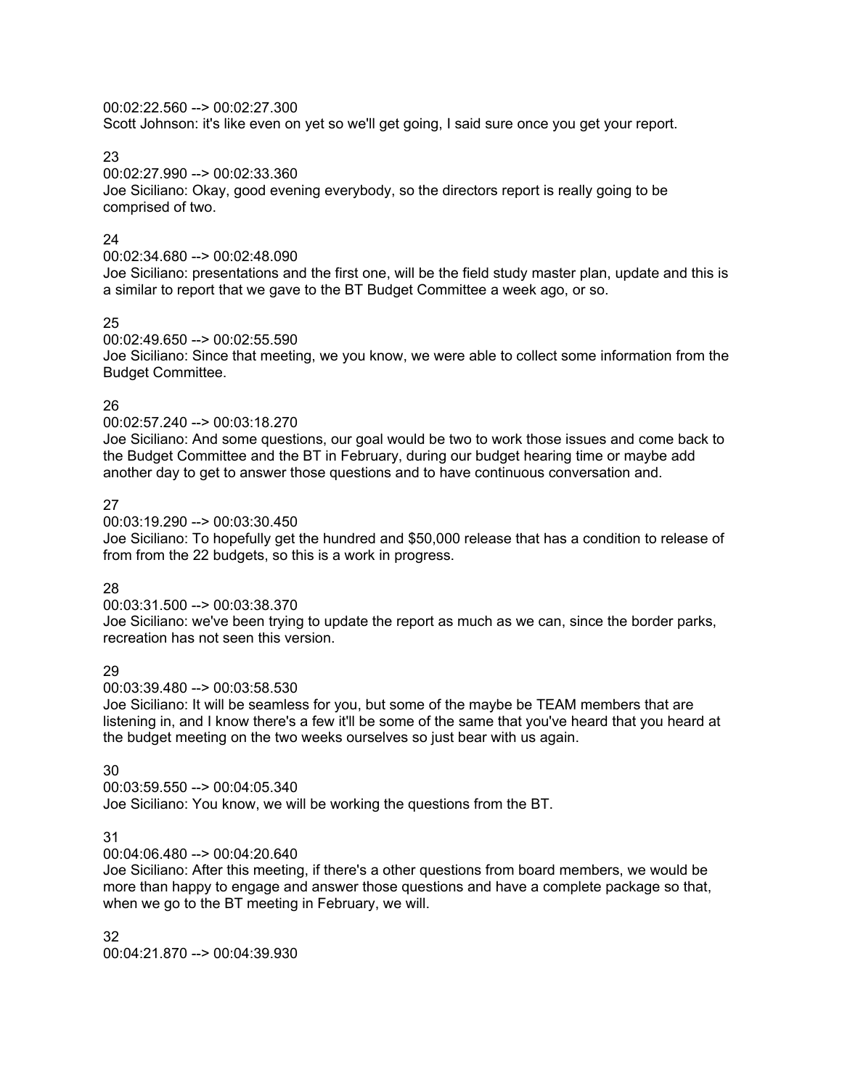00:02:22.560 --> 00:02:27.300

Scott Johnson: it's like even on yet so we'll get going, I said sure once you get your report.

23

00:02:27.990 --> 00:02:33.360

Joe Siciliano: Okay, good evening everybody, so the directors report is really going to be comprised of two.

## 24

00:02:34.680 --> 00:02:48.090

Joe Siciliano: presentations and the first one, will be the field study master plan, update and this is a similar to report that we gave to the BT Budget Committee a week ago, or so.

## 25

00:02:49.650 --> 00:02:55.590

Joe Siciliano: Since that meeting, we you know, we were able to collect some information from the Budget Committee.

## 26

00:02:57.240 --> 00:03:18.270

Joe Siciliano: And some questions, our goal would be two to work those issues and come back to the Budget Committee and the BT in February, during our budget hearing time or maybe add another day to get to answer those questions and to have continuous conversation and.

## 27

00:03:19.290 --> 00:03:30.450

Joe Siciliano: To hopefully get the hundred and \$50,000 release that has a condition to release of from from the 22 budgets, so this is a work in progress.

## 28

00:03:31.500 --> 00:03:38.370

Joe Siciliano: we've been trying to update the report as much as we can, since the border parks, recreation has not seen this version.

## 29

00:03:39.480 --> 00:03:58.530

Joe Siciliano: It will be seamless for you, but some of the maybe be TEAM members that are listening in, and I know there's a few it'll be some of the same that you've heard that you heard at the budget meeting on the two weeks ourselves so just bear with us again.

## 30

00:03:59.550 --> 00:04:05.340 Joe Siciliano: You know, we will be working the questions from the BT.

## 31

00:04:06.480 --> 00:04:20.640

Joe Siciliano: After this meeting, if there's a other questions from board members, we would be more than happy to engage and answer those questions and have a complete package so that, when we go to the BT meeting in February, we will.

32 00:04:21.870 --> 00:04:39.930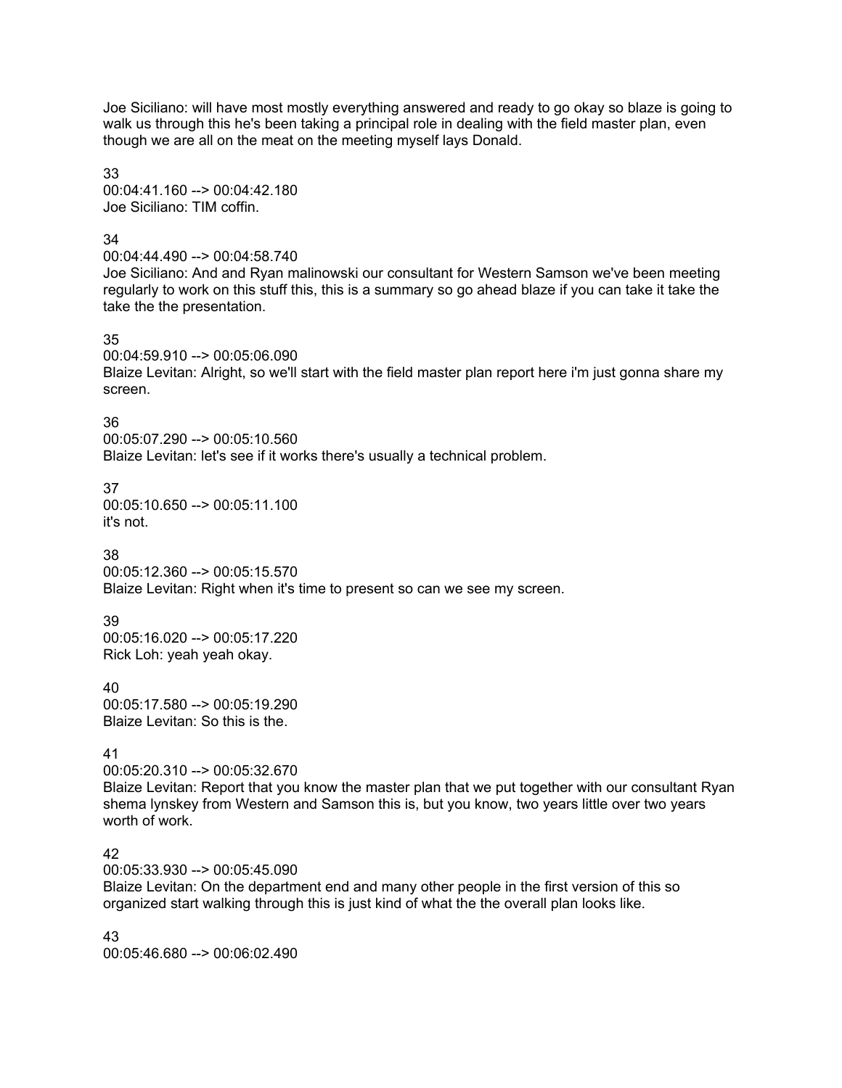Joe Siciliano: will have most mostly everything answered and ready to go okay so blaze is going to walk us through this he's been taking a principal role in dealing with the field master plan, even though we are all on the meat on the meeting myself lays Donald.

33 00:04:41.160 --> 00:04:42.180 Joe Siciliano: TIM coffin.

## 34

00:04:44.490 --> 00:04:58.740 Joe Siciliano: And and Ryan malinowski our consultant for Western Samson we've been meeting regularly to work on this stuff this, this is a summary so go ahead blaze if you can take it take the take the the presentation.

35

00:04:59.910 --> 00:05:06.090 Blaize Levitan: Alright, so we'll start with the field master plan report here i'm just gonna share my screen.

## 36

00:05:07.290 --> 00:05:10.560 Blaize Levitan: let's see if it works there's usually a technical problem.

37 00:05:10.650 --> 00:05:11.100 it's not.

38

00:05:12.360 --> 00:05:15.570 Blaize Levitan: Right when it's time to present so can we see my screen.

## 39

00:05:16.020 --> 00:05:17.220 Rick Loh: yeah yeah okay.

40 00:05:17.580 --> 00:05:19.290 Blaize Levitan: So this is the.

## 41

00:05:20.310 --> 00:05:32.670

Blaize Levitan: Report that you know the master plan that we put together with our consultant Ryan shema lynskey from Western and Samson this is, but you know, two years little over two years worth of work.

# 42

00:05:33.930 --> 00:05:45.090

Blaize Levitan: On the department end and many other people in the first version of this so organized start walking through this is just kind of what the the overall plan looks like.

43 00:05:46.680 --> 00:06:02.490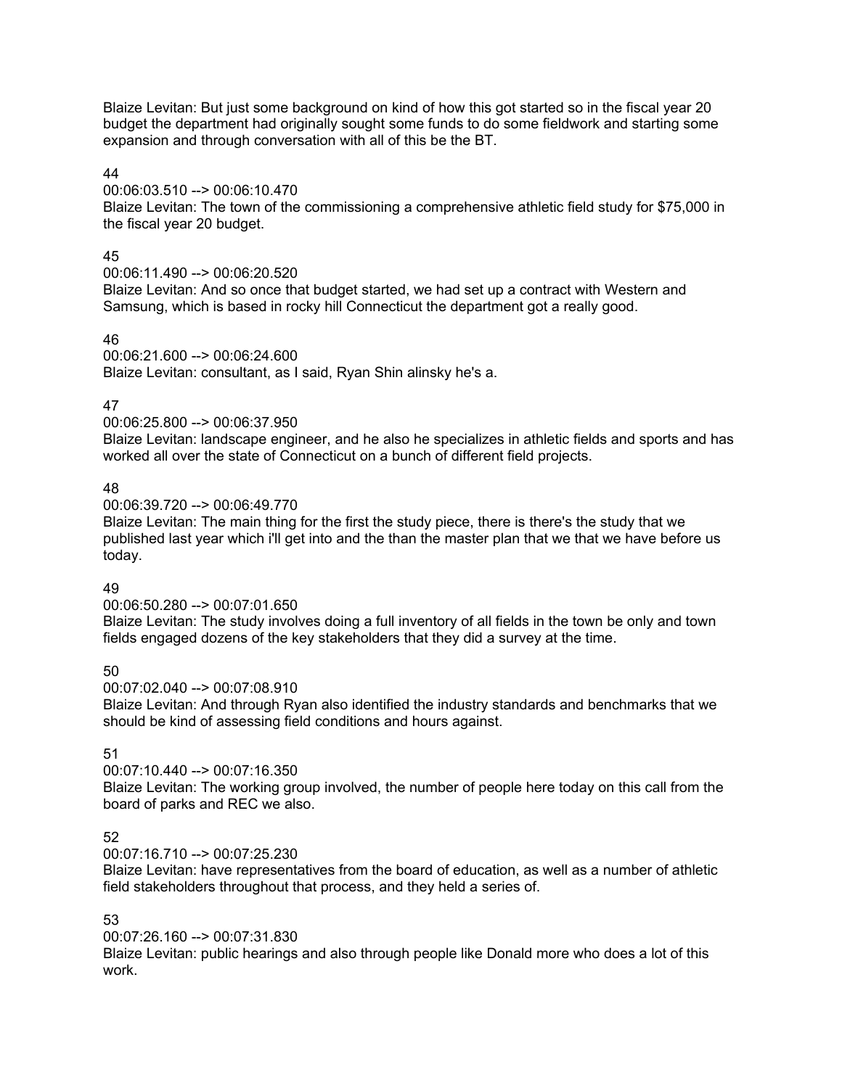Blaize Levitan: But just some background on kind of how this got started so in the fiscal year 20 budget the department had originally sought some funds to do some fieldwork and starting some expansion and through conversation with all of this be the BT.

## 44

## 00:06:03.510 --> 00:06:10.470

Blaize Levitan: The town of the commissioning a comprehensive athletic field study for \$75,000 in the fiscal year 20 budget.

## 45

00:06:11.490 --> 00:06:20.520

Blaize Levitan: And so once that budget started, we had set up a contract with Western and Samsung, which is based in rocky hill Connecticut the department got a really good.

# 46

00:06:21.600 --> 00:06:24.600 Blaize Levitan: consultant, as I said, Ryan Shin alinsky he's a.

# 47

## 00:06:25.800 --> 00:06:37.950

Blaize Levitan: landscape engineer, and he also he specializes in athletic fields and sports and has worked all over the state of Connecticut on a bunch of different field projects.

# 48

00:06:39.720 --> 00:06:49.770

Blaize Levitan: The main thing for the first the study piece, there is there's the study that we published last year which i'll get into and the than the master plan that we that we have before us today.

# 49

00:06:50.280 --> 00:07:01.650

Blaize Levitan: The study involves doing a full inventory of all fields in the town be only and town fields engaged dozens of the key stakeholders that they did a survey at the time.

50

00:07:02.040 --> 00:07:08.910

Blaize Levitan: And through Ryan also identified the industry standards and benchmarks that we should be kind of assessing field conditions and hours against.

# 51

# 00:07:10.440 --> 00:07:16.350

Blaize Levitan: The working group involved, the number of people here today on this call from the board of parks and REC we also.

# 52

## 00:07:16.710 --> 00:07:25.230

Blaize Levitan: have representatives from the board of education, as well as a number of athletic field stakeholders throughout that process, and they held a series of.

## 53

00:07:26.160 --> 00:07:31.830

Blaize Levitan: public hearings and also through people like Donald more who does a lot of this work.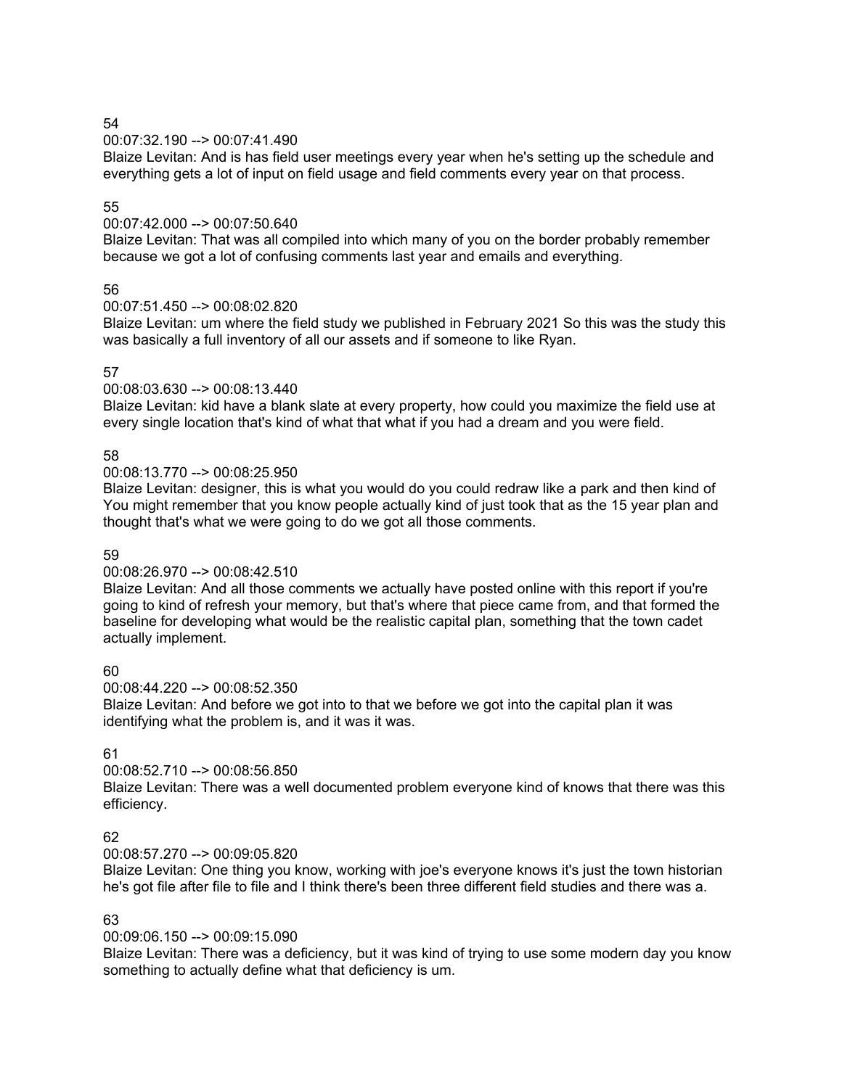00:07:32.190 --> 00:07:41.490

Blaize Levitan: And is has field user meetings every year when he's setting up the schedule and everything gets a lot of input on field usage and field comments every year on that process.

## 55

## 00:07:42.000 --> 00:07:50.640

Blaize Levitan: That was all compiled into which many of you on the border probably remember because we got a lot of confusing comments last year and emails and everything.

# 56

# 00:07:51.450 --> 00:08:02.820

Blaize Levitan: um where the field study we published in February 2021 So this was the study this was basically a full inventory of all our assets and if someone to like Ryan.

## 57

## 00:08:03.630 --> 00:08:13.440

Blaize Levitan: kid have a blank slate at every property, how could you maximize the field use at every single location that's kind of what that what if you had a dream and you were field.

## 58

## 00:08:13.770 --> 00:08:25.950

Blaize Levitan: designer, this is what you would do you could redraw like a park and then kind of You might remember that you know people actually kind of just took that as the 15 year plan and thought that's what we were going to do we got all those comments.

## 59

## 00:08:26.970 --> 00:08:42.510

Blaize Levitan: And all those comments we actually have posted online with this report if you're going to kind of refresh your memory, but that's where that piece came from, and that formed the baseline for developing what would be the realistic capital plan, something that the town cadet actually implement.

60

## 00:08:44.220 --> 00:08:52.350

Blaize Levitan: And before we got into to that we before we got into the capital plan it was identifying what the problem is, and it was it was.

## 61

# 00:08:52.710 --> 00:08:56.850

Blaize Levitan: There was a well documented problem everyone kind of knows that there was this efficiency.

## 62

## 00:08:57.270 --> 00:09:05.820

Blaize Levitan: One thing you know, working with joe's everyone knows it's just the town historian he's got file after file to file and I think there's been three different field studies and there was a.

## 63

## 00:09:06.150 --> 00:09:15.090

Blaize Levitan: There was a deficiency, but it was kind of trying to use some modern day you know something to actually define what that deficiency is um.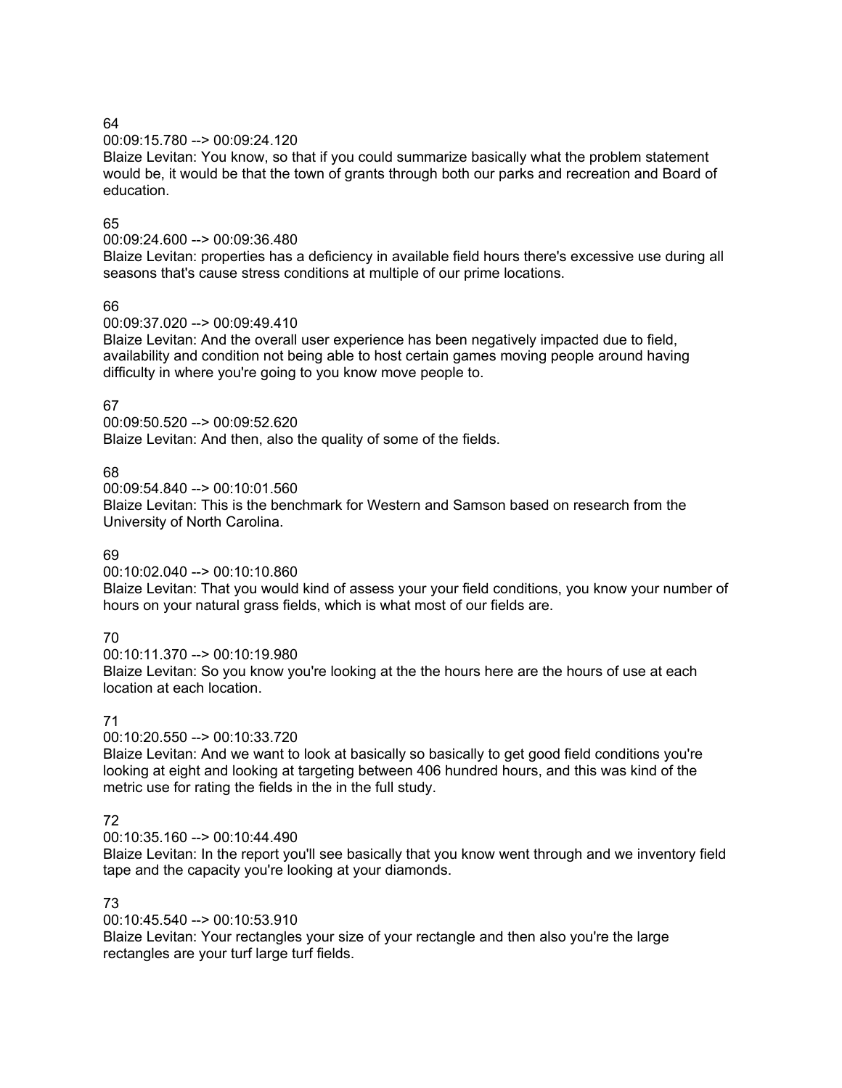## 00:09:15.780 --> 00:09:24.120

Blaize Levitan: You know, so that if you could summarize basically what the problem statement would be, it would be that the town of grants through both our parks and recreation and Board of education.

## 65

## 00:09:24.600 --> 00:09:36.480

Blaize Levitan: properties has a deficiency in available field hours there's excessive use during all seasons that's cause stress conditions at multiple of our prime locations.

# 66

00:09:37.020 --> 00:09:49.410

Blaize Levitan: And the overall user experience has been negatively impacted due to field, availability and condition not being able to host certain games moving people around having difficulty in where you're going to you know move people to.

# 67

00:09:50.520 --> 00:09:52.620 Blaize Levitan: And then, also the quality of some of the fields.

# 68

00:09:54.840 --> 00:10:01.560

Blaize Levitan: This is the benchmark for Western and Samson based on research from the University of North Carolina.

## 69

00:10:02.040 --> 00:10:10.860

Blaize Levitan: That you would kind of assess your your field conditions, you know your number of hours on your natural grass fields, which is what most of our fields are.

# 70

00:10:11.370 --> 00:10:19.980

Blaize Levitan: So you know you're looking at the the hours here are the hours of use at each location at each location.

# 71

00:10:20.550 --> 00:10:33.720

Blaize Levitan: And we want to look at basically so basically to get good field conditions you're looking at eight and looking at targeting between 406 hundred hours, and this was kind of the metric use for rating the fields in the in the full study.

# 72

00:10:35.160 --> 00:10:44.490

Blaize Levitan: In the report you'll see basically that you know went through and we inventory field tape and the capacity you're looking at your diamonds.

## 73

00:10:45.540 --> 00:10:53.910

Blaize Levitan: Your rectangles your size of your rectangle and then also you're the large rectangles are your turf large turf fields.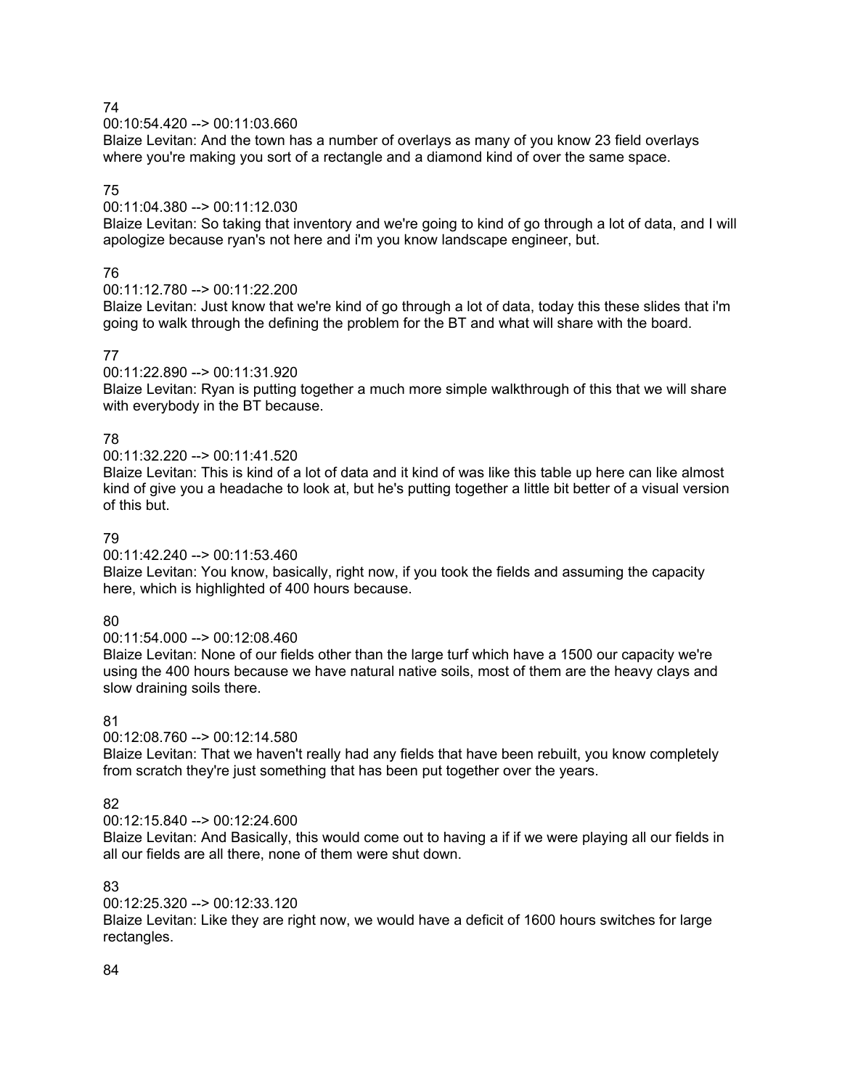00:10:54.420 --> 00:11:03.660

Blaize Levitan: And the town has a number of overlays as many of you know 23 field overlays where you're making you sort of a rectangle and a diamond kind of over the same space.

# 75

## 00:11:04.380 --> 00:11:12.030

Blaize Levitan: So taking that inventory and we're going to kind of go through a lot of data, and I will apologize because ryan's not here and i'm you know landscape engineer, but.

## 76

## 00:11:12.780 --> 00:11:22.200

Blaize Levitan: Just know that we're kind of go through a lot of data, today this these slides that i'm going to walk through the defining the problem for the BT and what will share with the board.

## 77

## 00:11:22.890 --> 00:11:31.920

Blaize Levitan: Ryan is putting together a much more simple walkthrough of this that we will share with everybody in the BT because.

## 78

## 00:11:32.220 --> 00:11:41.520

Blaize Levitan: This is kind of a lot of data and it kind of was like this table up here can like almost kind of give you a headache to look at, but he's putting together a little bit better of a visual version of this but.

## 79

## 00:11:42.240 --> 00:11:53.460

Blaize Levitan: You know, basically, right now, if you took the fields and assuming the capacity here, which is highlighted of 400 hours because.

## 80

## 00:11:54.000 --> 00:12:08.460

Blaize Levitan: None of our fields other than the large turf which have a 1500 our capacity we're using the 400 hours because we have natural native soils, most of them are the heavy clays and slow draining soils there.

## 81

## 00:12:08.760 --> 00:12:14.580

Blaize Levitan: That we haven't really had any fields that have been rebuilt, you know completely from scratch they're just something that has been put together over the years.

## 82

#### $00:12:15.840 -\geq 00:12:24.600$

Blaize Levitan: And Basically, this would come out to having a if if we were playing all our fields in all our fields are all there, none of them were shut down.

# 83

#### 00:12:25.320 --> 00:12:33.120

Blaize Levitan: Like they are right now, we would have a deficit of 1600 hours switches for large rectangles.

#### 84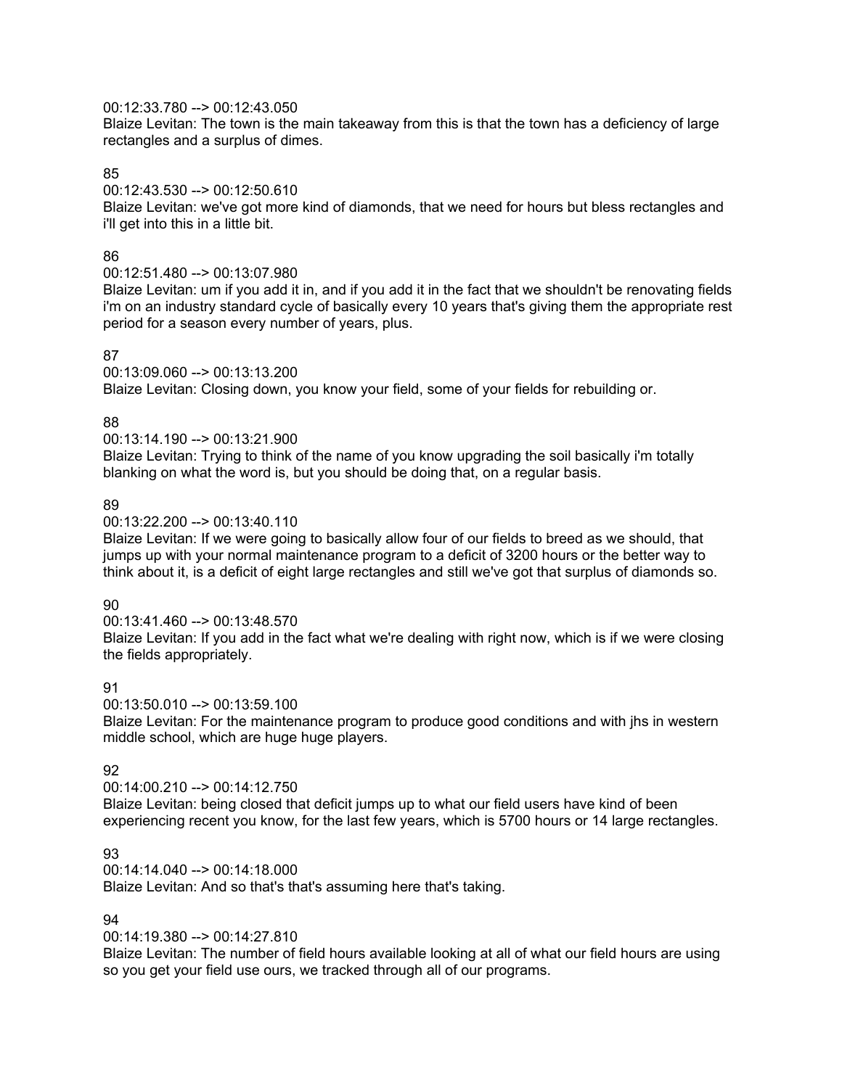## 00:12:33.780 --> 00:12:43.050

Blaize Levitan: The town is the main takeaway from this is that the town has a deficiency of large rectangles and a surplus of dimes.

#### 85

00:12:43.530 --> 00:12:50.610

Blaize Levitan: we've got more kind of diamonds, that we need for hours but bless rectangles and i'll get into this in a little bit.

## 86

00:12:51.480 --> 00:13:07.980

Blaize Levitan: um if you add it in, and if you add it in the fact that we shouldn't be renovating fields i'm on an industry standard cycle of basically every 10 years that's giving them the appropriate rest period for a season every number of years, plus.

## 87

00:13:09.060 --> 00:13:13.200

Blaize Levitan: Closing down, you know your field, some of your fields for rebuilding or.

# 88

00:13:14.190 --> 00:13:21.900

Blaize Levitan: Trying to think of the name of you know upgrading the soil basically i'm totally blanking on what the word is, but you should be doing that, on a regular basis.

## 89

00:13:22.200 --> 00:13:40.110

Blaize Levitan: If we were going to basically allow four of our fields to breed as we should, that jumps up with your normal maintenance program to a deficit of 3200 hours or the better way to think about it, is a deficit of eight large rectangles and still we've got that surplus of diamonds so.

#### 90

00:13:41.460 --> 00:13:48.570

Blaize Levitan: If you add in the fact what we're dealing with right now, which is if we were closing the fields appropriately.

## 91

00:13:50.010 --> 00:13:59.100

Blaize Levitan: For the maintenance program to produce good conditions and with jhs in western middle school, which are huge huge players.

## 92

00:14:00.210 --> 00:14:12.750

Blaize Levitan: being closed that deficit jumps up to what our field users have kind of been experiencing recent you know, for the last few years, which is 5700 hours or 14 large rectangles.

## 93

00:14:14.040 --> 00:14:18.000

Blaize Levitan: And so that's that's assuming here that's taking.

## 94

00:14:19.380 --> 00:14:27.810

Blaize Levitan: The number of field hours available looking at all of what our field hours are using so you get your field use ours, we tracked through all of our programs.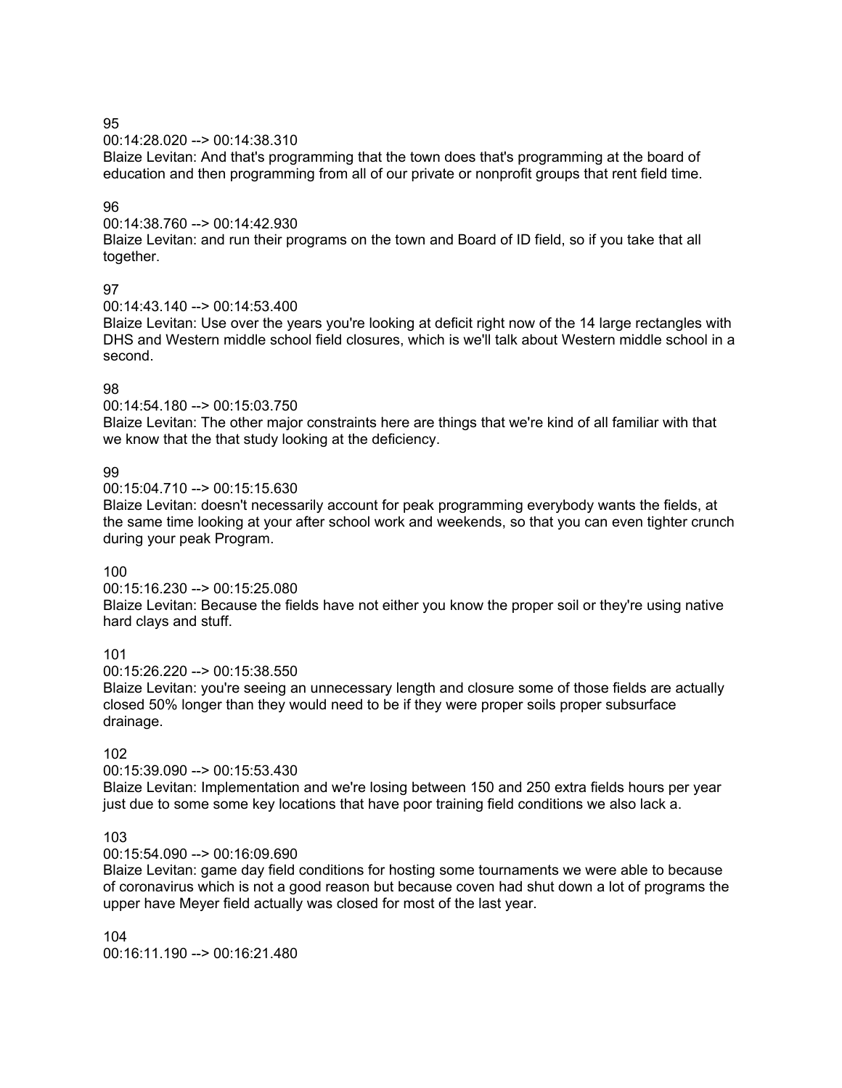00:14:28.020 --> 00:14:38.310

Blaize Levitan: And that's programming that the town does that's programming at the board of education and then programming from all of our private or nonprofit groups that rent field time.

## 96

00:14:38.760 --> 00:14:42.930

Blaize Levitan: and run their programs on the town and Board of ID field, so if you take that all together.

## 97

00:14:43.140 --> 00:14:53.400

Blaize Levitan: Use over the years you're looking at deficit right now of the 14 large rectangles with DHS and Western middle school field closures, which is we'll talk about Western middle school in a second.

## 98

00:14:54.180 --> 00:15:03.750

Blaize Levitan: The other major constraints here are things that we're kind of all familiar with that we know that the that study looking at the deficiency.

## 99

00:15:04.710 --> 00:15:15.630

Blaize Levitan: doesn't necessarily account for peak programming everybody wants the fields, at the same time looking at your after school work and weekends, so that you can even tighter crunch during your peak Program.

## 100

00:15:16.230 --> 00:15:25.080

Blaize Levitan: Because the fields have not either you know the proper soil or they're using native hard clays and stuff.

# 101

00:15:26.220 --> 00:15:38.550

Blaize Levitan: you're seeing an unnecessary length and closure some of those fields are actually closed 50% longer than they would need to be if they were proper soils proper subsurface drainage.

# 102

# 00:15:39.090 --> 00:15:53.430

Blaize Levitan: Implementation and we're losing between 150 and 250 extra fields hours per year just due to some some key locations that have poor training field conditions we also lack a.

## 103

00:15:54.090 --> 00:16:09.690

Blaize Levitan: game day field conditions for hosting some tournaments we were able to because of coronavirus which is not a good reason but because coven had shut down a lot of programs the upper have Meyer field actually was closed for most of the last year.

104 00:16:11.190 --> 00:16:21.480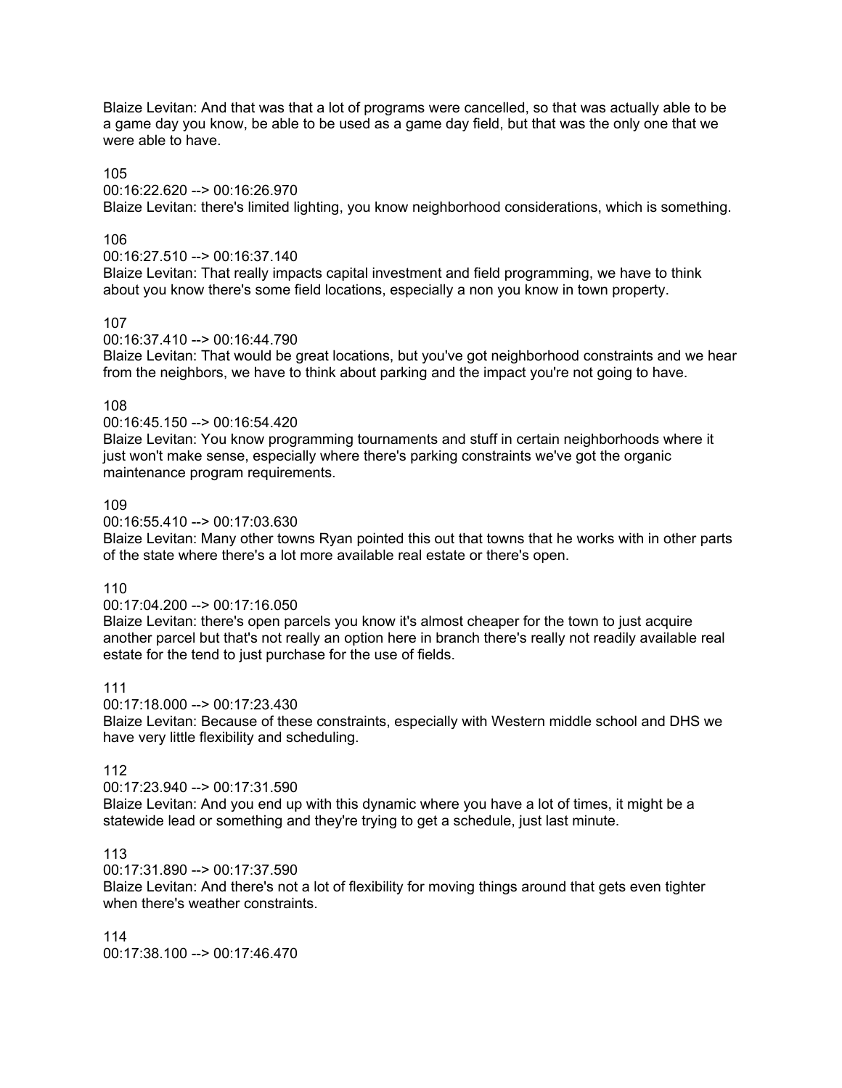Blaize Levitan: And that was that a lot of programs were cancelled, so that was actually able to be a game day you know, be able to be used as a game day field, but that was the only one that we were able to have

#### 105

00:16:22.620 --> 00:16:26.970

Blaize Levitan: there's limited lighting, you know neighborhood considerations, which is something.

## 106

00:16:27.510 --> 00:16:37.140

Blaize Levitan: That really impacts capital investment and field programming, we have to think about you know there's some field locations, especially a non you know in town property.

## 107

00:16:37.410 --> 00:16:44.790

Blaize Levitan: That would be great locations, but you've got neighborhood constraints and we hear from the neighbors, we have to think about parking and the impact you're not going to have.

# 108

00:16:45.150 --> 00:16:54.420

Blaize Levitan: You know programming tournaments and stuff in certain neighborhoods where it just won't make sense, especially where there's parking constraints we've got the organic maintenance program requirements.

## 109

00:16:55.410 --> 00:17:03.630

Blaize Levitan: Many other towns Ryan pointed this out that towns that he works with in other parts of the state where there's a lot more available real estate or there's open.

110

#### 00:17:04.200 --> 00:17:16.050

Blaize Levitan: there's open parcels you know it's almost cheaper for the town to just acquire another parcel but that's not really an option here in branch there's really not readily available real estate for the tend to just purchase for the use of fields.

## 111

00:17:18.000 --> 00:17:23.430

Blaize Levitan: Because of these constraints, especially with Western middle school and DHS we have very little flexibility and scheduling.

## 112

00:17:23.940 --> 00:17:31.590

Blaize Levitan: And you end up with this dynamic where you have a lot of times, it might be a statewide lead or something and they're trying to get a schedule, just last minute.

## 113

00:17:31.890 --> 00:17:37.590

Blaize Levitan: And there's not a lot of flexibility for moving things around that gets even tighter when there's weather constraints.

114 00:17:38.100 --> 00:17:46.470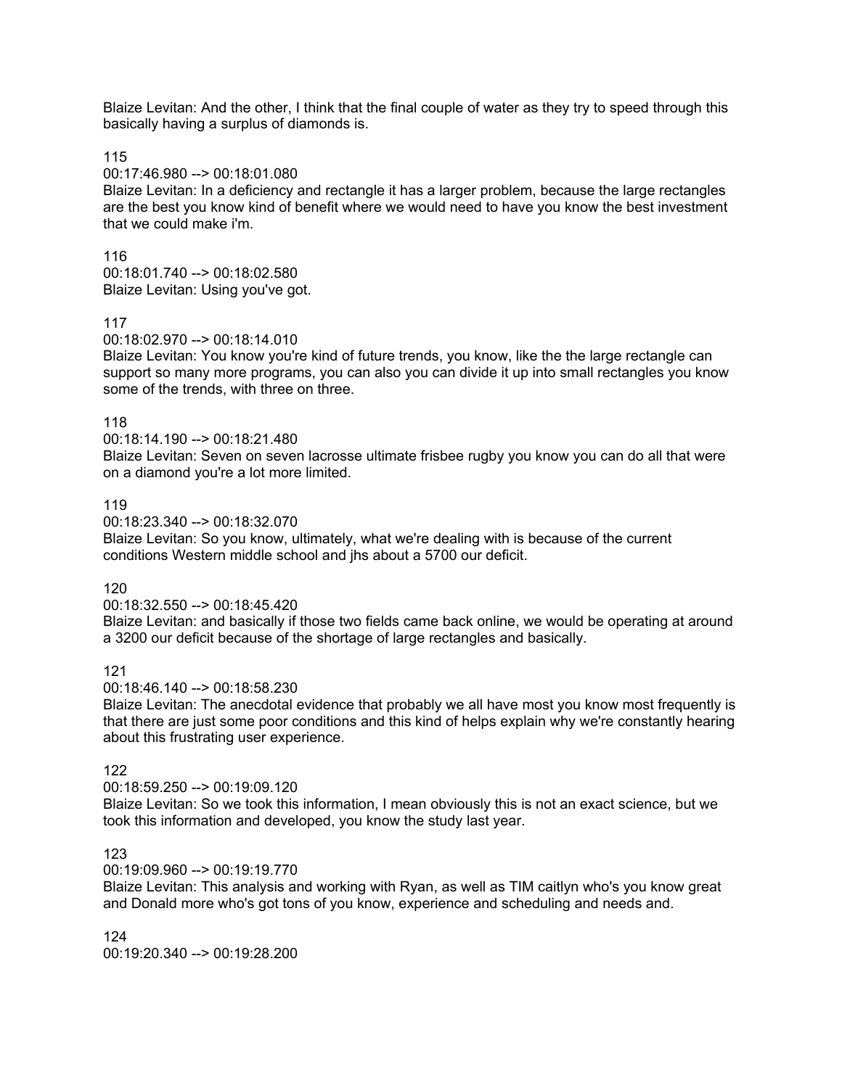Blaize Levitan: And the other, I think that the final couple of water as they try to speed through this basically having a surplus of diamonds is.

115

00:17:46.980 --> 00:18:01.080

Blaize Levitan: In a deficiency and rectangle it has a larger problem, because the large rectangles are the best you know kind of benefit where we would need to have you know the best investment that we could make i'm.

116

00:18:01.740 --> 00:18:02.580 Blaize Levitan: Using you've got.

## 117

00:18:02.970 --> 00:18:14.010

Blaize Levitan: You know you're kind of future trends, you know, like the the large rectangle can support so many more programs, you can also you can divide it up into small rectangles you know some of the trends, with three on three.

## 118

00:18:14.190 --> 00:18:21.480

Blaize Levitan: Seven on seven lacrosse ultimate frisbee rugby you know you can do all that were on a diamond you're a lot more limited.

## 119

00:18:23.340 --> 00:18:32.070

Blaize Levitan: So you know, ultimately, what we're dealing with is because of the current conditions Western middle school and jhs about a 5700 our deficit.

120

00:18:32.550 --> 00:18:45.420

Blaize Levitan: and basically if those two fields came back online, we would be operating at around a 3200 our deficit because of the shortage of large rectangles and basically.

121

00:18:46.140 --> 00:18:58.230

Blaize Levitan: The anecdotal evidence that probably we all have most you know most frequently is that there are just some poor conditions and this kind of helps explain why we're constantly hearing about this frustrating user experience.

## 122

00:18:59.250 --> 00:19:09.120

Blaize Levitan: So we took this information, I mean obviously this is not an exact science, but we took this information and developed, you know the study last year.

123

00:19:09.960 --> 00:19:19.770

Blaize Levitan: This analysis and working with Ryan, as well as TIM caitlyn who's you know great and Donald more who's got tons of you know, experience and scheduling and needs and.

124 00:19:20.340 --> 00:19:28.200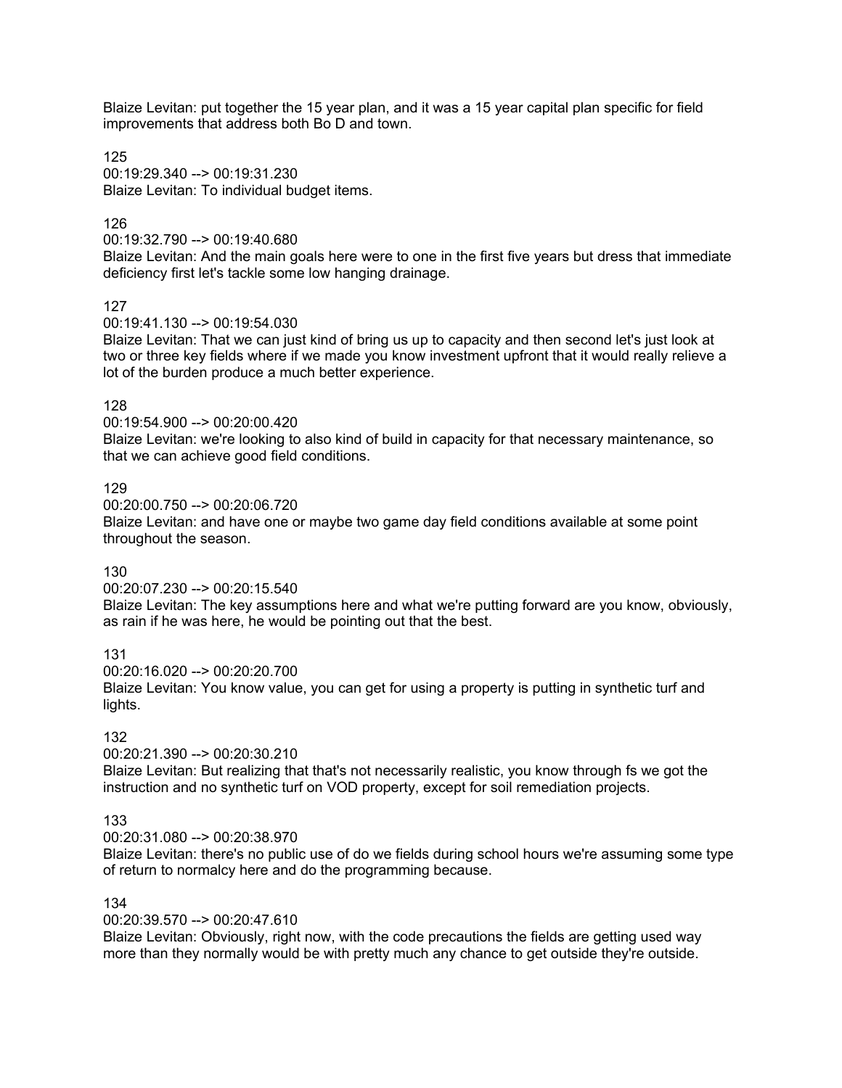Blaize Levitan: put together the 15 year plan, and it was a 15 year capital plan specific for field improvements that address both Bo D and town.

125 00:19:29.340 --> 00:19:31.230 Blaize Levitan: To individual budget items.

126

00:19:32.790 --> 00:19:40.680

Blaize Levitan: And the main goals here were to one in the first five years but dress that immediate deficiency first let's tackle some low hanging drainage.

127

00:19:41.130 --> 00:19:54.030

Blaize Levitan: That we can just kind of bring us up to capacity and then second let's just look at two or three key fields where if we made you know investment upfront that it would really relieve a lot of the burden produce a much better experience.

# 128

00:19:54.900 --> 00:20:00.420

Blaize Levitan: we're looking to also kind of build in capacity for that necessary maintenance, so that we can achieve good field conditions.

# 129

00:20:00.750 --> 00:20:06.720

Blaize Levitan: and have one or maybe two game day field conditions available at some point throughout the season.

130

00:20:07.230 --> 00:20:15.540

Blaize Levitan: The key assumptions here and what we're putting forward are you know, obviously, as rain if he was here, he would be pointing out that the best.

131

00:20:16.020 --> 00:20:20.700

Blaize Levitan: You know value, you can get for using a property is putting in synthetic turf and lights.

## 132

00:20:21.390 --> 00:20:30.210

Blaize Levitan: But realizing that that's not necessarily realistic, you know through fs we got the instruction and no synthetic turf on VOD property, except for soil remediation projects.

# 133

00:20:31.080 --> 00:20:38.970

Blaize Levitan: there's no public use of do we fields during school hours we're assuming some type of return to normalcy here and do the programming because.

134

00:20:39.570 --> 00:20:47.610

Blaize Levitan: Obviously, right now, with the code precautions the fields are getting used way more than they normally would be with pretty much any chance to get outside they're outside.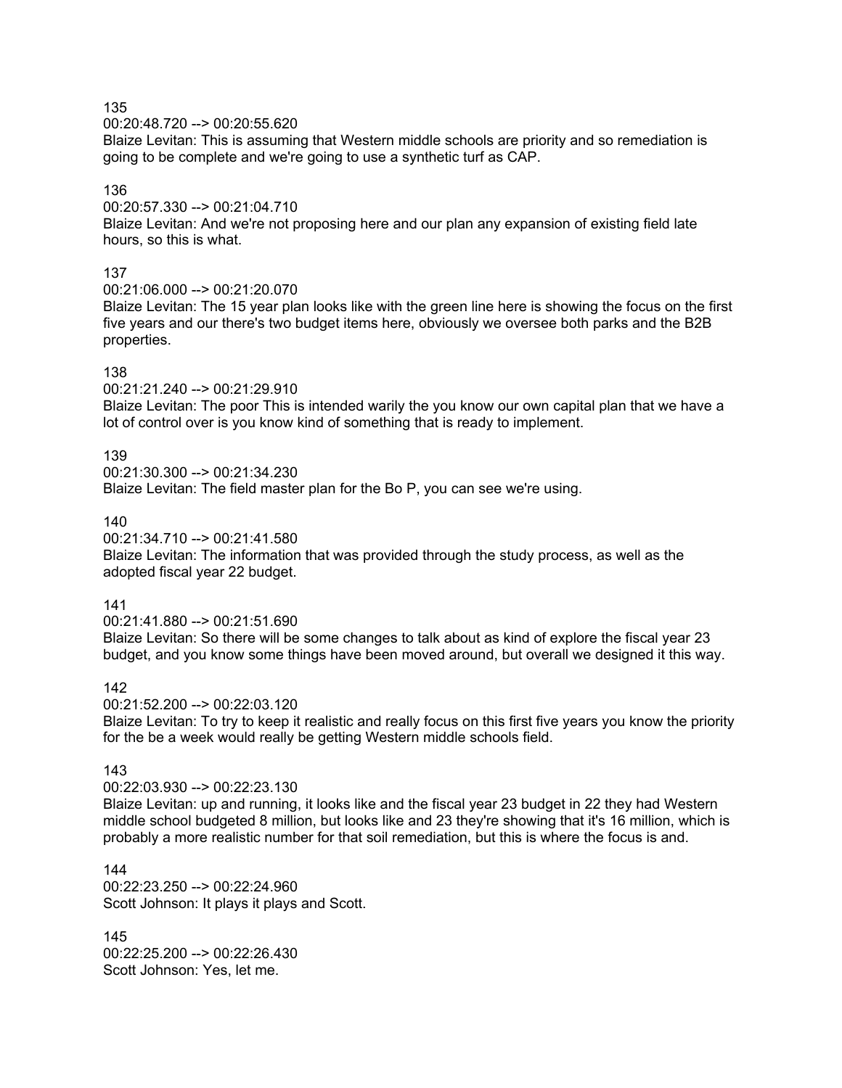00:20:48.720 --> 00:20:55.620

Blaize Levitan: This is assuming that Western middle schools are priority and so remediation is going to be complete and we're going to use a synthetic turf as CAP.

## 136

00:20:57.330 --> 00:21:04.710

Blaize Levitan: And we're not proposing here and our plan any expansion of existing field late hours, so this is what.

## 137

00:21:06.000 --> 00:21:20.070

Blaize Levitan: The 15 year plan looks like with the green line here is showing the focus on the first five years and our there's two budget items here, obviously we oversee both parks and the B2B properties.

## 138

00:21:21.240 --> 00:21:29.910

Blaize Levitan: The poor This is intended warily the you know our own capital plan that we have a lot of control over is you know kind of something that is ready to implement.

## 139

 $00:21:30.300 - \geq 00:21:34.230$ Blaize Levitan: The field master plan for the Bo P, you can see we're using.

## 140

00:21:34.710 --> 00:21:41.580

Blaize Levitan: The information that was provided through the study process, as well as the adopted fiscal year 22 budget.

#### 141

00:21:41.880 --> 00:21:51.690

Blaize Levitan: So there will be some changes to talk about as kind of explore the fiscal year 23 budget, and you know some things have been moved around, but overall we designed it this way.

## 142

00:21:52.200 --> 00:22:03.120

Blaize Levitan: To try to keep it realistic and really focus on this first five years you know the priority for the be a week would really be getting Western middle schools field.

## 143

00:22:03.930 --> 00:22:23.130

Blaize Levitan: up and running, it looks like and the fiscal year 23 budget in 22 they had Western middle school budgeted 8 million, but looks like and 23 they're showing that it's 16 million, which is probably a more realistic number for that soil remediation, but this is where the focus is and.

144 00:22:23.250 --> 00:22:24.960 Scott Johnson: It plays it plays and Scott.

145 00:22:25.200 --> 00:22:26.430 Scott Johnson: Yes, let me.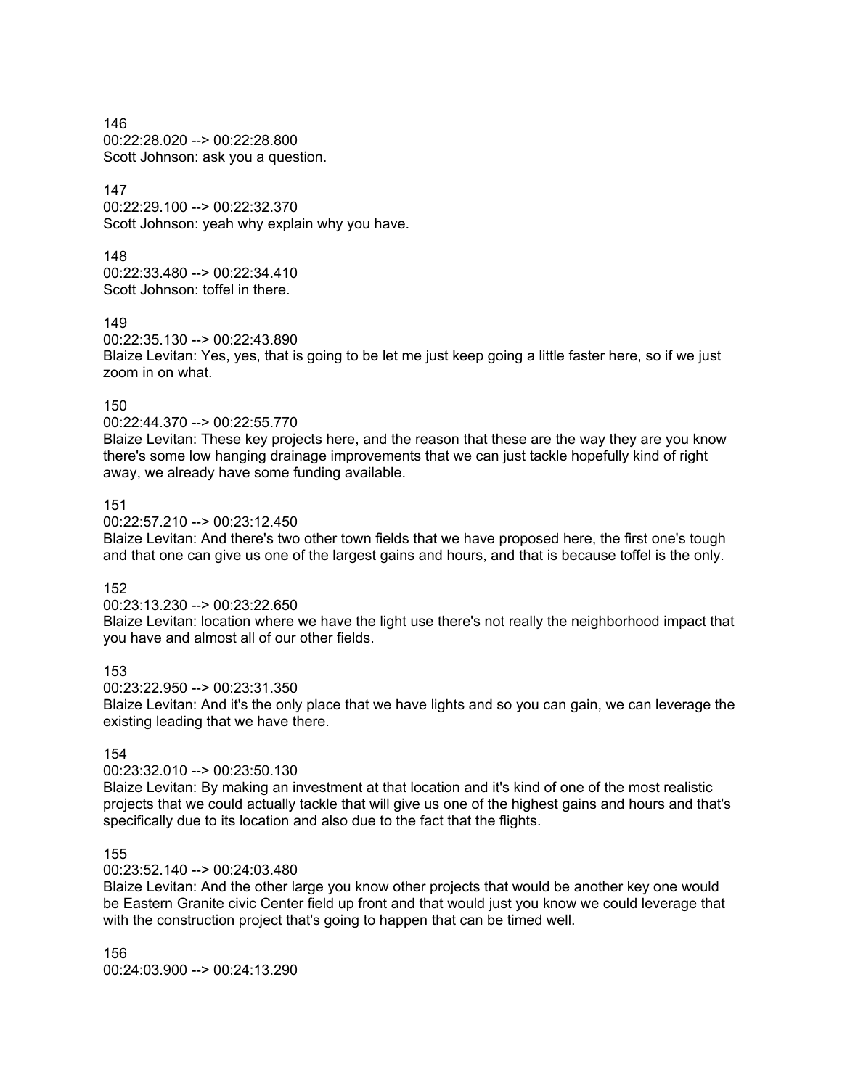146 00:22:28.020 --> 00:22:28.800 Scott Johnson: ask you a question.

147

00:22:29.100 --> 00:22:32.370 Scott Johnson: yeah why explain why you have.

148 00:22:33.480 --> 00:22:34.410 Scott Johnson: toffel in there.

149

00:22:35.130 --> 00:22:43.890

Blaize Levitan: Yes, yes, that is going to be let me just keep going a little faster here, so if we just zoom in on what.

150

00:22:44.370 --> 00:22:55.770

Blaize Levitan: These key projects here, and the reason that these are the way they are you know there's some low hanging drainage improvements that we can just tackle hopefully kind of right away, we already have some funding available.

## 151

00:22:57.210 --> 00:23:12.450

Blaize Levitan: And there's two other town fields that we have proposed here, the first one's tough and that one can give us one of the largest gains and hours, and that is because toffel is the only.

152

00:23:13.230 --> 00:23:22.650

Blaize Levitan: location where we have the light use there's not really the neighborhood impact that you have and almost all of our other fields.

153

00:23:22.950 --> 00:23:31.350

Blaize Levitan: And it's the only place that we have lights and so you can gain, we can leverage the existing leading that we have there.

## 154

#### 00:23:32.010 --> 00:23:50.130

Blaize Levitan: By making an investment at that location and it's kind of one of the most realistic projects that we could actually tackle that will give us one of the highest gains and hours and that's specifically due to its location and also due to the fact that the flights.

#### 155

#### 00:23:52.140 --> 00:24:03.480

Blaize Levitan: And the other large you know other projects that would be another key one would be Eastern Granite civic Center field up front and that would just you know we could leverage that with the construction project that's going to happen that can be timed well.

156 00:24:03.900 --> 00:24:13.290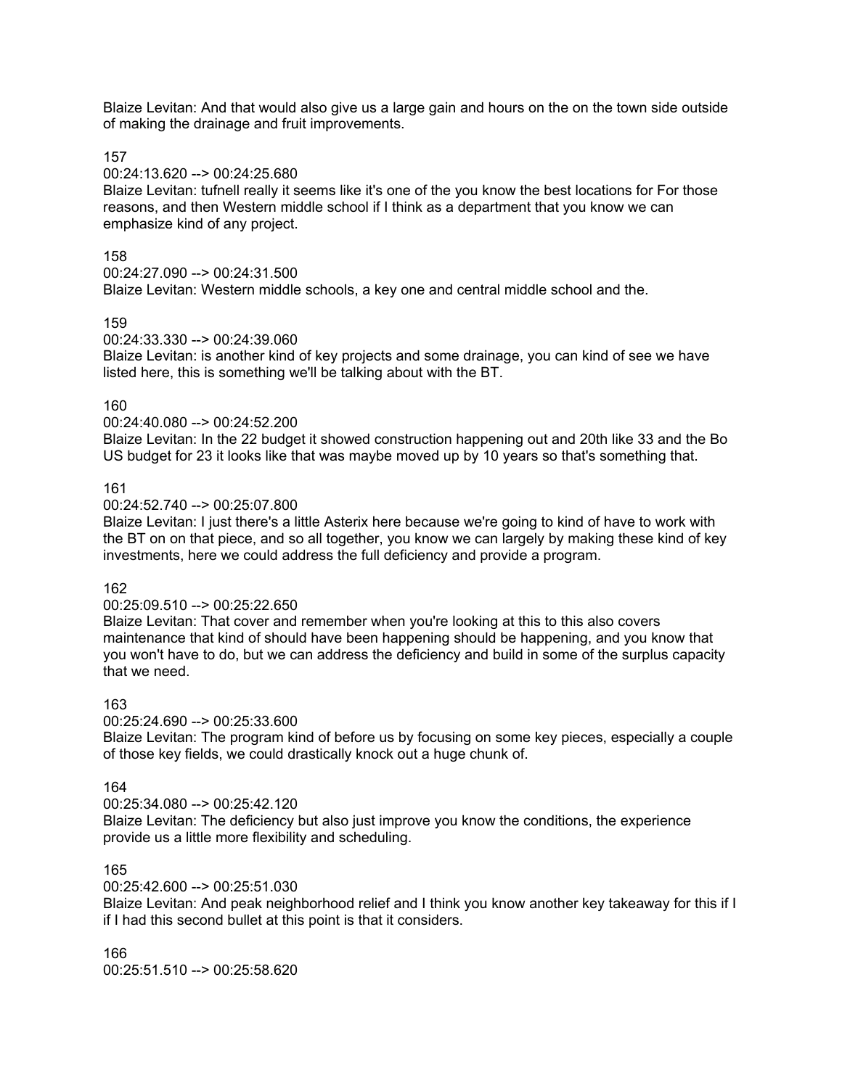Blaize Levitan: And that would also give us a large gain and hours on the on the town side outside of making the drainage and fruit improvements.

157

00:24:13.620 --> 00:24:25.680

Blaize Levitan: tufnell really it seems like it's one of the you know the best locations for For those reasons, and then Western middle school if I think as a department that you know we can emphasize kind of any project.

158

00:24:27.090 --> 00:24:31.500

Blaize Levitan: Western middle schools, a key one and central middle school and the.

159

00:24:33.330 --> 00:24:39.060

Blaize Levitan: is another kind of key projects and some drainage, you can kind of see we have listed here, this is something we'll be talking about with the BT.

160

00:24:40.080 --> 00:24:52.200

Blaize Levitan: In the 22 budget it showed construction happening out and 20th like 33 and the Bo US budget for 23 it looks like that was maybe moved up by 10 years so that's something that.

161

00:24:52.740 --> 00:25:07.800

Blaize Levitan: I just there's a little Asterix here because we're going to kind of have to work with the BT on on that piece, and so all together, you know we can largely by making these kind of key investments, here we could address the full deficiency and provide a program.

162

00:25:09.510 --> 00:25:22.650

Blaize Levitan: That cover and remember when you're looking at this to this also covers maintenance that kind of should have been happening should be happening, and you know that you won't have to do, but we can address the deficiency and build in some of the surplus capacity that we need.

## 163

00:25:24.690 --> 00:25:33.600

Blaize Levitan: The program kind of before us by focusing on some key pieces, especially a couple of those key fields, we could drastically knock out a huge chunk of.

#### 164

00:25:34.080 --> 00:25:42.120

Blaize Levitan: The deficiency but also just improve you know the conditions, the experience provide us a little more flexibility and scheduling.

#### 165

00:25:42.600 --> 00:25:51.030

Blaize Levitan: And peak neighborhood relief and I think you know another key takeaway for this if I if I had this second bullet at this point is that it considers.

166  $00:25:51.510 -\geq 00:25:58.620$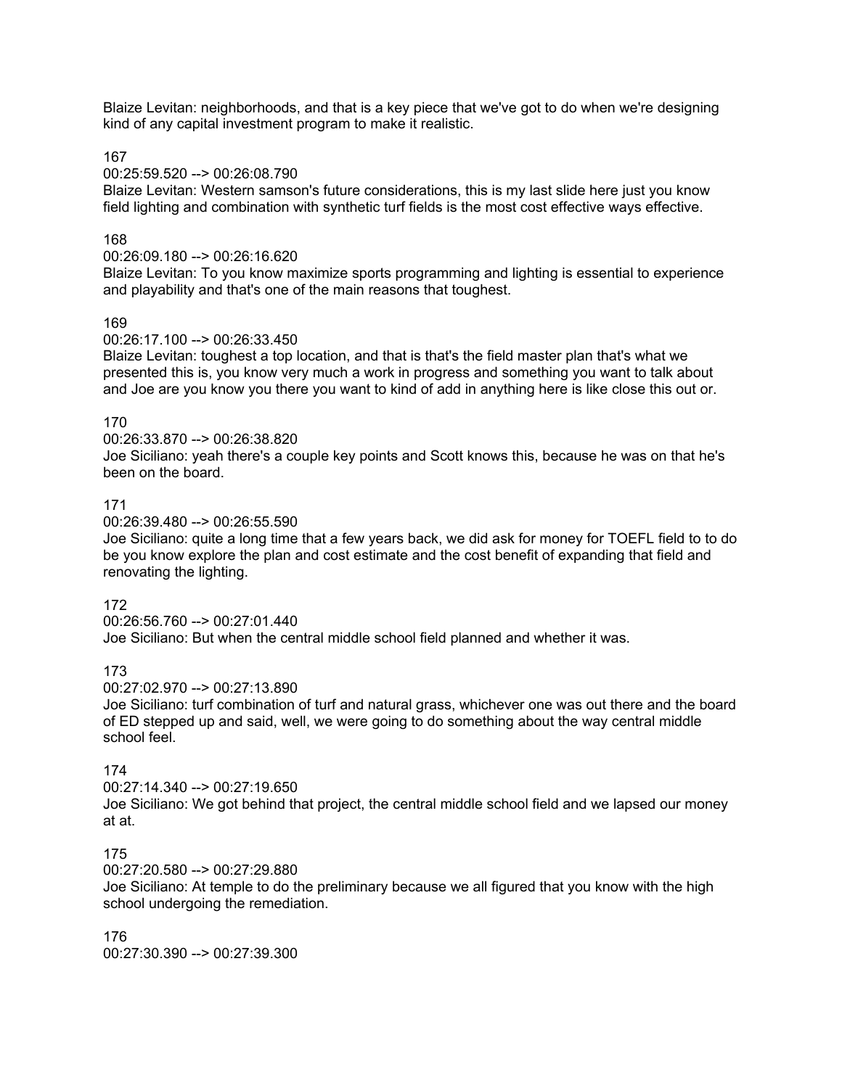Blaize Levitan: neighborhoods, and that is a key piece that we've got to do when we're designing kind of any capital investment program to make it realistic.

167

#### 00:25:59.520 --> 00:26:08.790

Blaize Levitan: Western samson's future considerations, this is my last slide here just you know field lighting and combination with synthetic turf fields is the most cost effective ways effective.

## 168

## 00:26:09.180 --> 00:26:16.620

Blaize Levitan: To you know maximize sports programming and lighting is essential to experience and playability and that's one of the main reasons that toughest.

#### 169

#### 00:26:17.100 --> 00:26:33.450

Blaize Levitan: toughest a top location, and that is that's the field master plan that's what we presented this is, you know very much a work in progress and something you want to talk about and Joe are you know you there you want to kind of add in anything here is like close this out or.

#### 170

00:26:33.870 --> 00:26:38.820

Joe Siciliano: yeah there's a couple key points and Scott knows this, because he was on that he's been on the board.

#### 171

00:26:39.480 --> 00:26:55.590

Joe Siciliano: quite a long time that a few years back, we did ask for money for TOEFL field to to do be you know explore the plan and cost estimate and the cost benefit of expanding that field and renovating the lighting.

#### 172

00:26:56.760 --> 00:27:01.440

Joe Siciliano: But when the central middle school field planned and whether it was.

#### 173

00:27:02.970 --> 00:27:13.890

Joe Siciliano: turf combination of turf and natural grass, whichever one was out there and the board of ED stepped up and said, well, we were going to do something about the way central middle school feel.

## 174

00:27:14.340 --> 00:27:19.650

Joe Siciliano: We got behind that project, the central middle school field and we lapsed our money at at.

## 175

00:27:20.580 --> 00:27:29.880

Joe Siciliano: At temple to do the preliminary because we all figured that you know with the high school undergoing the remediation.

176 00:27:30.390 --> 00:27:39.300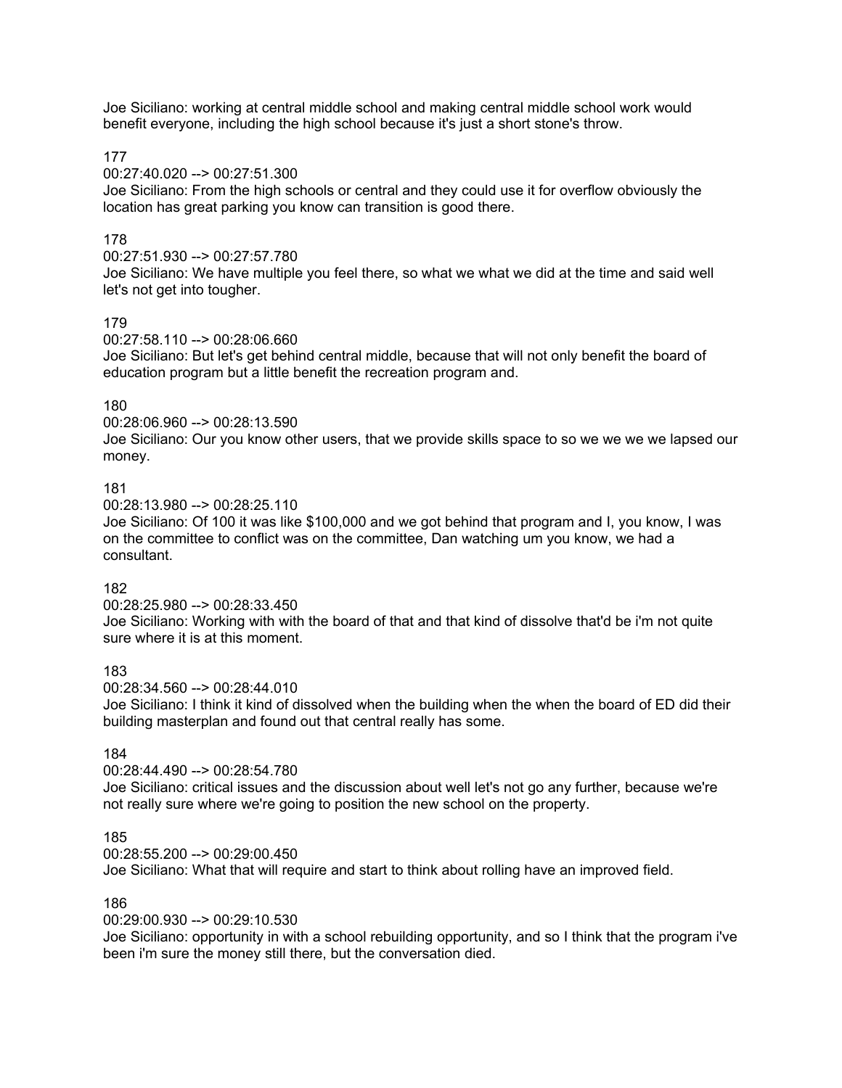Joe Siciliano: working at central middle school and making central middle school work would benefit everyone, including the high school because it's just a short stone's throw.

177

00:27:40.020 --> 00:27:51.300

Joe Siciliano: From the high schools or central and they could use it for overflow obviously the location has great parking you know can transition is good there.

## 178

00:27:51.930 --> 00:27:57.780

Joe Siciliano: We have multiple you feel there, so what we what we did at the time and said well let's not get into tougher.

## 179

00:27:58.110 --> 00:28:06.660

Joe Siciliano: But let's get behind central middle, because that will not only benefit the board of education program but a little benefit the recreation program and.

## 180

00:28:06.960 --> 00:28:13.590

Joe Siciliano: Our you know other users, that we provide skills space to so we we we we lapsed our money.

## 181

00:28:13.980 --> 00:28:25.110

Joe Siciliano: Of 100 it was like \$100,000 and we got behind that program and I, you know, I was on the committee to conflict was on the committee, Dan watching um you know, we had a consultant.

#### 182

00:28:25.980 --> 00:28:33.450

Joe Siciliano: Working with with the board of that and that kind of dissolve that'd be i'm not quite sure where it is at this moment.

#### 183

00:28:34.560 --> 00:28:44.010

Joe Siciliano: I think it kind of dissolved when the building when the when the board of ED did their building masterplan and found out that central really has some.

## 184

#### 00:28:44.490 --> 00:28:54.780

Joe Siciliano: critical issues and the discussion about well let's not go any further, because we're not really sure where we're going to position the new school on the property.

#### 185

00:28:55.200 --> 00:29:00.450

Joe Siciliano: What that will require and start to think about rolling have an improved field.

#### 186

00:29:00.930 --> 00:29:10.530

Joe Siciliano: opportunity in with a school rebuilding opportunity, and so I think that the program i've been i'm sure the money still there, but the conversation died.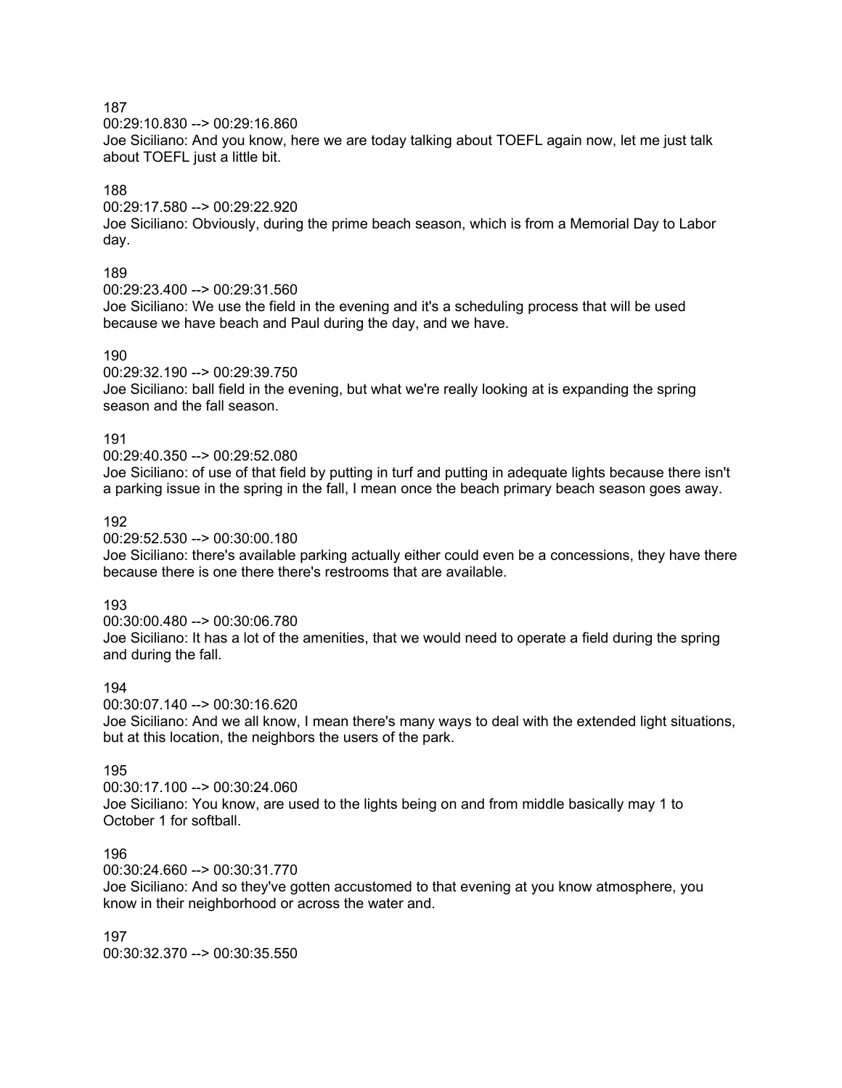00:29:10.830 --> 00:29:16.860

Joe Siciliano: And you know, here we are today talking about TOEFL again now, let me just talk about TOEFL just a little bit.

## 188

00:29:17.580 --> 00:29:22.920 Joe Siciliano: Obviously, during the prime beach season, which is from a Memorial Day to Labor day.

## 189

00:29:23.400 --> 00:29:31.560

Joe Siciliano: We use the field in the evening and it's a scheduling process that will be used because we have beach and Paul during the day, and we have.

## 190

00:29:32.190 --> 00:29:39.750

Joe Siciliano: ball field in the evening, but what we're really looking at is expanding the spring season and the fall season.

## 191

00:29:40.350 --> 00:29:52.080

Joe Siciliano: of use of that field by putting in turf and putting in adequate lights because there isn't a parking issue in the spring in the fall, I mean once the beach primary beach season goes away.

## 192

00:29:52.530 --> 00:30:00.180

Joe Siciliano: there's available parking actually either could even be a concessions, they have there because there is one there there's restrooms that are available.

## 193

00:30:00.480 --> 00:30:06.780 Joe Siciliano: It has a lot of the amenities, that we would need to operate a field during the spring and during the fall.

## 194

00:30:07.140 --> 00:30:16.620

Joe Siciliano: And we all know, I mean there's many ways to deal with the extended light situations, but at this location, the neighbors the users of the park.

## 195

00:30:17.100 --> 00:30:24.060 Joe Siciliano: You know, are used to the lights being on and from middle basically may 1 to October 1 for softball.

## 196

00:30:24.660 --> 00:30:31.770

Joe Siciliano: And so they've gotten accustomed to that evening at you know atmosphere, you know in their neighborhood or across the water and.

197 00:30:32.370 --> 00:30:35.550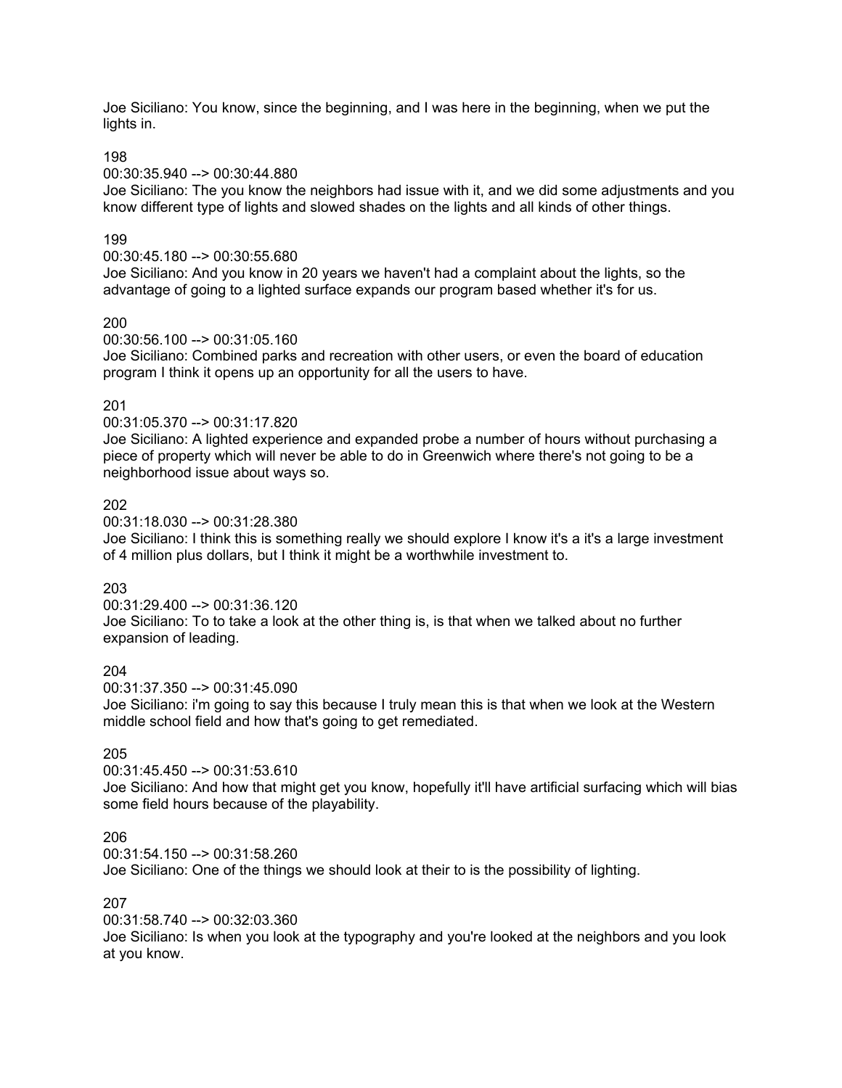Joe Siciliano: You know, since the beginning, and I was here in the beginning, when we put the lights in.

198

00:30:35.940 --> 00:30:44.880

Joe Siciliano: The you know the neighbors had issue with it, and we did some adjustments and you know different type of lights and slowed shades on the lights and all kinds of other things.

## 199

00:30:45.180 --> 00:30:55.680

Joe Siciliano: And you know in 20 years we haven't had a complaint about the lights, so the advantage of going to a lighted surface expands our program based whether it's for us.

## 200

00:30:56.100 --> 00:31:05.160

Joe Siciliano: Combined parks and recreation with other users, or even the board of education program I think it opens up an opportunity for all the users to have.

## 201

00:31:05.370 --> 00:31:17.820

Joe Siciliano: A lighted experience and expanded probe a number of hours without purchasing a piece of property which will never be able to do in Greenwich where there's not going to be a neighborhood issue about ways so.

## 202

00:31:18.030 --> 00:31:28.380

Joe Siciliano: I think this is something really we should explore I know it's a it's a large investment of 4 million plus dollars, but I think it might be a worthwhile investment to.

## 203

00:31:29.400 --> 00:31:36.120

Joe Siciliano: To to take a look at the other thing is, is that when we talked about no further expansion of leading.

#### 204

00:31:37.350 --> 00:31:45.090

Joe Siciliano: i'm going to say this because I truly mean this is that when we look at the Western middle school field and how that's going to get remediated.

## 205

#### 00:31:45.450 --> 00:31:53.610

Joe Siciliano: And how that might get you know, hopefully it'll have artificial surfacing which will bias some field hours because of the playability.

#### 206

00:31:54.150 --> 00:31:58.260

Joe Siciliano: One of the things we should look at their to is the possibility of lighting.

#### 207

00:31:58.740 --> 00:32:03.360

Joe Siciliano: Is when you look at the typography and you're looked at the neighbors and you look at you know.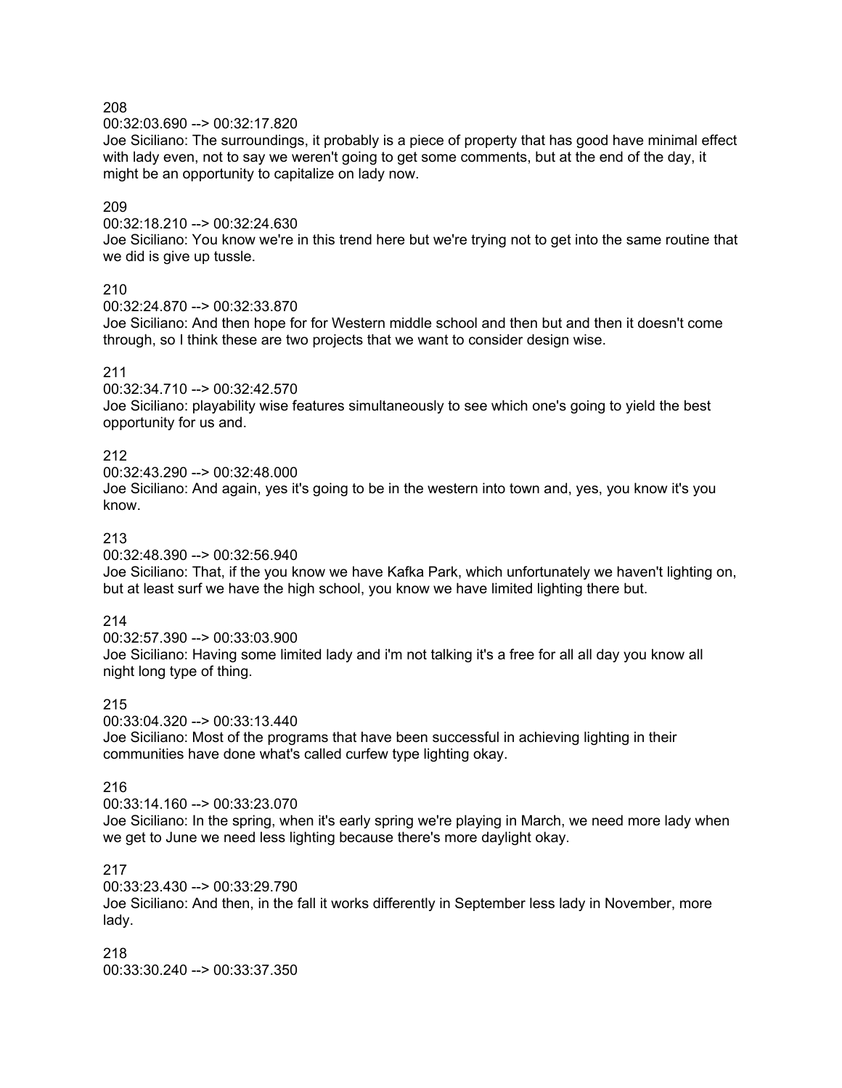00:32:03.690 --> 00:32:17.820

Joe Siciliano: The surroundings, it probably is a piece of property that has good have minimal effect with lady even, not to say we weren't going to get some comments, but at the end of the day, it might be an opportunity to capitalize on lady now.

## 209

00:32:18.210 --> 00:32:24.630

Joe Siciliano: You know we're in this trend here but we're trying not to get into the same routine that we did is give up tussle.

## 210

 $00:32:24.870 - \geq 00:32:33.870$ 

Joe Siciliano: And then hope for for Western middle school and then but and then it doesn't come through, so I think these are two projects that we want to consider design wise.

## 211

00:32:34.710 --> 00:32:42.570 Joe Siciliano: playability wise features simultaneously to see which one's going to yield the best opportunity for us and.

## 212

00:32:43.290 --> 00:32:48.000 Joe Siciliano: And again, yes it's going to be in the western into town and, yes, you know it's you know.

## 213

00:32:48.390 --> 00:32:56.940

Joe Siciliano: That, if the you know we have Kafka Park, which unfortunately we haven't lighting on, but at least surf we have the high school, you know we have limited lighting there but.

## 214

00:32:57.390 --> 00:33:03.900 Joe Siciliano: Having some limited lady and i'm not talking it's a free for all all day you know all night long type of thing.

## 215

00:33:04.320 --> 00:33:13.440 Joe Siciliano: Most of the programs that have been successful in achieving lighting in their communities have done what's called curfew type lighting okay.

#### 216

00:33:14.160 --> 00:33:23.070

Joe Siciliano: In the spring, when it's early spring we're playing in March, we need more lady when we get to June we need less lighting because there's more daylight okay.

#### 217

00:33:23.430 --> 00:33:29.790 Joe Siciliano: And then, in the fall it works differently in September less lady in November, more lady.

218 00:33:30.240 --> 00:33:37.350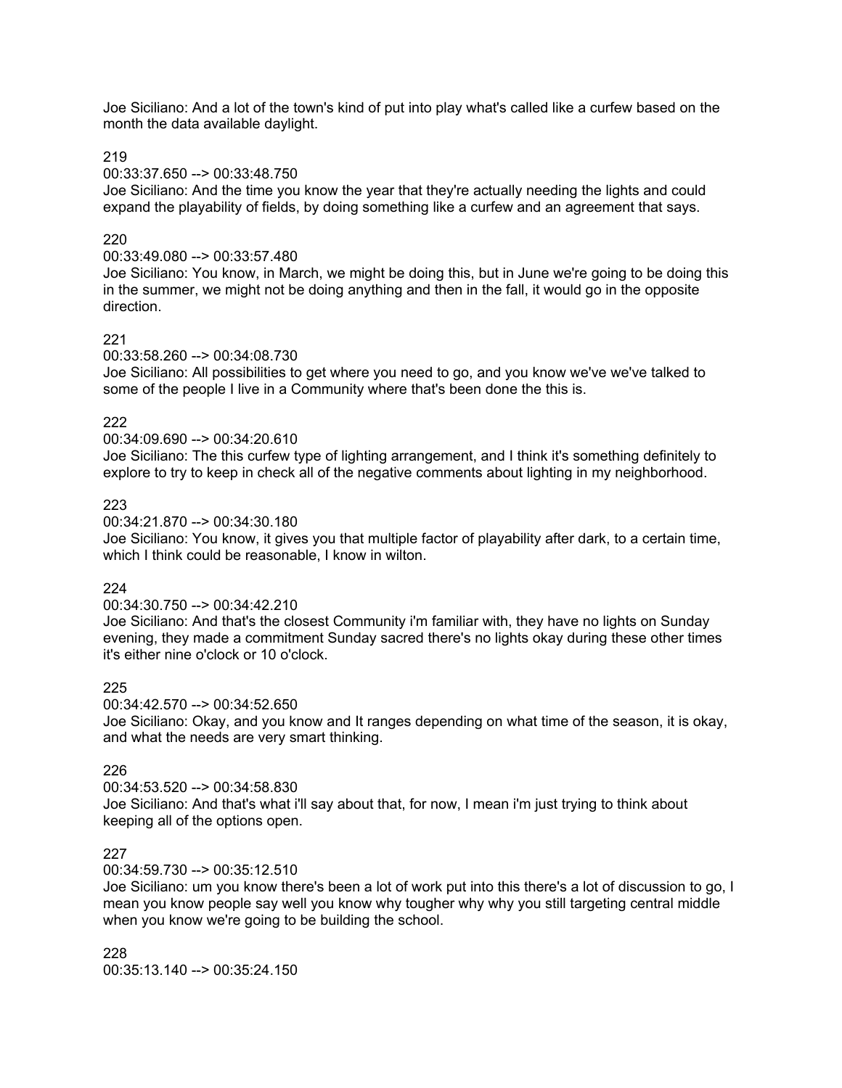Joe Siciliano: And a lot of the town's kind of put into play what's called like a curfew based on the month the data available daylight.

219

#### 00:33:37.650 --> 00:33:48.750

Joe Siciliano: And the time you know the year that they're actually needing the lights and could expand the playability of fields, by doing something like a curfew and an agreement that says.

## 220

## 00:33:49.080 --> 00:33:57.480

Joe Siciliano: You know, in March, we might be doing this, but in June we're going to be doing this in the summer, we might not be doing anything and then in the fall, it would go in the opposite direction.

## 221

#### 00:33:58.260 --> 00:34:08.730

Joe Siciliano: All possibilities to get where you need to go, and you know we've we've talked to some of the people I live in a Community where that's been done the this is.

#### 222

## 00:34:09.690 --> 00:34:20.610

Joe Siciliano: The this curfew type of lighting arrangement, and I think it's something definitely to explore to try to keep in check all of the negative comments about lighting in my neighborhood.

## 223

## 00:34:21.870 --> 00:34:30.180

Joe Siciliano: You know, it gives you that multiple factor of playability after dark, to a certain time, which I think could be reasonable, I know in wilton.

## 224

#### 00:34:30.750 --> 00:34:42.210

Joe Siciliano: And that's the closest Community i'm familiar with, they have no lights on Sunday evening, they made a commitment Sunday sacred there's no lights okay during these other times it's either nine o'clock or 10 o'clock.

#### 225

00:34:42.570 --> 00:34:52.650

Joe Siciliano: Okay, and you know and It ranges depending on what time of the season, it is okay, and what the needs are very smart thinking.

## 226

#### 00:34:53.520 --> 00:34:58.830 Joe Siciliano: And that's what i'll say about that, for now, I mean i'm just trying to think about keeping all of the options open.

#### 227

#### 00:34:59.730 --> 00:35:12.510

Joe Siciliano: um you know there's been a lot of work put into this there's a lot of discussion to go, I mean you know people say well you know why tougher why why you still targeting central middle when you know we're going to be building the school.

228 00:35:13.140 --> 00:35:24.150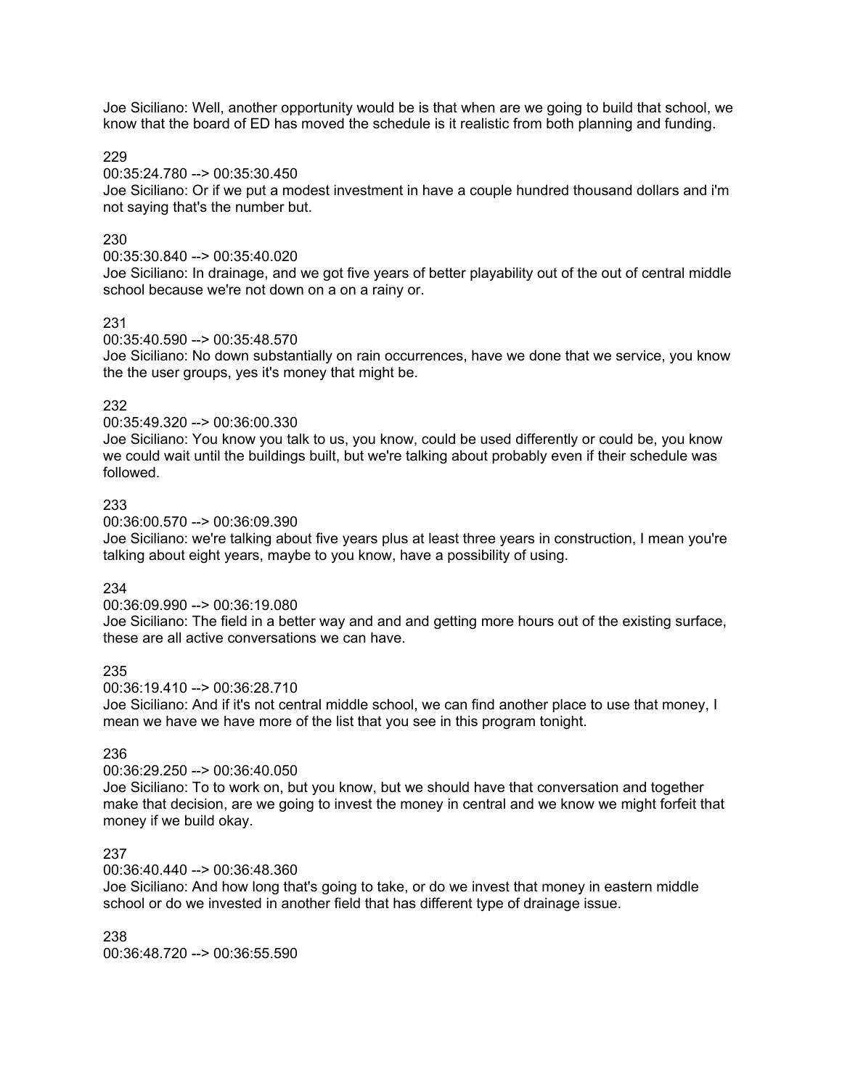Joe Siciliano: Well, another opportunity would be is that when are we going to build that school, we know that the board of ED has moved the schedule is it realistic from both planning and funding.

229

00:35:24.780 --> 00:35:30.450

Joe Siciliano: Or if we put a modest investment in have a couple hundred thousand dollars and i'm not saying that's the number but.

## 230

00:35:30.840 --> 00:35:40.020

Joe Siciliano: In drainage, and we got five years of better playability out of the out of central middle school because we're not down on a on a rainy or.

## 231

00:35:40.590 --> 00:35:48.570

Joe Siciliano: No down substantially on rain occurrences, have we done that we service, you know the the user groups, yes it's money that might be.

## 232

00:35:49.320 --> 00:36:00.330

Joe Siciliano: You know you talk to us, you know, could be used differently or could be, you know we could wait until the buildings built, but we're talking about probably even if their schedule was followed.

## 233

00:36:00.570 --> 00:36:09.390

Joe Siciliano: we're talking about five years plus at least three years in construction, I mean you're talking about eight years, maybe to you know, have a possibility of using.

## 234

00:36:09.990 --> 00:36:19.080

Joe Siciliano: The field in a better way and and and getting more hours out of the existing surface, these are all active conversations we can have.

#### 235

00:36:19.410 --> 00:36:28.710

Joe Siciliano: And if it's not central middle school, we can find another place to use that money, I mean we have we have more of the list that you see in this program tonight.

## 236

#### 00:36:29.250 --> 00:36:40.050

Joe Siciliano: To to work on, but you know, but we should have that conversation and together make that decision, are we going to invest the money in central and we know we might forfeit that money if we build okay.

## 237

00:36:40.440 --> 00:36:48.360

Joe Siciliano: And how long that's going to take, or do we invest that money in eastern middle school or do we invested in another field that has different type of drainage issue.

238 00:36:48.720 --> 00:36:55.590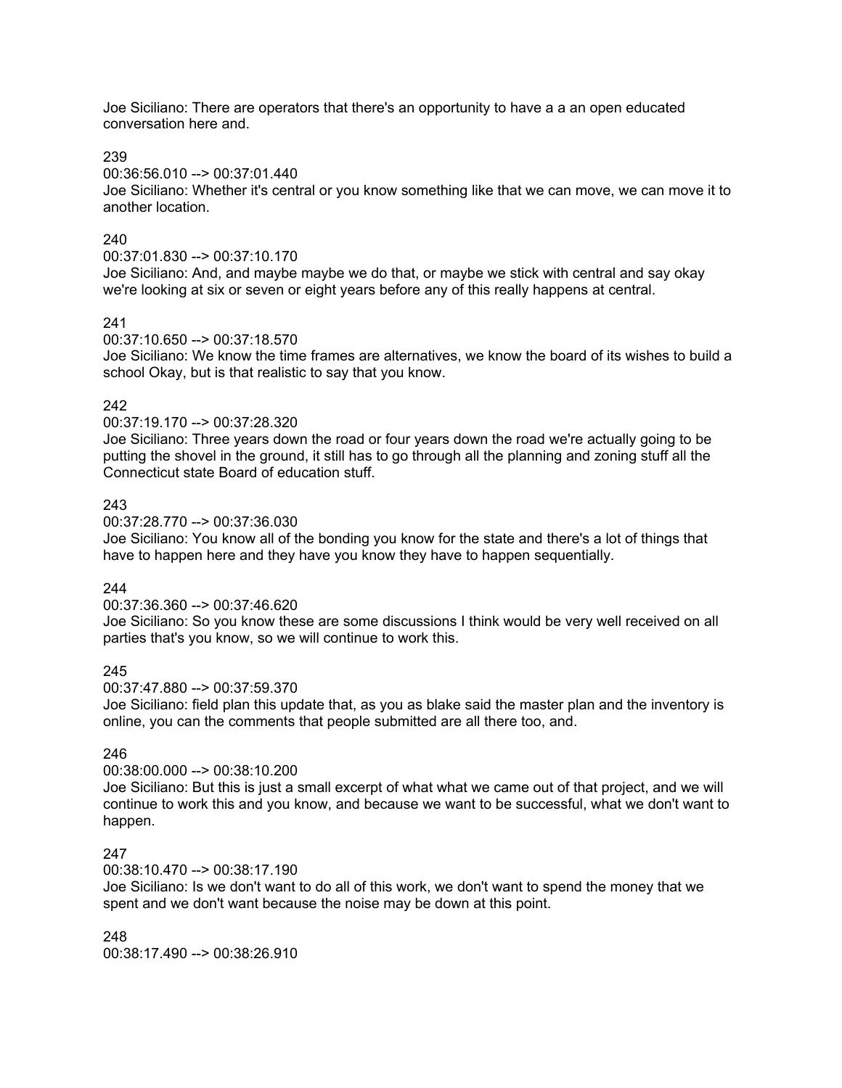Joe Siciliano: There are operators that there's an opportunity to have a a an open educated conversation here and.

239

00:36:56.010 --> 00:37:01.440

Joe Siciliano: Whether it's central or you know something like that we can move, we can move it to another location.

## 240

00:37:01.830 --> 00:37:10.170

Joe Siciliano: And, and maybe maybe we do that, or maybe we stick with central and say okay we're looking at six or seven or eight years before any of this really happens at central.

## 241

## 00:37:10.650 --> 00:37:18.570

Joe Siciliano: We know the time frames are alternatives, we know the board of its wishes to build a school Okay, but is that realistic to say that you know.

## 242

#### 00:37:19.170 --> 00:37:28.320

Joe Siciliano: Three years down the road or four years down the road we're actually going to be putting the shovel in the ground, it still has to go through all the planning and zoning stuff all the Connecticut state Board of education stuff.

## 243

00:37:28.770 --> 00:37:36.030

Joe Siciliano: You know all of the bonding you know for the state and there's a lot of things that have to happen here and they have you know they have to happen sequentially.

## 244

00:37:36.360 --> 00:37:46.620

Joe Siciliano: So you know these are some discussions I think would be very well received on all parties that's you know, so we will continue to work this.

## 245

00:37:47.880 --> 00:37:59.370

Joe Siciliano: field plan this update that, as you as blake said the master plan and the inventory is online, you can the comments that people submitted are all there too, and.

## 246

## 00:38:00.000 --> 00:38:10.200

Joe Siciliano: But this is just a small excerpt of what what we came out of that project, and we will continue to work this and you know, and because we want to be successful, what we don't want to happen.

## 247

00:38:10.470 --> 00:38:17.190

Joe Siciliano: Is we don't want to do all of this work, we don't want to spend the money that we spent and we don't want because the noise may be down at this point.

248

00:38:17.490 --> 00:38:26.910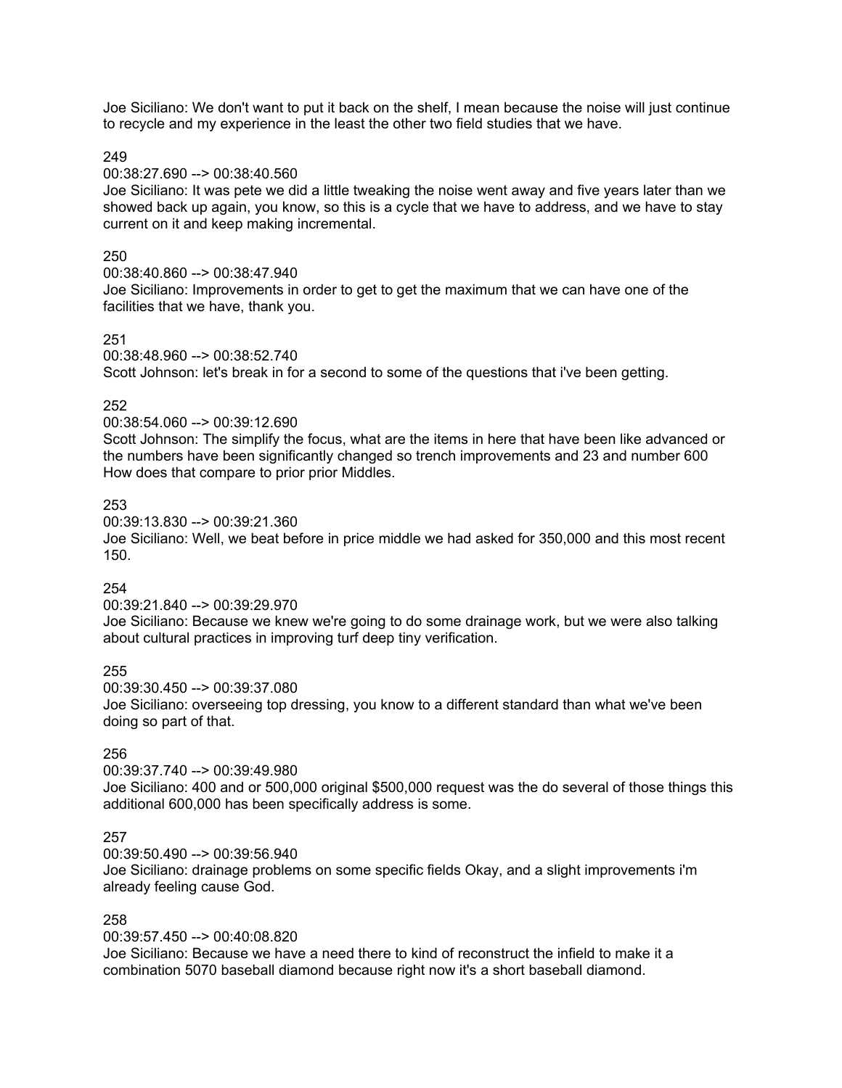Joe Siciliano: We don't want to put it back on the shelf, I mean because the noise will just continue to recycle and my experience in the least the other two field studies that we have.

249

#### 00:38:27.690 --> 00:38:40.560

Joe Siciliano: It was pete we did a little tweaking the noise went away and five years later than we showed back up again, you know, so this is a cycle that we have to address, and we have to stay current on it and keep making incremental.

## 250

00:38:40.860 --> 00:38:47.940 Joe Siciliano: Improvements in order to get to get the maximum that we can have one of the facilities that we have, thank you.

## 251

00:38:48.960 --> 00:38:52.740 Scott Johnson: let's break in for a second to some of the questions that i've been getting.

## 252

00:38:54.060 --> 00:39:12.690

Scott Johnson: The simplify the focus, what are the items in here that have been like advanced or the numbers have been significantly changed so trench improvements and 23 and number 600 How does that compare to prior prior Middles.

## 253

00:39:13.830 --> 00:39:21.360

Joe Siciliano: Well, we beat before in price middle we had asked for 350,000 and this most recent 150.

## 254

00:39:21.840 --> 00:39:29.970

Joe Siciliano: Because we knew we're going to do some drainage work, but we were also talking about cultural practices in improving turf deep tiny verification.

#### 255

00:39:30.450 --> 00:39:37.080 Joe Siciliano: overseeing top dressing, you know to a different standard than what we've been

doing so part of that.

## 256

00:39:37.740 --> 00:39:49.980

Joe Siciliano: 400 and or 500,000 original \$500,000 request was the do several of those things this additional 600,000 has been specifically address is some.

## 257

00:39:50.490 --> 00:39:56.940

Joe Siciliano: drainage problems on some specific fields Okay, and a slight improvements i'm already feeling cause God.

#### 258

00:39:57.450 --> 00:40:08.820

Joe Siciliano: Because we have a need there to kind of reconstruct the infield to make it a combination 5070 baseball diamond because right now it's a short baseball diamond.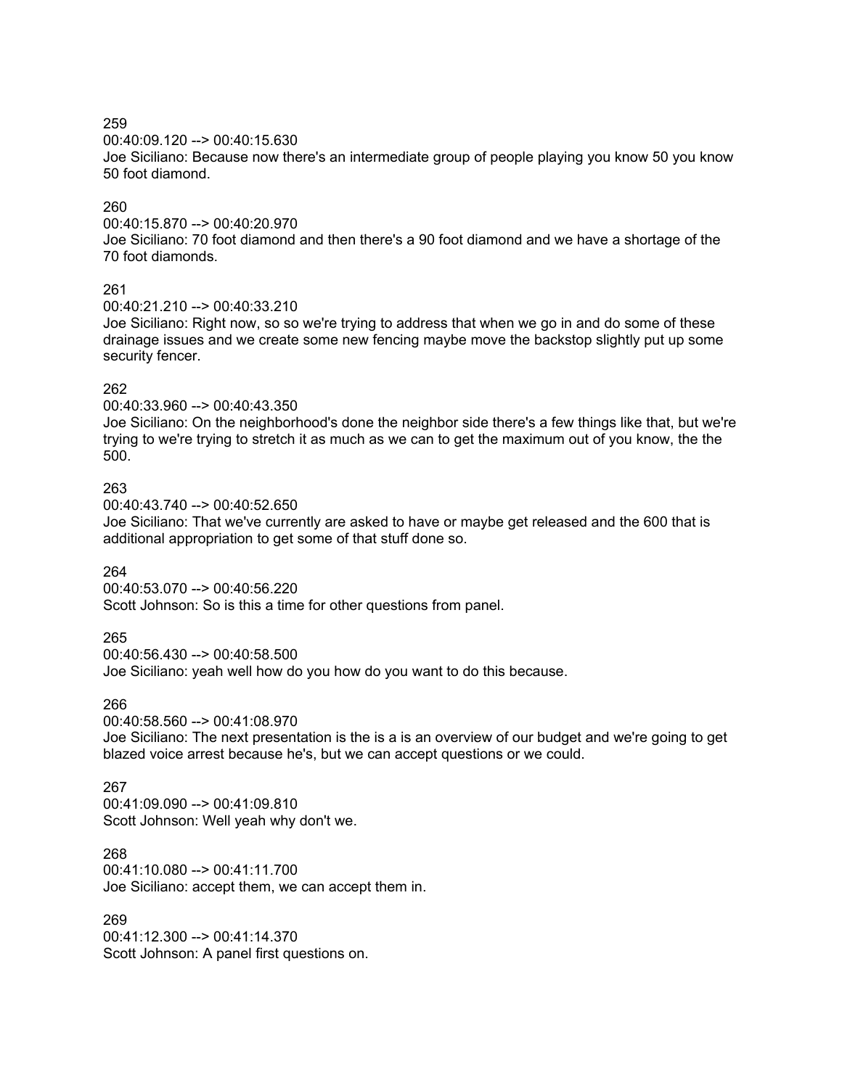00:40:09.120 --> 00:40:15.630

Joe Siciliano: Because now there's an intermediate group of people playing you know 50 you know 50 foot diamond.

## 260

00:40:15.870 --> 00:40:20.970

Joe Siciliano: 70 foot diamond and then there's a 90 foot diamond and we have a shortage of the 70 foot diamonds.

## 261

00:40:21.210 --> 00:40:33.210

Joe Siciliano: Right now, so so we're trying to address that when we go in and do some of these drainage issues and we create some new fencing maybe move the backstop slightly put up some security fencer.

# 262

00:40:33.960 --> 00:40:43.350

Joe Siciliano: On the neighborhood's done the neighbor side there's a few things like that, but we're trying to we're trying to stretch it as much as we can to get the maximum out of you know, the the 500.

# 263

00:40:43.740 --> 00:40:52.650

Joe Siciliano: That we've currently are asked to have or maybe get released and the 600 that is additional appropriation to get some of that stuff done so.

## 264

00:40:53.070 --> 00:40:56.220 Scott Johnson: So is this a time for other questions from panel.

# 265

00:40:56.430 --> 00:40:58.500 Joe Siciliano: yeah well how do you how do you want to do this because.

## 266

00:40:58.560 --> 00:41:08.970

Joe Siciliano: The next presentation is the is a is an overview of our budget and we're going to get blazed voice arrest because he's, but we can accept questions or we could.

## 267

00:41:09.090 --> 00:41:09.810 Scott Johnson: Well yeah why don't we.

# 268

00:41:10.080 --> 00:41:11.700 Joe Siciliano: accept them, we can accept them in.

## 269

00:41:12.300 --> 00:41:14.370 Scott Johnson: A panel first questions on.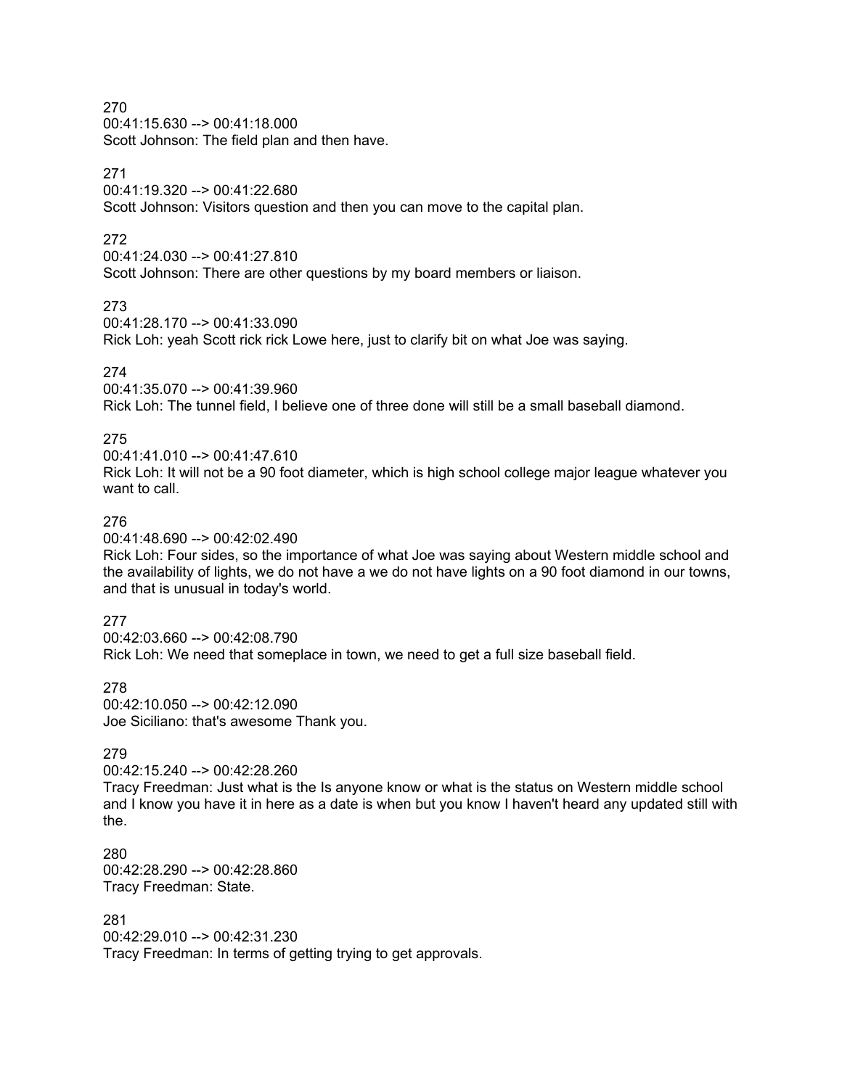00:41:15.630 --> 00:41:18.000 Scott Johnson: The field plan and then have.

## 271

00:41:19.320 --> 00:41:22.680

Scott Johnson: Visitors question and then you can move to the capital plan.

## 272

00:41:24.030 --> 00:41:27.810

Scott Johnson: There are other questions by my board members or liaison.

273

00:41:28.170 --> 00:41:33.090

Rick Loh: yeah Scott rick rick Lowe here, just to clarify bit on what Joe was saying.

## 274

00:41:35.070 --> 00:41:39.960

Rick Loh: The tunnel field, I believe one of three done will still be a small baseball diamond.

## 275

00:41:41.010 --> 00:41:47.610 Rick Loh: It will not be a 90 foot diameter, which is high school college major league whatever you want to call.

## 276

00:41:48.690 --> 00:42:02.490

Rick Loh: Four sides, so the importance of what Joe was saying about Western middle school and the availability of lights, we do not have a we do not have lights on a 90 foot diamond in our towns, and that is unusual in today's world.

## 277

00:42:03.660 --> 00:42:08.790 Rick Loh: We need that someplace in town, we need to get a full size baseball field.

278 00:42:10.050 --> 00:42:12.090 Joe Siciliano: that's awesome Thank you.

## 279

00:42:15.240 --> 00:42:28.260

Tracy Freedman: Just what is the Is anyone know or what is the status on Western middle school and I know you have it in here as a date is when but you know I haven't heard any updated still with the.

280 00:42:28.290 --> 00:42:28.860 Tracy Freedman: State.

## 281

00:42:29.010 --> 00:42:31.230 Tracy Freedman: In terms of getting trying to get approvals.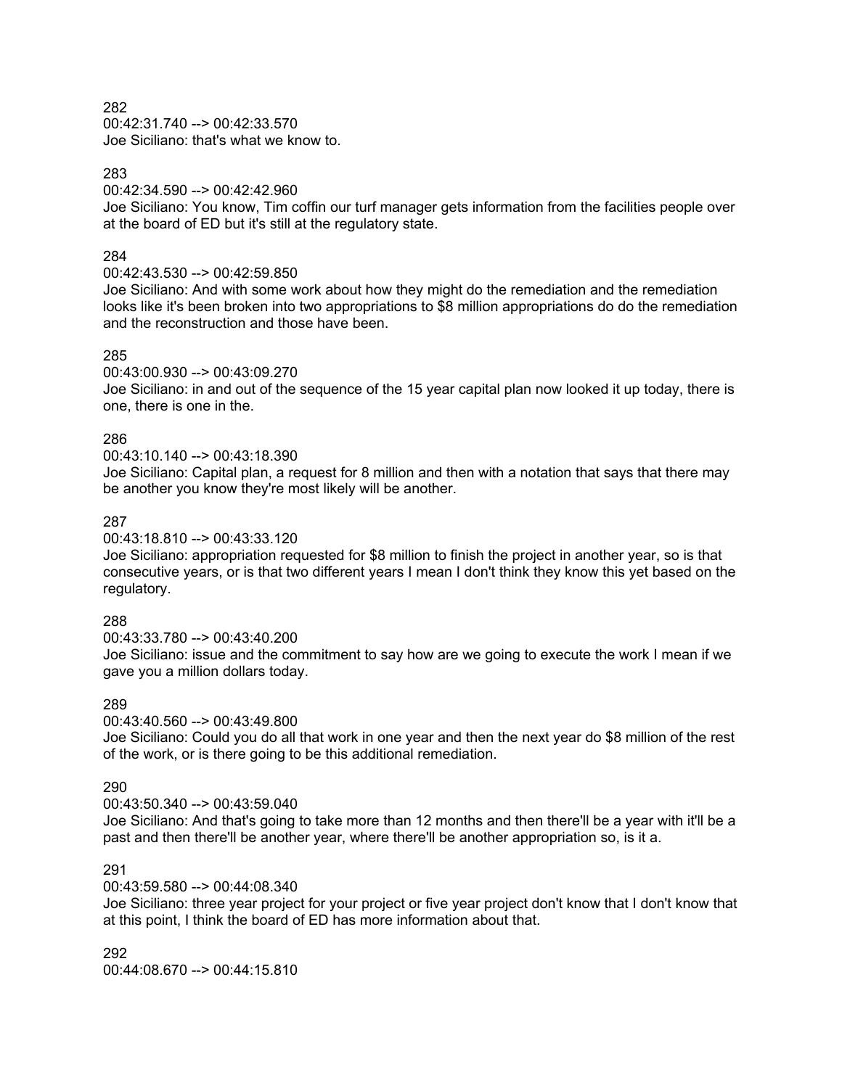00:42:31.740 --> 00:42:33.570 Joe Siciliano: that's what we know to.

#### 283

00:42:34.590 --> 00:42:42.960

Joe Siciliano: You know, Tim coffin our turf manager gets information from the facilities people over at the board of ED but it's still at the regulatory state.

#### 284

#### 00:42:43.530 --> 00:42:59.850

Joe Siciliano: And with some work about how they might do the remediation and the remediation looks like it's been broken into two appropriations to \$8 million appropriations do do the remediation and the reconstruction and those have been.

#### 285

#### 00:43:00.930 --> 00:43:09.270

Joe Siciliano: in and out of the sequence of the 15 year capital plan now looked it up today, there is one, there is one in the.

#### 286

#### 00:43:10.140 --> 00:43:18.390

Joe Siciliano: Capital plan, a request for 8 million and then with a notation that says that there may be another you know they're most likely will be another.

#### 287

#### 00:43:18.810 --> 00:43:33.120

Joe Siciliano: appropriation requested for \$8 million to finish the project in another year, so is that consecutive years, or is that two different years I mean I don't think they know this yet based on the regulatory.

#### 288

#### 00:43:33.780 --> 00:43:40.200 Joe Siciliano: issue and the commitment to say how are we going to execute the work I mean if we gave you a million dollars today.

#### 289

#### 00:43:40.560 --> 00:43:49.800

Joe Siciliano: Could you do all that work in one year and then the next year do \$8 million of the rest of the work, or is there going to be this additional remediation.

#### 290

#### 00:43:50.340 --> 00:43:59.040

Joe Siciliano: And that's going to take more than 12 months and then there'll be a year with it'll be a past and then there'll be another year, where there'll be another appropriation so, is it a.

## 291

#### 00:43:59.580 --> 00:44:08.340

Joe Siciliano: three year project for your project or five year project don't know that I don't know that at this point, I think the board of ED has more information about that.

292  $00:44:08.670 \rightarrow 00:44:15.810$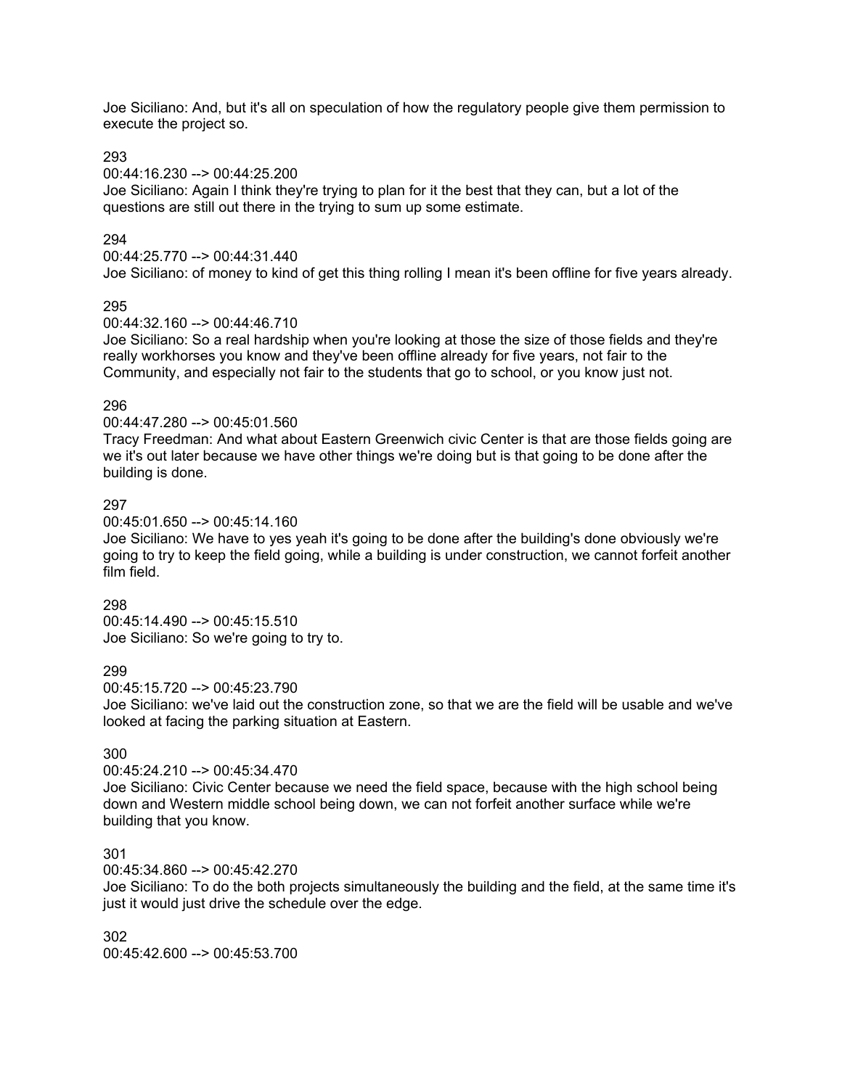Joe Siciliano: And, but it's all on speculation of how the regulatory people give them permission to execute the project so.

## 293

00:44:16.230 --> 00:44:25.200

Joe Siciliano: Again I think they're trying to plan for it the best that they can, but a lot of the questions are still out there in the trying to sum up some estimate.

## 294

00:44:25.770 --> 00:44:31.440

Joe Siciliano: of money to kind of get this thing rolling I mean it's been offline for five years already.

## 295

00:44:32.160 --> 00:44:46.710

Joe Siciliano: So a real hardship when you're looking at those the size of those fields and they're really workhorses you know and they've been offline already for five years, not fair to the Community, and especially not fair to the students that go to school, or you know just not.

## 296

00:44:47.280 --> 00:45:01.560

Tracy Freedman: And what about Eastern Greenwich civic Center is that are those fields going are we it's out later because we have other things we're doing but is that going to be done after the building is done.

## 297

00:45:01.650 --> 00:45:14.160

Joe Siciliano: We have to yes yeah it's going to be done after the building's done obviously we're going to try to keep the field going, while a building is under construction, we cannot forfeit another film field.

#### 298

00:45:14.490 --> 00:45:15.510 Joe Siciliano: So we're going to try to.

## 299

00:45:15.720 --> 00:45:23.790

Joe Siciliano: we've laid out the construction zone, so that we are the field will be usable and we've looked at facing the parking situation at Eastern.

## 300

#### 00:45:24.210 --> 00:45:34.470

Joe Siciliano: Civic Center because we need the field space, because with the high school being down and Western middle school being down, we can not forfeit another surface while we're building that you know.

## 301

00:45:34.860 --> 00:45:42.270

Joe Siciliano: To do the both projects simultaneously the building and the field, at the same time it's just it would just drive the schedule over the edge.

302 00:45:42.600 --> 00:45:53.700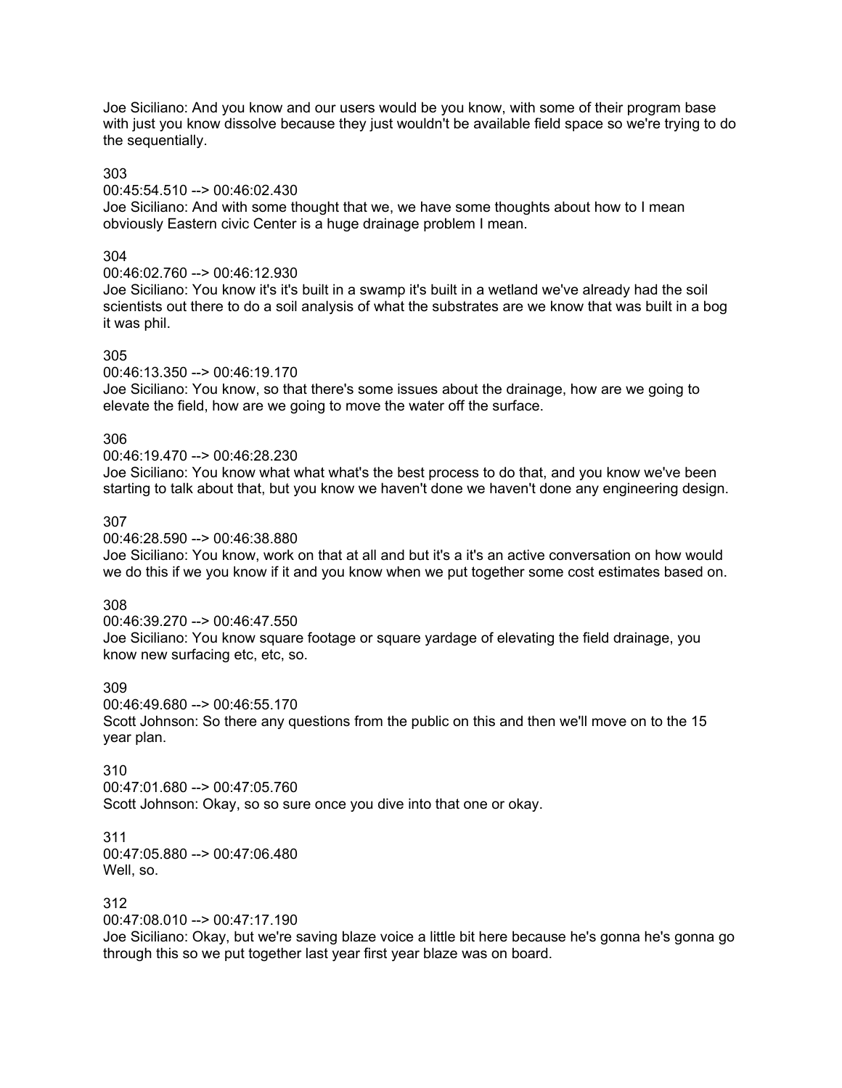Joe Siciliano: And you know and our users would be you know, with some of their program base with just you know dissolve because they just wouldn't be available field space so we're trying to do the sequentially.

#### 303

00:45:54.510 --> 00:46:02.430

Joe Siciliano: And with some thought that we, we have some thoughts about how to I mean obviously Eastern civic Center is a huge drainage problem I mean.

## 304

## 00:46:02.760 --> 00:46:12.930

Joe Siciliano: You know it's it's built in a swamp it's built in a wetland we've already had the soil scientists out there to do a soil analysis of what the substrates are we know that was built in a bog it was phil.

## 305

00:46:13.350 --> 00:46:19.170

Joe Siciliano: You know, so that there's some issues about the drainage, how are we going to elevate the field, how are we going to move the water off the surface.

## 306

## 00:46:19.470 --> 00:46:28.230

Joe Siciliano: You know what what what's the best process to do that, and you know we've been starting to talk about that, but you know we haven't done we haven't done any engineering design.

# 307

00:46:28.590 --> 00:46:38.880

Joe Siciliano: You know, work on that at all and but it's a it's an active conversation on how would we do this if we you know if it and you know when we put together some cost estimates based on.

## 308

00:46:39.270 --> 00:46:47.550 Joe Siciliano: You know square footage or square yardage of elevating the field drainage, you know new surfacing etc, etc, so.

## 309

00:46:49.680 --> 00:46:55.170 Scott Johnson: So there any questions from the public on this and then we'll move on to the 15 year plan.

# 310

00:47:01.680 --> 00:47:05.760 Scott Johnson: Okay, so so sure once you dive into that one or okay.

# 311

00:47:05.880 --> 00:47:06.480 Well, so.

## 312

00:47:08.010 --> 00:47:17.190

Joe Siciliano: Okay, but we're saving blaze voice a little bit here because he's gonna he's gonna go through this so we put together last year first year blaze was on board.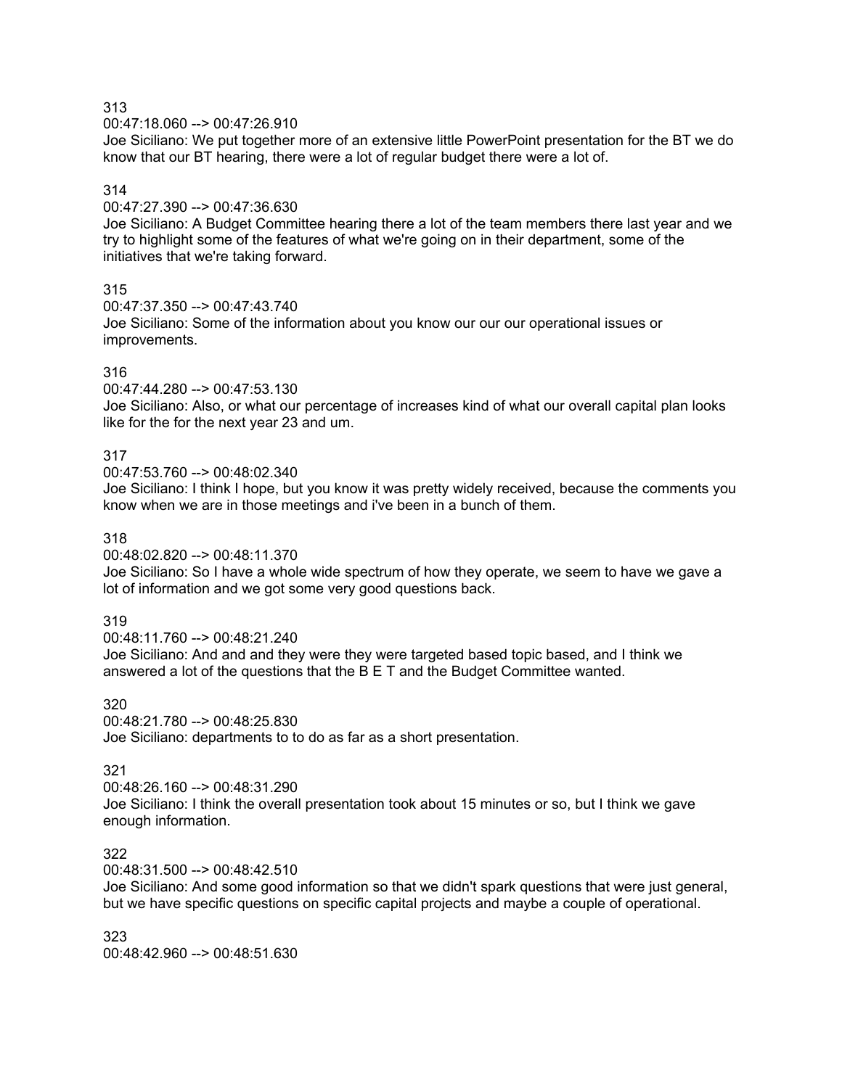00:47:18.060 --> 00:47:26.910

Joe Siciliano: We put together more of an extensive little PowerPoint presentation for the BT we do know that our BT hearing, there were a lot of regular budget there were a lot of.

## 314

00:47:27.390 --> 00:47:36.630

Joe Siciliano: A Budget Committee hearing there a lot of the team members there last year and we try to highlight some of the features of what we're going on in their department, some of the initiatives that we're taking forward.

## 315

00:47:37.350 --> 00:47:43.740

Joe Siciliano: Some of the information about you know our our our operational issues or improvements.

## 316

00:47:44.280 --> 00:47:53.130

Joe Siciliano: Also, or what our percentage of increases kind of what our overall capital plan looks like for the for the next year 23 and um.

## 317

00:47:53.760 --> 00:48:02.340

Joe Siciliano: I think I hope, but you know it was pretty widely received, because the comments you know when we are in those meetings and i've been in a bunch of them.

#### 318

00:48:02.820 --> 00:48:11.370

Joe Siciliano: So I have a whole wide spectrum of how they operate, we seem to have we gave a lot of information and we got some very good questions back.

#### 319

00:48:11.760 --> 00:48:21.240 Joe Siciliano: And and and they were they were targeted based topic based, and I think we answered a lot of the questions that the B E T and the Budget Committee wanted.

## 320

00:48:21.780 --> 00:48:25.830 Joe Siciliano: departments to to do as far as a short presentation.

# 321

00:48:26.160 --> 00:48:31.290 Joe Siciliano: I think the overall presentation took about 15 minutes or so, but I think we gave

enough information.

#### 322

00:48:31.500 --> 00:48:42.510

Joe Siciliano: And some good information so that we didn't spark questions that were just general, but we have specific questions on specific capital projects and maybe a couple of operational.

323 00:48:42.960 --> 00:48:51.630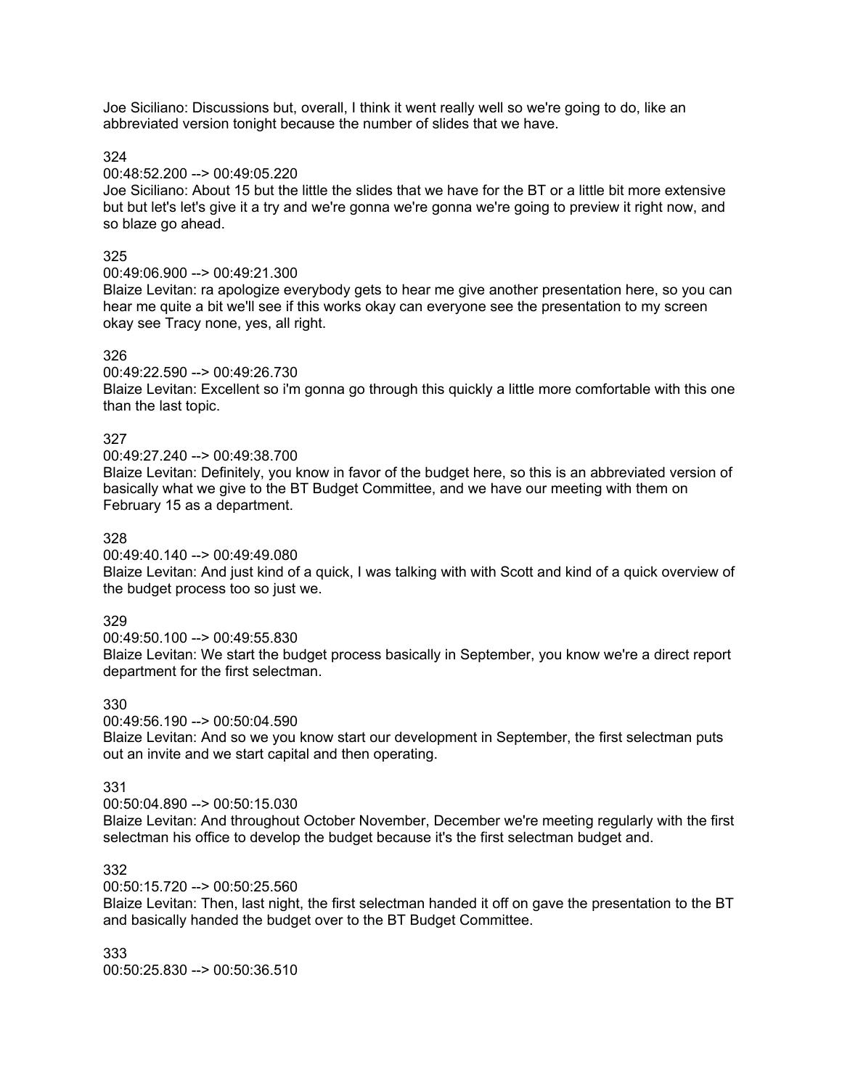Joe Siciliano: Discussions but, overall, I think it went really well so we're going to do, like an abbreviated version tonight because the number of slides that we have.

324

#### 00:48:52.200 --> 00:49:05.220

Joe Siciliano: About 15 but the little the slides that we have for the BT or a little bit more extensive but but let's let's give it a try and we're gonna we're gonna we're going to preview it right now, and so blaze go ahead.

## 325

## 00:49:06.900 --> 00:49:21.300

Blaize Levitan: ra apologize everybody gets to hear me give another presentation here, so you can hear me quite a bit we'll see if this works okay can everyone see the presentation to my screen okay see Tracy none, yes, all right.

#### 326

## 00:49:22.590 --> 00:49:26.730

Blaize Levitan: Excellent so i'm gonna go through this quickly a little more comfortable with this one than the last topic.

## 327

## 00:49:27.240 --> 00:49:38.700

Blaize Levitan: Definitely, you know in favor of the budget here, so this is an abbreviated version of basically what we give to the BT Budget Committee, and we have our meeting with them on February 15 as a department.

## 328

#### 00:49:40.140 --> 00:49:49.080

Blaize Levitan: And just kind of a quick, I was talking with with Scott and kind of a quick overview of the budget process too so just we.

## 329

00:49:50.100 --> 00:49:55.830 Blaize Levitan: We start the budget process basically in September, you know we're a direct report department for the first selectman.

## 330

00:49:56.190 --> 00:50:04.590 Blaize Levitan: And so we you know start our development in September, the first selectman puts out an invite and we start capital and then operating.

#### 331

00:50:04.890 --> 00:50:15.030

Blaize Levitan: And throughout October November, December we're meeting regularly with the first selectman his office to develop the budget because it's the first selectman budget and.

## 332

#### 00:50:15.720 --> 00:50:25.560

Blaize Levitan: Then, last night, the first selectman handed it off on gave the presentation to the BT and basically handed the budget over to the BT Budget Committee.

333 00:50:25.830 --> 00:50:36.510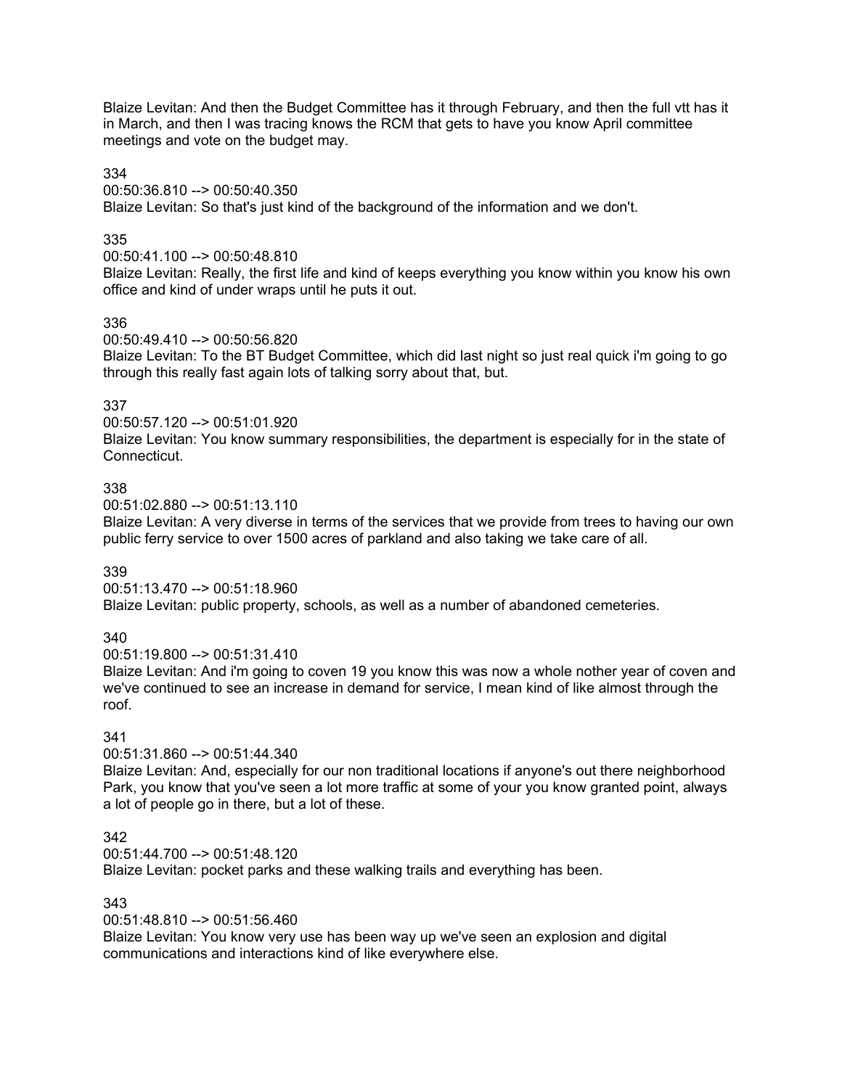Blaize Levitan: And then the Budget Committee has it through February, and then the full vtt has it in March, and then I was tracing knows the RCM that gets to have you know April committee meetings and vote on the budget may.

#### 334

00:50:36.810 --> 00:50:40.350

Blaize Levitan: So that's just kind of the background of the information and we don't.

## 335

00:50:41.100 --> 00:50:48.810

Blaize Levitan: Really, the first life and kind of keeps everything you know within you know his own office and kind of under wraps until he puts it out.

## 336

00:50:49.410 --> 00:50:56.820

Blaize Levitan: To the BT Budget Committee, which did last night so just real quick i'm going to go through this really fast again lots of talking sorry about that, but.

## 337

00:50:57.120 --> 00:51:01.920

Blaize Levitan: You know summary responsibilities, the department is especially for in the state of Connecticut.

## 338

00:51:02.880 --> 00:51:13.110

Blaize Levitan: A very diverse in terms of the services that we provide from trees to having our own public ferry service to over 1500 acres of parkland and also taking we take care of all.

#### 339

00:51:13.470 --> 00:51:18.960

Blaize Levitan: public property, schools, as well as a number of abandoned cemeteries.

## 340

00:51:19.800 --> 00:51:31.410

Blaize Levitan: And i'm going to coven 19 you know this was now a whole nother year of coven and we've continued to see an increase in demand for service, I mean kind of like almost through the roof.

#### 341

00:51:31.860 --> 00:51:44.340

Blaize Levitan: And, especially for our non traditional locations if anyone's out there neighborhood Park, you know that you've seen a lot more traffic at some of your you know granted point, always a lot of people go in there, but a lot of these.

## 342

00:51:44.700 --> 00:51:48.120

Blaize Levitan: pocket parks and these walking trails and everything has been.

#### 343

00:51:48.810 --> 00:51:56.460

Blaize Levitan: You know very use has been way up we've seen an explosion and digital communications and interactions kind of like everywhere else.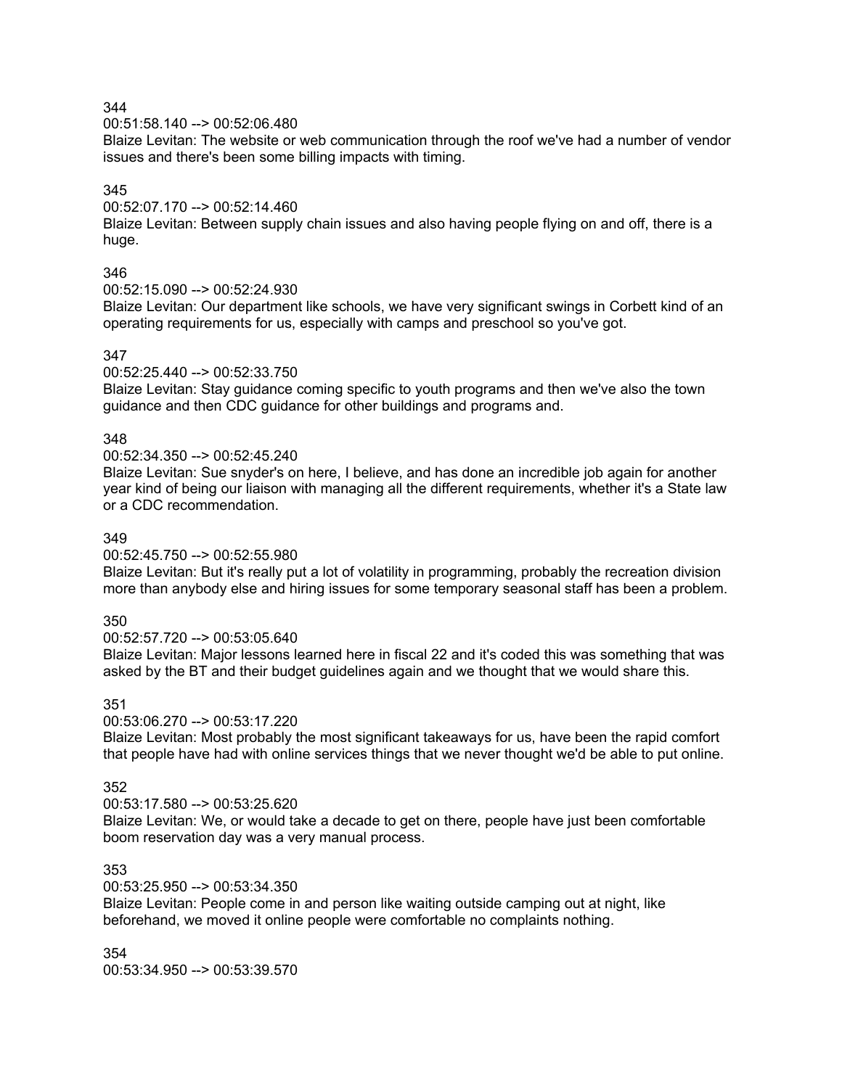00:51:58.140 --> 00:52:06.480

Blaize Levitan: The website or web communication through the roof we've had a number of vendor issues and there's been some billing impacts with timing.

## 345

00:52:07.170 --> 00:52:14.460

Blaize Levitan: Between supply chain issues and also having people flying on and off, there is a huge.

## 346

00:52:15.090 --> 00:52:24.930

Blaize Levitan: Our department like schools, we have very significant swings in Corbett kind of an operating requirements for us, especially with camps and preschool so you've got.

## 347

00:52:25.440 --> 00:52:33.750

Blaize Levitan: Stay guidance coming specific to youth programs and then we've also the town guidance and then CDC guidance for other buildings and programs and.

## 348

#### 00:52:34.350 --> 00:52:45.240

Blaize Levitan: Sue snyder's on here, I believe, and has done an incredible job again for another year kind of being our liaison with managing all the different requirements, whether it's a State law or a CDC recommendation.

#### 349

#### 00:52:45.750 --> 00:52:55.980

Blaize Levitan: But it's really put a lot of volatility in programming, probably the recreation division more than anybody else and hiring issues for some temporary seasonal staff has been a problem.

#### 350

#### 00:52:57.720 --> 00:53:05.640

Blaize Levitan: Major lessons learned here in fiscal 22 and it's coded this was something that was asked by the BT and their budget guidelines again and we thought that we would share this.

#### 351

00:53:06.270 --> 00:53:17.220

Blaize Levitan: Most probably the most significant takeaways for us, have been the rapid comfort that people have had with online services things that we never thought we'd be able to put online.

#### 352

00:53:17.580 --> 00:53:25.620

Blaize Levitan: We, or would take a decade to get on there, people have just been comfortable boom reservation day was a very manual process.

#### 353

#### 00:53:25.950 --> 00:53:34.350

Blaize Levitan: People come in and person like waiting outside camping out at night, like beforehand, we moved it online people were comfortable no complaints nothing.

354 00:53:34.950 --> 00:53:39.570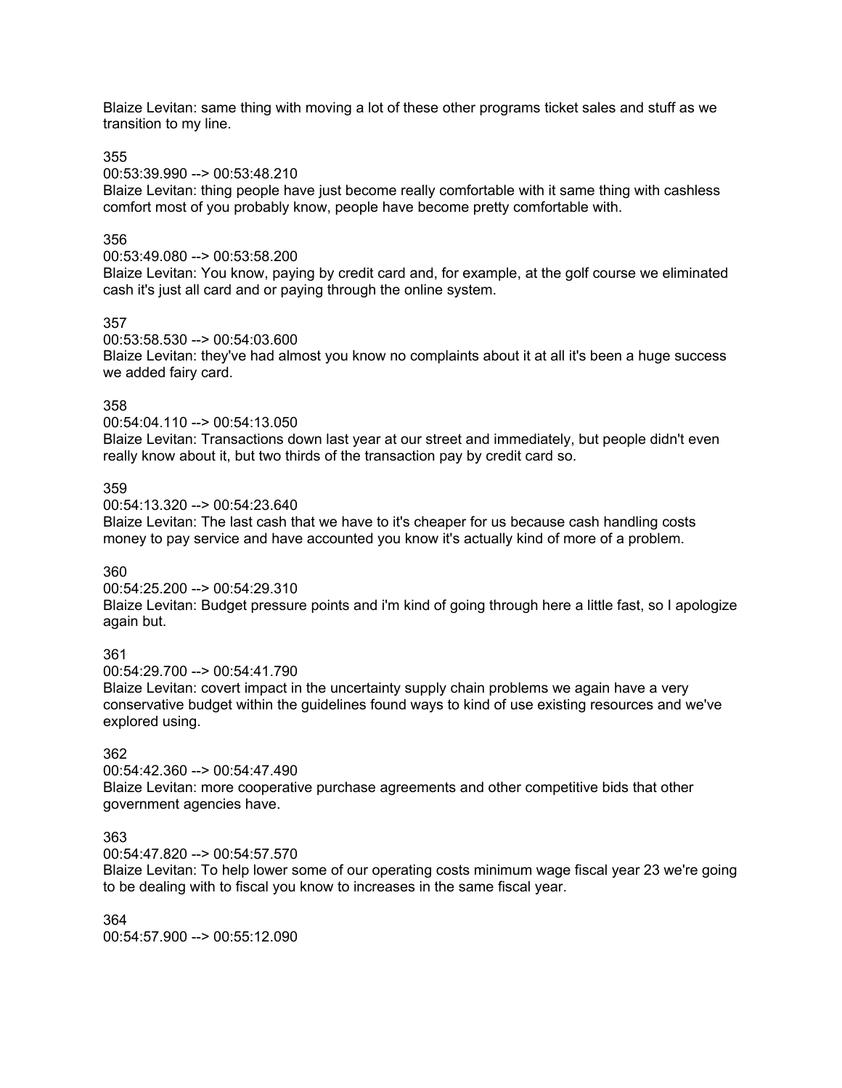Blaize Levitan: same thing with moving a lot of these other programs ticket sales and stuff as we transition to my line.

355

00:53:39.990 --> 00:53:48.210

Blaize Levitan: thing people have just become really comfortable with it same thing with cashless comfort most of you probably know, people have become pretty comfortable with.

## 356

00:53:49.080 --> 00:53:58.200

Blaize Levitan: You know, paying by credit card and, for example, at the golf course we eliminated cash it's just all card and or paying through the online system.

## 357

00:53:58.530 --> 00:54:03.600

Blaize Levitan: they've had almost you know no complaints about it at all it's been a huge success we added fairy card.

## 358

00:54:04.110 --> 00:54:13.050

Blaize Levitan: Transactions down last year at our street and immediately, but people didn't even really know about it, but two thirds of the transaction pay by credit card so.

## 359

00:54:13.320 --> 00:54:23.640

Blaize Levitan: The last cash that we have to it's cheaper for us because cash handling costs money to pay service and have accounted you know it's actually kind of more of a problem.

#### 360

00:54:25.200 --> 00:54:29.310

Blaize Levitan: Budget pressure points and i'm kind of going through here a little fast, so I apologize again but.

## 361

00:54:29.700 --> 00:54:41.790

Blaize Levitan: covert impact in the uncertainty supply chain problems we again have a very conservative budget within the guidelines found ways to kind of use existing resources and we've explored using.

# 362

00:54:42.360 --> 00:54:47.490 Blaize Levitan: more cooperative purchase agreements and other competitive bids that other government agencies have.

## 363

00:54:47.820 --> 00:54:57.570

Blaize Levitan: To help lower some of our operating costs minimum wage fiscal year 23 we're going to be dealing with to fiscal you know to increases in the same fiscal year.

364 00:54:57.900 --> 00:55:12.090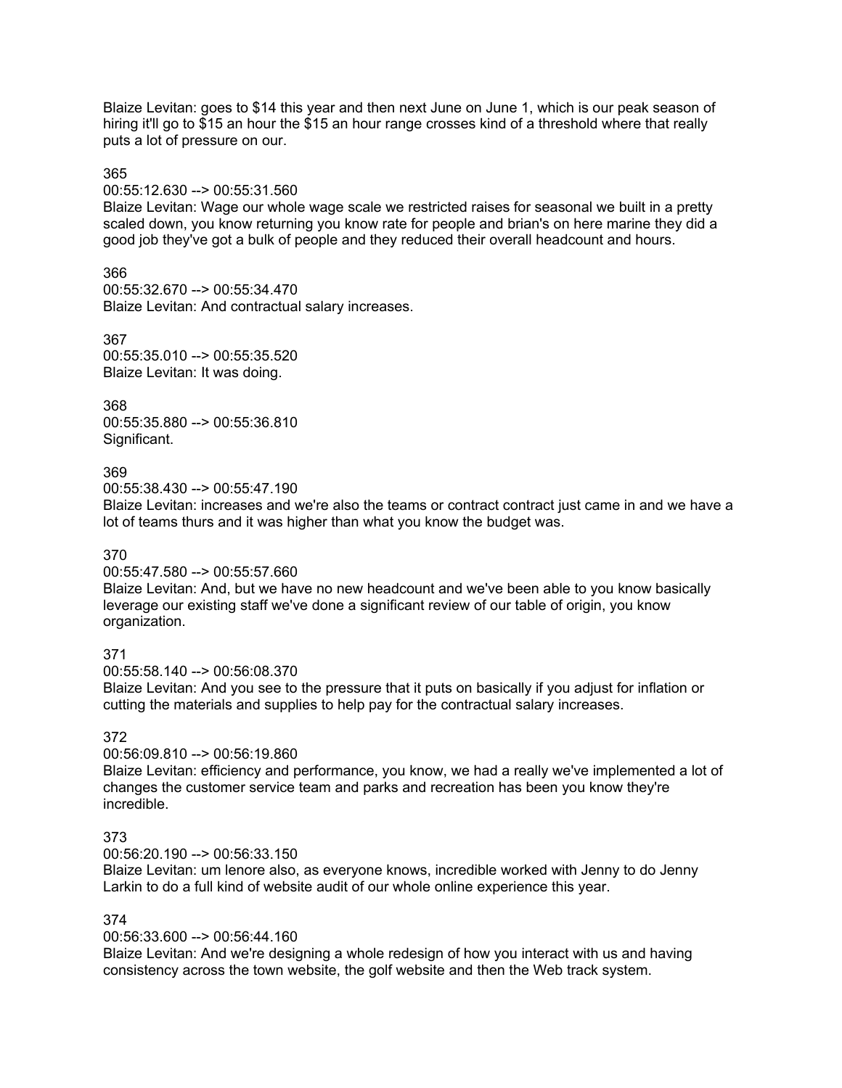Blaize Levitan: goes to \$14 this year and then next June on June 1, which is our peak season of hiring it'll go to \$15 an hour the \$15 an hour range crosses kind of a threshold where that really puts a lot of pressure on our.

#### 365

#### 00:55:12.630 --> 00:55:31.560

Blaize Levitan: Wage our whole wage scale we restricted raises for seasonal we built in a pretty scaled down, you know returning you know rate for people and brian's on here marine they did a good job they've got a bulk of people and they reduced their overall headcount and hours.

# 366

00:55:32.670 --> 00:55:34.470 Blaize Levitan: And contractual salary increases.

367 00:55:35.010 --> 00:55:35.520 Blaize Levitan: It was doing.

368 00:55:35.880 --> 00:55:36.810 Significant.

# 369

00:55:38.430 --> 00:55:47.190

Blaize Levitan: increases and we're also the teams or contract contract just came in and we have a lot of teams thurs and it was higher than what you know the budget was.

## 370

#### 00:55:47.580 --> 00:55:57.660

Blaize Levitan: And, but we have no new headcount and we've been able to you know basically leverage our existing staff we've done a significant review of our table of origin, you know organization.

## 371

00:55:58.140 --> 00:56:08.370

Blaize Levitan: And you see to the pressure that it puts on basically if you adjust for inflation or cutting the materials and supplies to help pay for the contractual salary increases.

## 372

## 00:56:09.810 --> 00:56:19.860

Blaize Levitan: efficiency and performance, you know, we had a really we've implemented a lot of changes the customer service team and parks and recreation has been you know they're incredible.

## 373

## 00:56:20.190 --> 00:56:33.150

Blaize Levitan: um lenore also, as everyone knows, incredible worked with Jenny to do Jenny Larkin to do a full kind of website audit of our whole online experience this year.

## 374

## 00:56:33.600 --> 00:56:44.160

Blaize Levitan: And we're designing a whole redesign of how you interact with us and having consistency across the town website, the golf website and then the Web track system.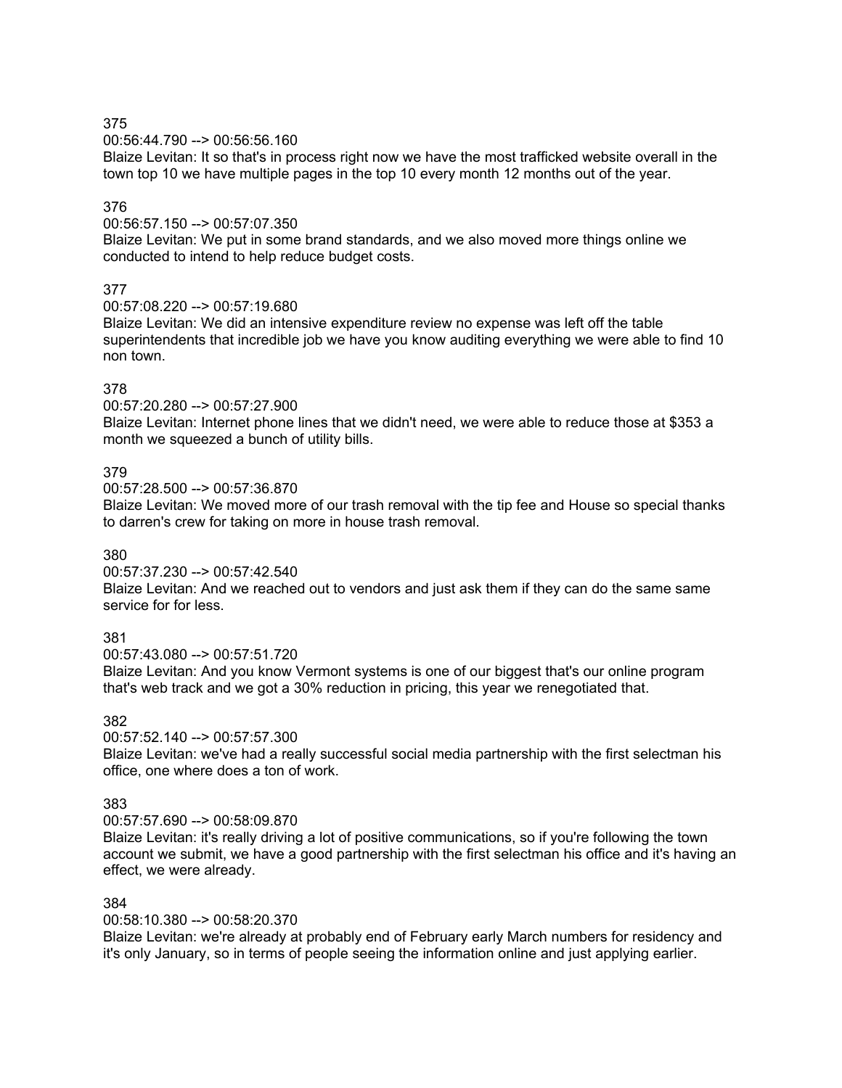00:56:44.790 --> 00:56:56.160

Blaize Levitan: It so that's in process right now we have the most trafficked website overall in the town top 10 we have multiple pages in the top 10 every month 12 months out of the year.

# 376

00:56:57.150 --> 00:57:07.350

Blaize Levitan: We put in some brand standards, and we also moved more things online we conducted to intend to help reduce budget costs.

## 377

00:57:08.220 --> 00:57:19.680

Blaize Levitan: We did an intensive expenditure review no expense was left off the table superintendents that incredible job we have you know auditing everything we were able to find 10 non town.

## 378

00:57:20.280 --> 00:57:27.900

Blaize Levitan: Internet phone lines that we didn't need, we were able to reduce those at \$353 a month we squeezed a bunch of utility bills.

## 379

00:57:28.500 --> 00:57:36.870

Blaize Levitan: We moved more of our trash removal with the tip fee and House so special thanks to darren's crew for taking on more in house trash removal.

#### 380

00:57:37.230 --> 00:57:42.540

Blaize Levitan: And we reached out to vendors and just ask them if they can do the same same service for for less.

## 381

00:57:43.080 --> 00:57:51.720

Blaize Levitan: And you know Vermont systems is one of our biggest that's our online program that's web track and we got a 30% reduction in pricing, this year we renegotiated that.

382

00:57:52.140 --> 00:57:57.300

Blaize Levitan: we've had a really successful social media partnership with the first selectman his office, one where does a ton of work.

## 383

00:57:57.690 --> 00:58:09.870

Blaize Levitan: it's really driving a lot of positive communications, so if you're following the town account we submit, we have a good partnership with the first selectman his office and it's having an effect, we were already.

#### 384

00:58:10.380 --> 00:58:20.370

Blaize Levitan: we're already at probably end of February early March numbers for residency and it's only January, so in terms of people seeing the information online and just applying earlier.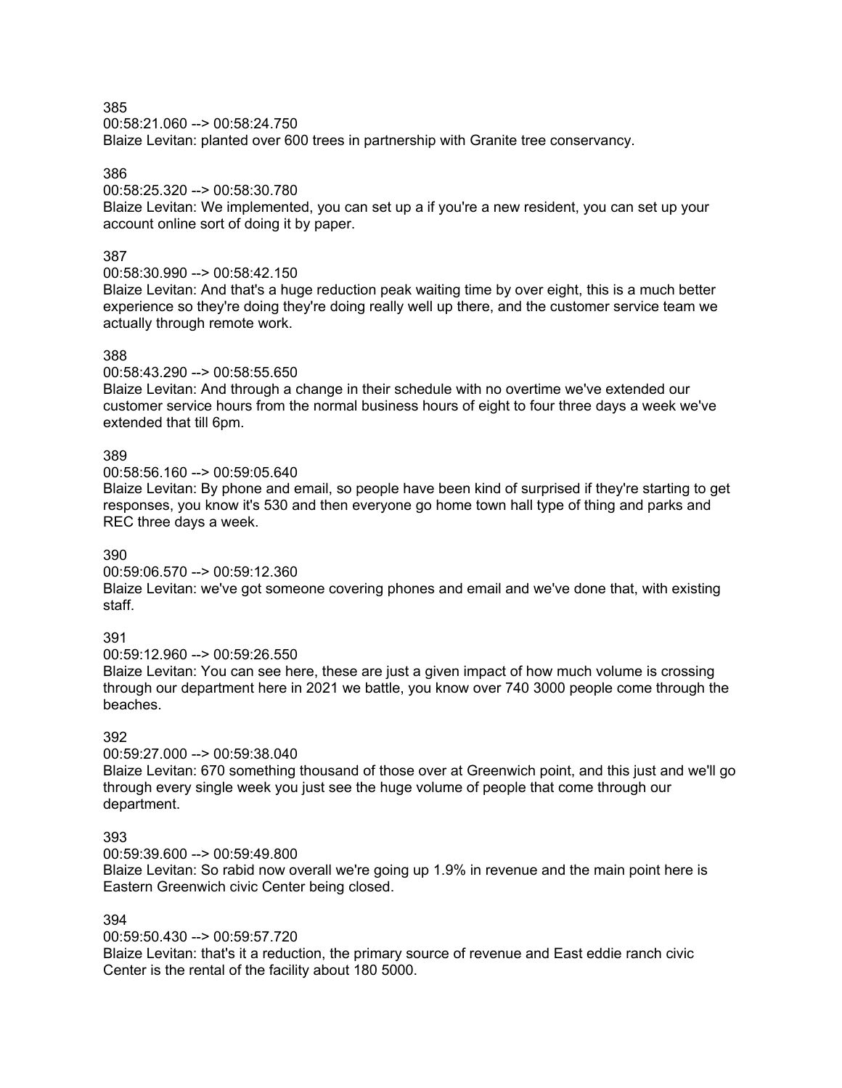00:58:21.060 --> 00:58:24.750 Blaize Levitan: planted over 600 trees in partnership with Granite tree conservancy.

386

00:58:25.320 --> 00:58:30.780

Blaize Levitan: We implemented, you can set up a if you're a new resident, you can set up your account online sort of doing it by paper.

## 387

00:58:30.990 --> 00:58:42.150

Blaize Levitan: And that's a huge reduction peak waiting time by over eight, this is a much better experience so they're doing they're doing really well up there, and the customer service team we actually through remote work.

## 388

00:58:43.290 --> 00:58:55.650

Blaize Levitan: And through a change in their schedule with no overtime we've extended our customer service hours from the normal business hours of eight to four three days a week we've extended that till 6pm.

## 389

00:58:56.160 --> 00:59:05.640

Blaize Levitan: By phone and email, so people have been kind of surprised if they're starting to get responses, you know it's 530 and then everyone go home town hall type of thing and parks and REC three days a week.

## 390

00:59:06.570 --> 00:59:12.360

Blaize Levitan: we've got someone covering phones and email and we've done that, with existing staff.

## 391

00:59:12.960 --> 00:59:26.550

Blaize Levitan: You can see here, these are just a given impact of how much volume is crossing through our department here in 2021 we battle, you know over 740 3000 people come through the beaches.

# 392

00:59:27.000 --> 00:59:38.040

Blaize Levitan: 670 something thousand of those over at Greenwich point, and this just and we'll go through every single week you just see the huge volume of people that come through our department.

## 393

00:59:39.600 --> 00:59:49.800

Blaize Levitan: So rabid now overall we're going up 1.9% in revenue and the main point here is Eastern Greenwich civic Center being closed.

## 394

00:59:50.430 --> 00:59:57.720

Blaize Levitan: that's it a reduction, the primary source of revenue and East eddie ranch civic Center is the rental of the facility about 180 5000.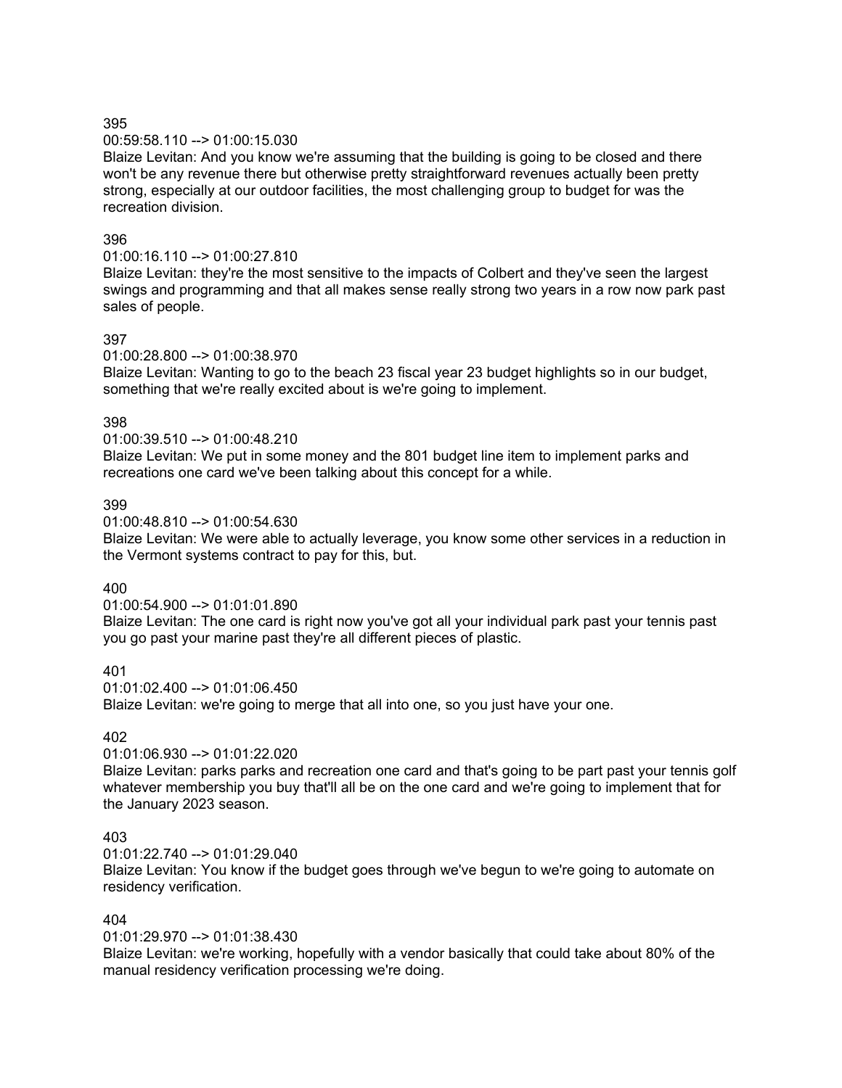00:59:58.110 --> 01:00:15.030

Blaize Levitan: And you know we're assuming that the building is going to be closed and there won't be any revenue there but otherwise pretty straightforward revenues actually been pretty strong, especially at our outdoor facilities, the most challenging group to budget for was the recreation division.

## 396

01:00:16.110 --> 01:00:27.810

Blaize Levitan: they're the most sensitive to the impacts of Colbert and they've seen the largest swings and programming and that all makes sense really strong two years in a row now park past sales of people.

## 397

01:00:28.800 --> 01:00:38.970

Blaize Levitan: Wanting to go to the beach 23 fiscal year 23 budget highlights so in our budget, something that we're really excited about is we're going to implement.

## 398

01:00:39.510 --> 01:00:48.210

Blaize Levitan: We put in some money and the 801 budget line item to implement parks and recreations one card we've been talking about this concept for a while.

## 399

01:00:48.810 --> 01:00:54.630

Blaize Levitan: We were able to actually leverage, you know some other services in a reduction in the Vermont systems contract to pay for this, but.

## 400

01:00:54.900 --> 01:01:01.890

Blaize Levitan: The one card is right now you've got all your individual park past your tennis past you go past your marine past they're all different pieces of plastic.

401

01:01:02.400 --> 01:01:06.450

Blaize Levitan: we're going to merge that all into one, so you just have your one.

# 402

01:01:06.930 --> 01:01:22.020

Blaize Levitan: parks parks and recreation one card and that's going to be part past your tennis golf whatever membership you buy that'll all be on the one card and we're going to implement that for the January 2023 season.

### 403

01:01:22.740 --> 01:01:29.040

Blaize Levitan: You know if the budget goes through we've begun to we're going to automate on residency verification.

#### 404

01:01:29.970 --> 01:01:38.430

Blaize Levitan: we're working, hopefully with a vendor basically that could take about 80% of the manual residency verification processing we're doing.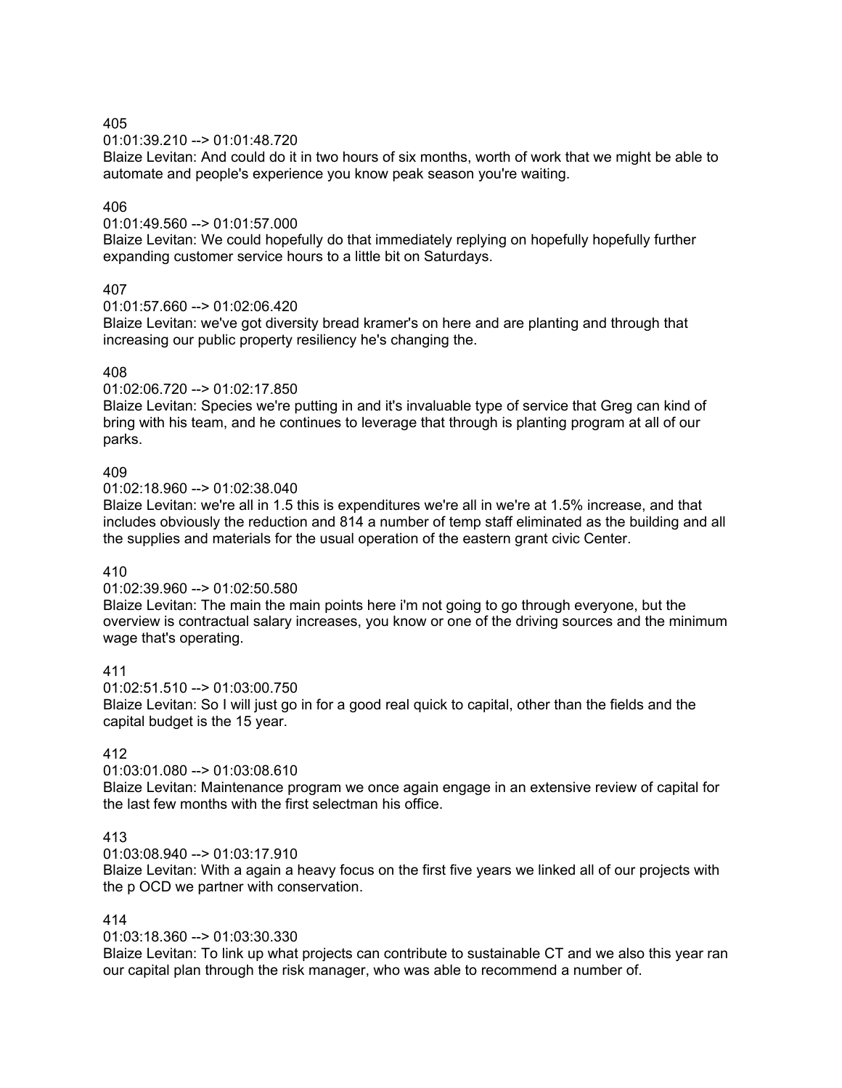## 01:01:39.210 --> 01:01:48.720

Blaize Levitan: And could do it in two hours of six months, worth of work that we might be able to automate and people's experience you know peak season you're waiting.

## 406

01:01:49.560 --> 01:01:57.000

Blaize Levitan: We could hopefully do that immediately replying on hopefully hopefully further expanding customer service hours to a little bit on Saturdays.

## 407

#### 01:01:57.660 --> 01:02:06.420

Blaize Levitan: we've got diversity bread kramer's on here and are planting and through that increasing our public property resiliency he's changing the.

## 408

#### 01:02:06.720 --> 01:02:17.850

Blaize Levitan: Species we're putting in and it's invaluable type of service that Greg can kind of bring with his team, and he continues to leverage that through is planting program at all of our parks.

## 409

#### 01:02:18.960 --> 01:02:38.040

Blaize Levitan: we're all in 1.5 this is expenditures we're all in we're at 1.5% increase, and that includes obviously the reduction and 814 a number of temp staff eliminated as the building and all the supplies and materials for the usual operation of the eastern grant civic Center.

#### 410

## 01:02:39.960 --> 01:02:50.580

Blaize Levitan: The main the main points here i'm not going to go through everyone, but the overview is contractual salary increases, you know or one of the driving sources and the minimum wage that's operating.

#### 411

01:02:51.510 --> 01:03:00.750 Blaize Levitan: So I will just go in for a good real quick to capital, other than the fields and the capital budget is the 15 year.

## 412

## 01:03:01.080 --> 01:03:08.610

Blaize Levitan: Maintenance program we once again engage in an extensive review of capital for the last few months with the first selectman his office.

## 413

#### 01:03:08.940 --> 01:03:17.910

Blaize Levitan: With a again a heavy focus on the first five years we linked all of our projects with the p OCD we partner with conservation.

#### 414

#### 01:03:18.360 --> 01:03:30.330

Blaize Levitan: To link up what projects can contribute to sustainable CT and we also this year ran our capital plan through the risk manager, who was able to recommend a number of.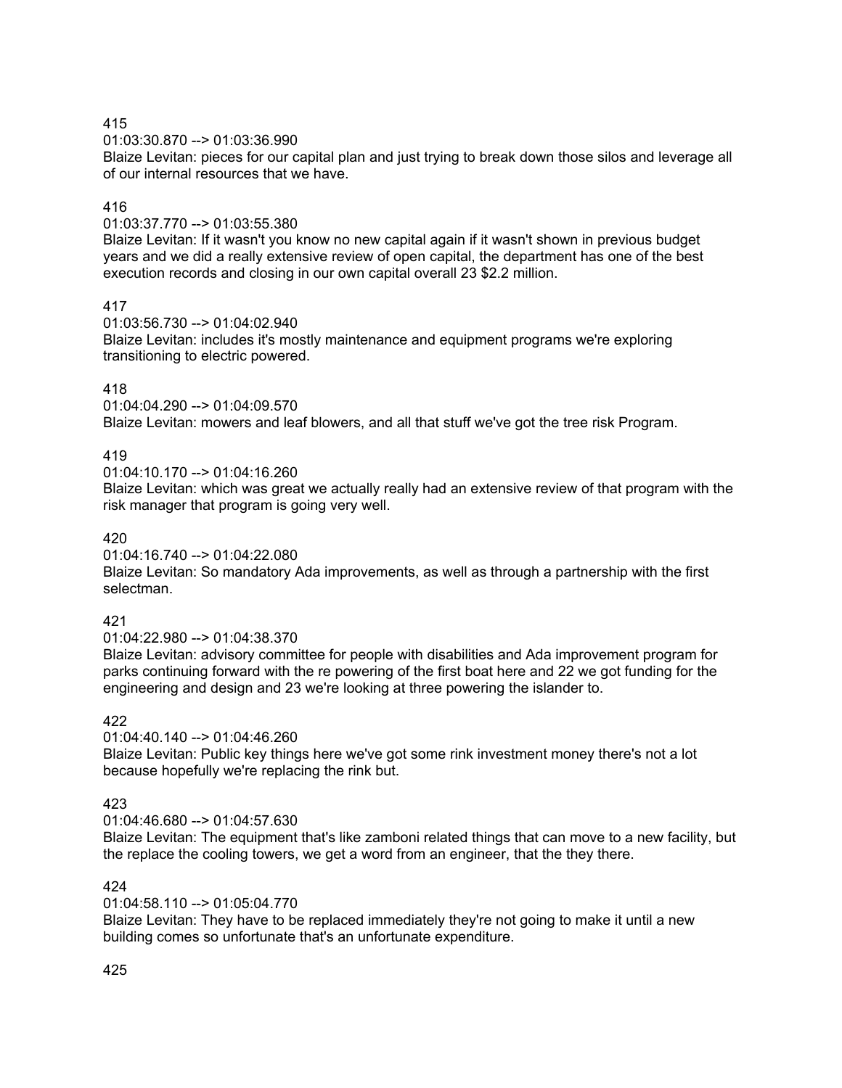01:03:30.870 --> 01:03:36.990

Blaize Levitan: pieces for our capital plan and just trying to break down those silos and leverage all of our internal resources that we have.

# 416

01:03:37.770 --> 01:03:55.380

Blaize Levitan: If it wasn't you know no new capital again if it wasn't shown in previous budget years and we did a really extensive review of open capital, the department has one of the best execution records and closing in our own capital overall 23 \$2.2 million.

417

01:03:56.730 --> 01:04:02.940

Blaize Levitan: includes it's mostly maintenance and equipment programs we're exploring transitioning to electric powered.

## 418

01:04:04.290 --> 01:04:09.570

Blaize Levitan: mowers and leaf blowers, and all that stuff we've got the tree risk Program.

# 419

 $01:04:10$  170 -->  $01:04:16$  260

Blaize Levitan: which was great we actually really had an extensive review of that program with the risk manager that program is going very well.

## 420

01:04:16.740 --> 01:04:22.080

Blaize Levitan: So mandatory Ada improvements, as well as through a partnership with the first selectman.

## 421

01:04:22.980 --> 01:04:38.370

Blaize Levitan: advisory committee for people with disabilities and Ada improvement program for parks continuing forward with the re powering of the first boat here and 22 we got funding for the engineering and design and 23 we're looking at three powering the islander to.

## 422

 $01:04:40.140 \rightarrow 01:04:46.260$ 

Blaize Levitan: Public key things here we've got some rink investment money there's not a lot because hopefully we're replacing the rink but.

# 423

 $01:04:46.680 \rightarrow 01:04:57.630$ 

Blaize Levitan: The equipment that's like zamboni related things that can move to a new facility, but the replace the cooling towers, we get a word from an engineer, that the they there.

# 424

01:04:58.110 --> 01:05:04.770

Blaize Levitan: They have to be replaced immediately they're not going to make it until a new building comes so unfortunate that's an unfortunate expenditure.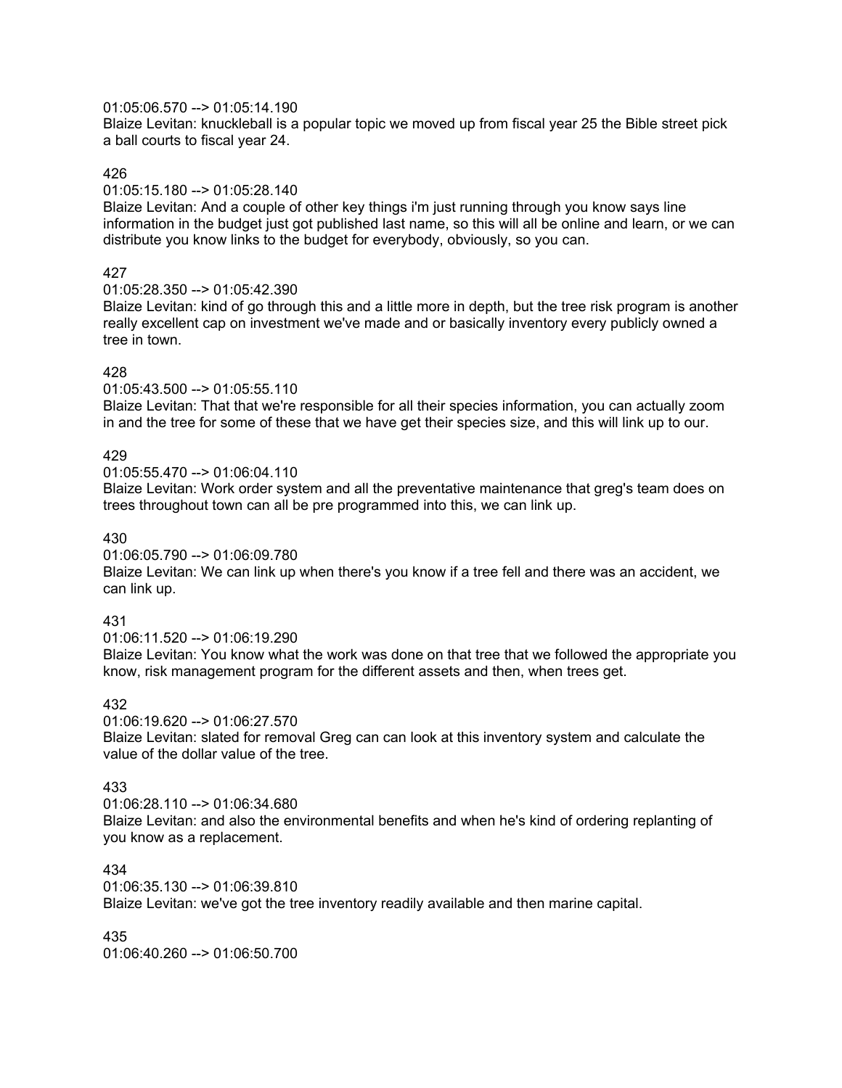## 01:05:06.570 --> 01:05:14.190

Blaize Levitan: knuckleball is a popular topic we moved up from fiscal year 25 the Bible street pick a ball courts to fiscal year 24.

#### 426

01:05:15.180 --> 01:05:28.140

Blaize Levitan: And a couple of other key things i'm just running through you know says line information in the budget just got published last name, so this will all be online and learn, or we can distribute you know links to the budget for everybody, obviously, so you can.

## 427

01:05:28.350 --> 01:05:42.390

Blaize Levitan: kind of go through this and a little more in depth, but the tree risk program is another really excellent cap on investment we've made and or basically inventory every publicly owned a tree in town.

## 428

01:05:43.500 --> 01:05:55.110

Blaize Levitan: That that we're responsible for all their species information, you can actually zoom in and the tree for some of these that we have get their species size, and this will link up to our.

## 429

 $01:05:55.470 \rightarrow 01:06:04.110$ 

Blaize Levitan: Work order system and all the preventative maintenance that greg's team does on trees throughout town can all be pre programmed into this, we can link up.

430

01:06:05.790 --> 01:06:09.780

Blaize Levitan: We can link up when there's you know if a tree fell and there was an accident, we can link up.

## 431

 $01:06:11.520 \rightarrow 01:06:19.290$ 

Blaize Levitan: You know what the work was done on that tree that we followed the appropriate you know, risk management program for the different assets and then, when trees get.

## 432

01:06:19.620 --> 01:06:27.570 Blaize Levitan: slated for removal Greg can can look at this inventory system and calculate the value of the dollar value of the tree.

#### 433

01:06:28.110 --> 01:06:34.680 Blaize Levitan: and also the environmental benefits and when he's kind of ordering replanting of you know as a replacement.

### 434

01:06:35.130 --> 01:06:39.810

Blaize Levitan: we've got the tree inventory readily available and then marine capital.

435

01:06:40.260 --> 01:06:50.700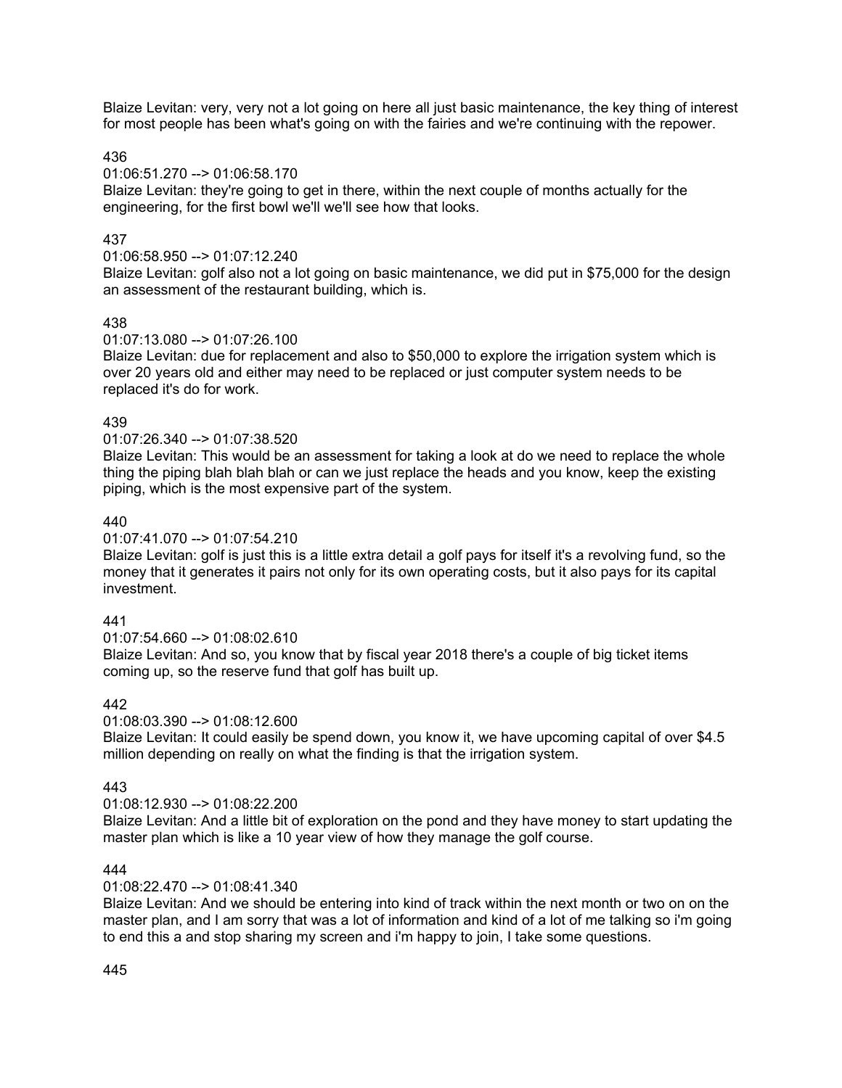Blaize Levitan: very, very not a lot going on here all just basic maintenance, the key thing of interest for most people has been what's going on with the fairies and we're continuing with the repower.

## 436

#### 01:06:51.270 --> 01:06:58.170

Blaize Levitan: they're going to get in there, within the next couple of months actually for the engineering, for the first bowl we'll we'll see how that looks.

## 437

## 01:06:58.950 --> 01:07:12.240

Blaize Levitan: golf also not a lot going on basic maintenance, we did put in \$75,000 for the design an assessment of the restaurant building, which is.

## 438

#### 01:07:13.080 --> 01:07:26.100

Blaize Levitan: due for replacement and also to \$50,000 to explore the irrigation system which is over 20 years old and either may need to be replaced or just computer system needs to be replaced it's do for work.

## 439

## 01:07:26.340 --> 01:07:38.520

Blaize Levitan: This would be an assessment for taking a look at do we need to replace the whole thing the piping blah blah blah or can we just replace the heads and you know, keep the existing piping, which is the most expensive part of the system.

## 440

#### 01:07:41.070 --> 01:07:54.210

Blaize Levitan: golf is just this is a little extra detail a golf pays for itself it's a revolving fund, so the money that it generates it pairs not only for its own operating costs, but it also pays for its capital investment.

## 441

#### 01:07:54.660 --> 01:08:02.610

Blaize Levitan: And so, you know that by fiscal year 2018 there's a couple of big ticket items coming up, so the reserve fund that golf has built up.

## 442

#### 01:08:03.390 --> 01:08:12.600

Blaize Levitan: It could easily be spend down, you know it, we have upcoming capital of over \$4.5 million depending on really on what the finding is that the irrigation system.

#### 443

#### 01:08:12.930 --> 01:08:22.200

Blaize Levitan: And a little bit of exploration on the pond and they have money to start updating the master plan which is like a 10 year view of how they manage the golf course.

### 444

#### 01:08:22.470 --> 01:08:41.340

Blaize Levitan: And we should be entering into kind of track within the next month or two on on the master plan, and I am sorry that was a lot of information and kind of a lot of me talking so i'm going to end this a and stop sharing my screen and i'm happy to join, I take some questions.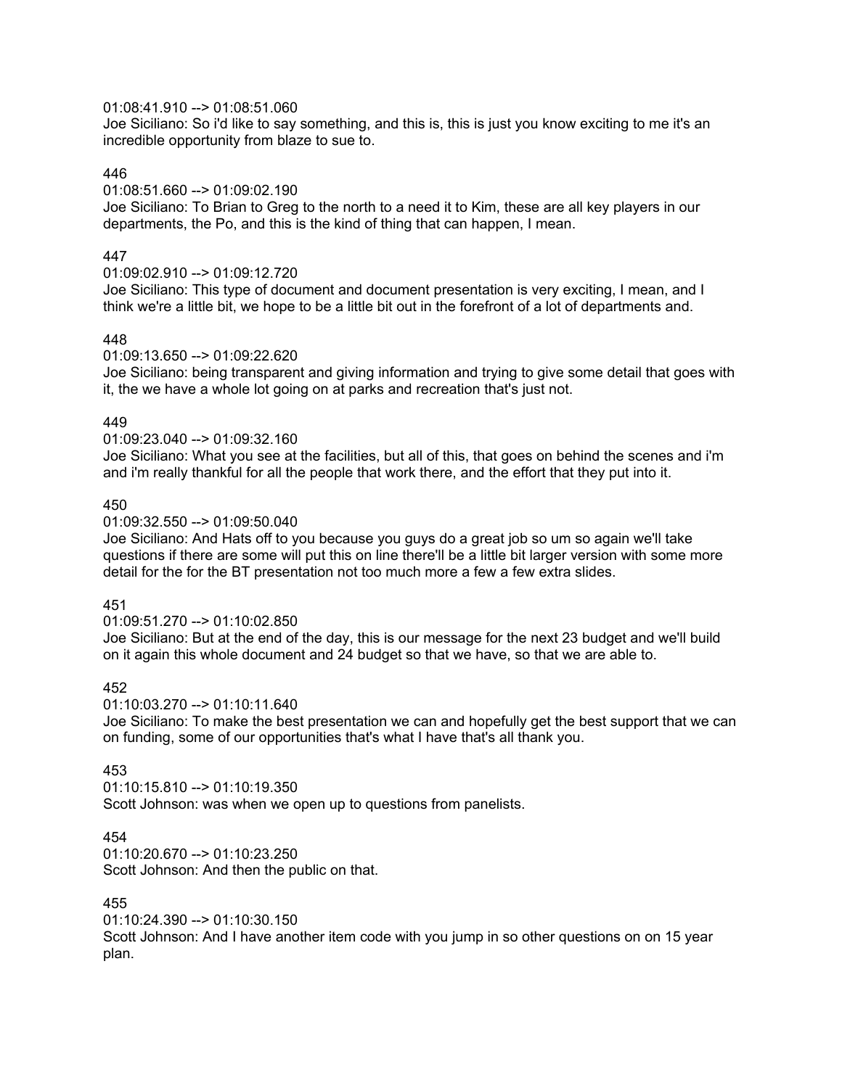## 01:08:41.910 --> 01:08:51.060

Joe Siciliano: So i'd like to say something, and this is, this is just you know exciting to me it's an incredible opportunity from blaze to sue to.

## 446

## 01:08:51.660 --> 01:09:02.190

Joe Siciliano: To Brian to Greg to the north to a need it to Kim, these are all key players in our departments, the Po, and this is the kind of thing that can happen, I mean.

# 447

## 01:09:02.910 --> 01:09:12.720

Joe Siciliano: This type of document and document presentation is very exciting, I mean, and I think we're a little bit, we hope to be a little bit out in the forefront of a lot of departments and.

## 448

01:09:13.650 --> 01:09:22.620

Joe Siciliano: being transparent and giving information and trying to give some detail that goes with it, the we have a whole lot going on at parks and recreation that's just not.

## 449

01:09:23.040 --> 01:09:32.160

Joe Siciliano: What you see at the facilities, but all of this, that goes on behind the scenes and i'm and i'm really thankful for all the people that work there, and the effort that they put into it.

## 450

01:09:32.550 --> 01:09:50.040

Joe Siciliano: And Hats off to you because you guys do a great job so um so again we'll take questions if there are some will put this on line there'll be a little bit larger version with some more detail for the for the BT presentation not too much more a few a few extra slides.

#### 451

01:09:51.270 --> 01:10:02.850

Joe Siciliano: But at the end of the day, this is our message for the next 23 budget and we'll build on it again this whole document and 24 budget so that we have, so that we are able to.

## 452

01:10:03.270 --> 01:10:11.640

Joe Siciliano: To make the best presentation we can and hopefully get the best support that we can on funding, some of our opportunities that's what I have that's all thank you.

## 453

01:10:15.810 --> 01:10:19.350 Scott Johnson: was when we open up to questions from panelists.

#### 454

01:10:20.670 --> 01:10:23.250 Scott Johnson: And then the public on that.

#### 455

01:10:24.390 --> 01:10:30.150

Scott Johnson: And I have another item code with you jump in so other questions on on 15 year plan.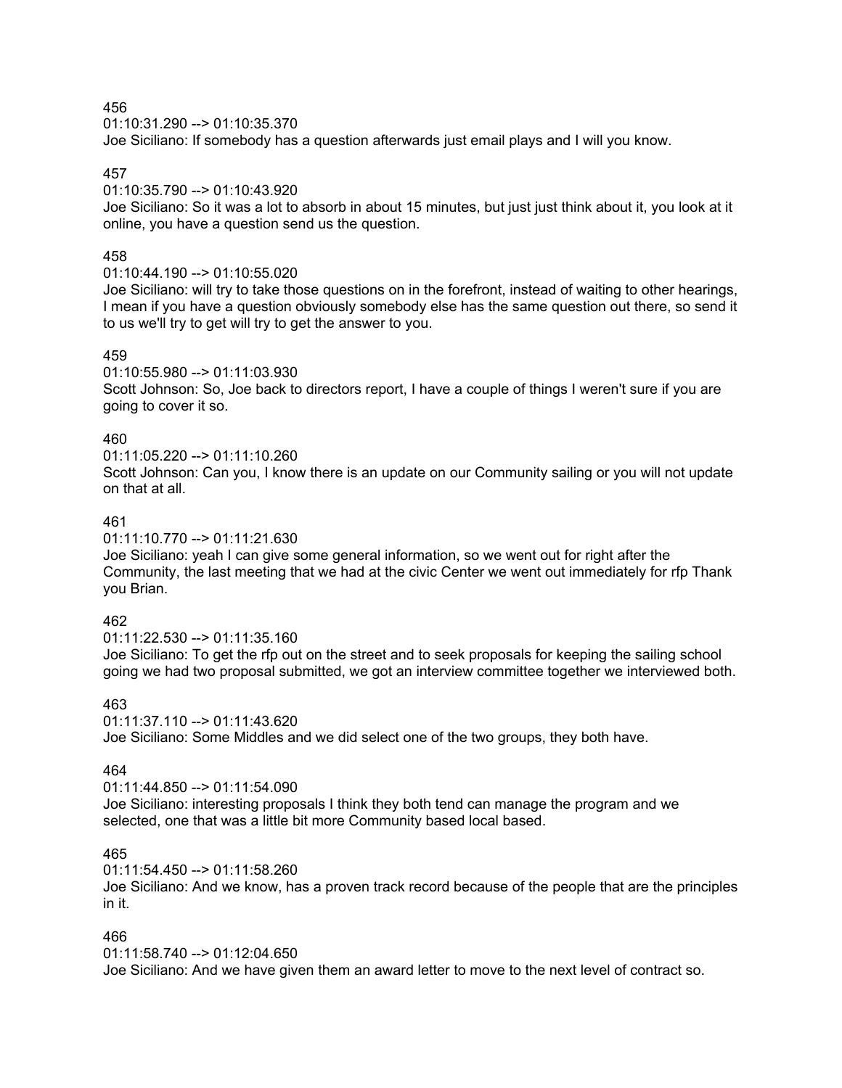01:10:31.290 --> 01:10:35.370 Joe Siciliano: If somebody has a question afterwards just email plays and I will you know.

#### 457

## 01:10:35.790 --> 01:10:43.920

Joe Siciliano: So it was a lot to absorb in about 15 minutes, but just just think about it, you look at it online, you have a question send us the question.

### 458

## $01:10:44.190 \rightarrow 01:10:55.020$

Joe Siciliano: will try to take those questions on in the forefront, instead of waiting to other hearings, I mean if you have a question obviously somebody else has the same question out there, so send it to us we'll try to get will try to get the answer to you.

#### 459

#### 01:10:55.980 --> 01:11:03.930

Scott Johnson: So, Joe back to directors report, I have a couple of things I weren't sure if you are going to cover it so.

## 460

## 01:11:05.220 --> 01:11:10.260

Scott Johnson: Can you, I know there is an update on our Community sailing or you will not update on that at all.

## 461

#### 01:11:10.770 --> 01:11:21.630

Joe Siciliano: yeah I can give some general information, so we went out for right after the Community, the last meeting that we had at the civic Center we went out immediately for rfp Thank you Brian.

#### 462

#### 01:11:22.530 --> 01:11:35.160 Joe Siciliano: To get the rfp out on the street and to seek proposals for keeping the sailing school going we had two proposal submitted, we got an interview committee together we interviewed both.

#### 463

01:11:37.110 --> 01:11:43.620 Joe Siciliano: Some Middles and we did select one of the two groups, they both have.

## 464

01:11:44.850 --> 01:11:54.090 Joe Siciliano: interesting proposals I think they both tend can manage the program and we selected, one that was a little bit more Community based local based.

### 465

01:11:54.450 --> 01:11:58.260

Joe Siciliano: And we know, has a proven track record because of the people that are the principles in it.

## 466

#### 01:11:58.740 --> 01:12:04.650

Joe Siciliano: And we have given them an award letter to move to the next level of contract so.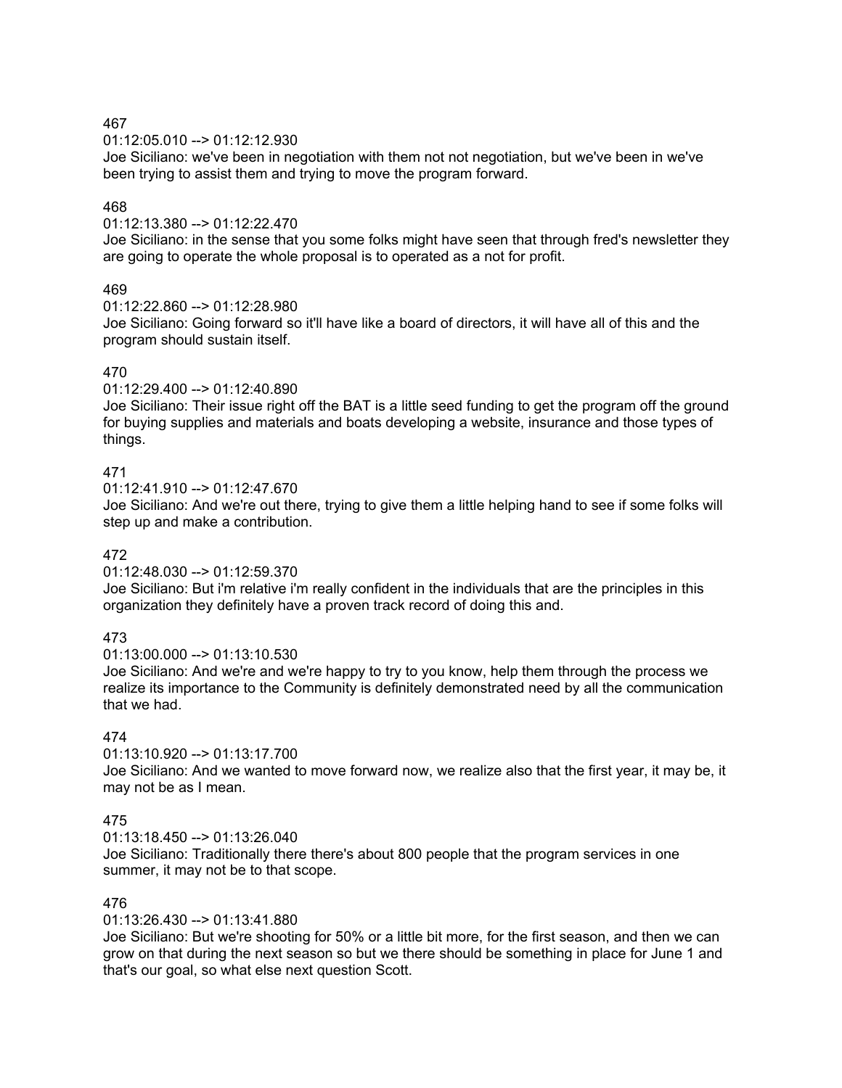01:12:05.010 --> 01:12:12.930

Joe Siciliano: we've been in negotiation with them not not negotiation, but we've been in we've been trying to assist them and trying to move the program forward.

## 468

01:12:13.380 --> 01:12:22.470

Joe Siciliano: in the sense that you some folks might have seen that through fred's newsletter they are going to operate the whole proposal is to operated as a not for profit.

## 469

 $01:12:22.860 -> 01:12:28.980$ 

Joe Siciliano: Going forward so it'll have like a board of directors, it will have all of this and the program should sustain itself.

## 470

 $01:12:29.400 \rightarrow 01:12:40.890$ 

Joe Siciliano: Their issue right off the BAT is a little seed funding to get the program off the ground for buying supplies and materials and boats developing a website, insurance and those types of things.

# 471

01:12:41.910 --> 01:12:47.670

Joe Siciliano: And we're out there, trying to give them a little helping hand to see if some folks will step up and make a contribution.

## 472

01:12:48.030 --> 01:12:59.370

Joe Siciliano: But i'm relative i'm really confident in the individuals that are the principles in this organization they definitely have a proven track record of doing this and.

# 473

01:13:00.000 --> 01:13:10.530

Joe Siciliano: And we're and we're happy to try to you know, help them through the process we realize its importance to the Community is definitely demonstrated need by all the communication that we had.

# 474

01:13:10.920 --> 01:13:17.700 Joe Siciliano: And we wanted to move forward now, we realize also that the first year, it may be, it may not be as I mean.

## 475

01:13:18.450 --> 01:13:26.040

Joe Siciliano: Traditionally there there's about 800 people that the program services in one summer, it may not be to that scope.

#### 476

01:13:26.430 --> 01:13:41.880

Joe Siciliano: But we're shooting for 50% or a little bit more, for the first season, and then we can grow on that during the next season so but we there should be something in place for June 1 and that's our goal, so what else next question Scott.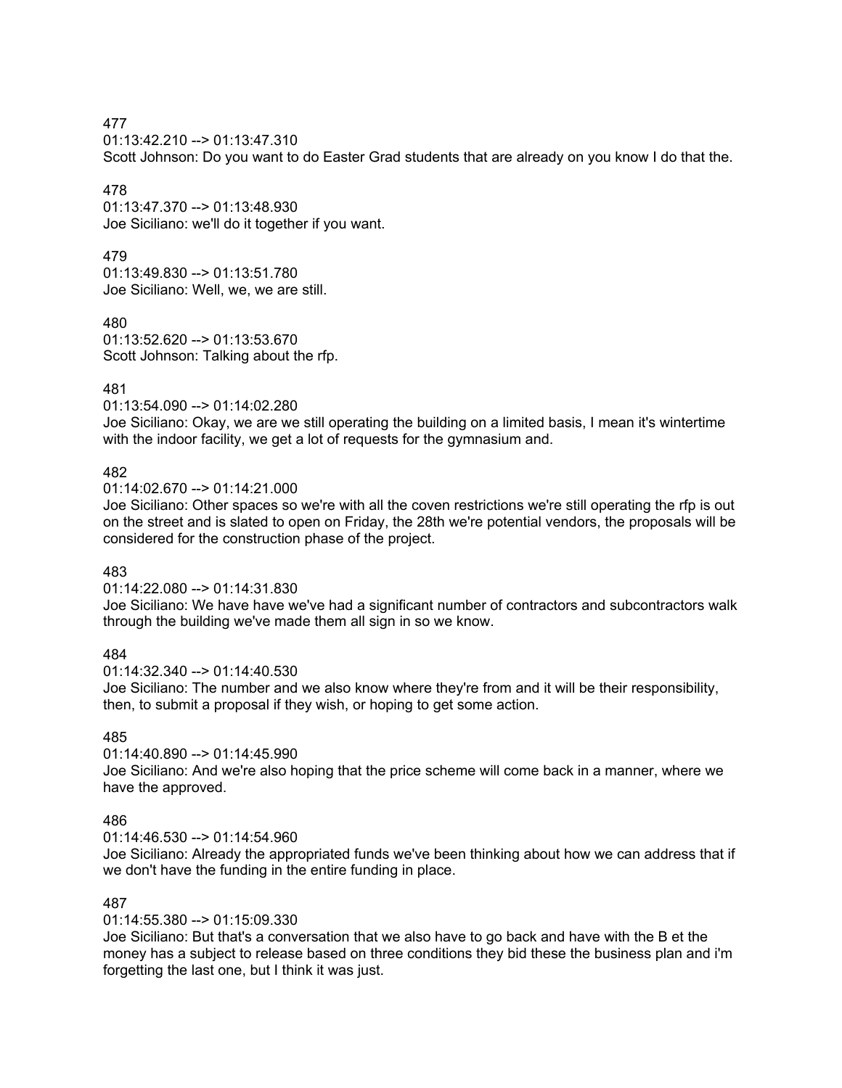01:13:42.210 --> 01:13:47.310

Scott Johnson: Do you want to do Easter Grad students that are already on you know I do that the.

## 478

01:13:47.370 --> 01:13:48.930 Joe Siciliano: we'll do it together if you want.

## 479

01:13:49.830 --> 01:13:51.780 Joe Siciliano: Well, we, we are still.

## 480

01:13:52.620 --> 01:13:53.670 Scott Johnson: Talking about the rfp.

## 481

01:13:54.090 --> 01:14:02.280

Joe Siciliano: Okay, we are we still operating the building on a limited basis, I mean it's wintertime with the indoor facility, we get a lot of requests for the gymnasium and.

## 482

01:14:02.670 --> 01:14:21.000

Joe Siciliano: Other spaces so we're with all the coven restrictions we're still operating the rfp is out on the street and is slated to open on Friday, the 28th we're potential vendors, the proposals will be considered for the construction phase of the project.

#### 483

## 01:14:22.080 --> 01:14:31.830

Joe Siciliano: We have have we've had a significant number of contractors and subcontractors walk through the building we've made them all sign in so we know.

## 484

01:14:32.340 --> 01:14:40.530

Joe Siciliano: The number and we also know where they're from and it will be their responsibility, then, to submit a proposal if they wish, or hoping to get some action.

#### 485

01:14:40.890 --> 01:14:45.990

Joe Siciliano: And we're also hoping that the price scheme will come back in a manner, where we have the approved.

#### 486

01:14:46.530 --> 01:14:54.960

Joe Siciliano: Already the appropriated funds we've been thinking about how we can address that if we don't have the funding in the entire funding in place.

#### 487

#### 01:14:55.380 --> 01:15:09.330

Joe Siciliano: But that's a conversation that we also have to go back and have with the B et the money has a subject to release based on three conditions they bid these the business plan and i'm forgetting the last one, but I think it was just.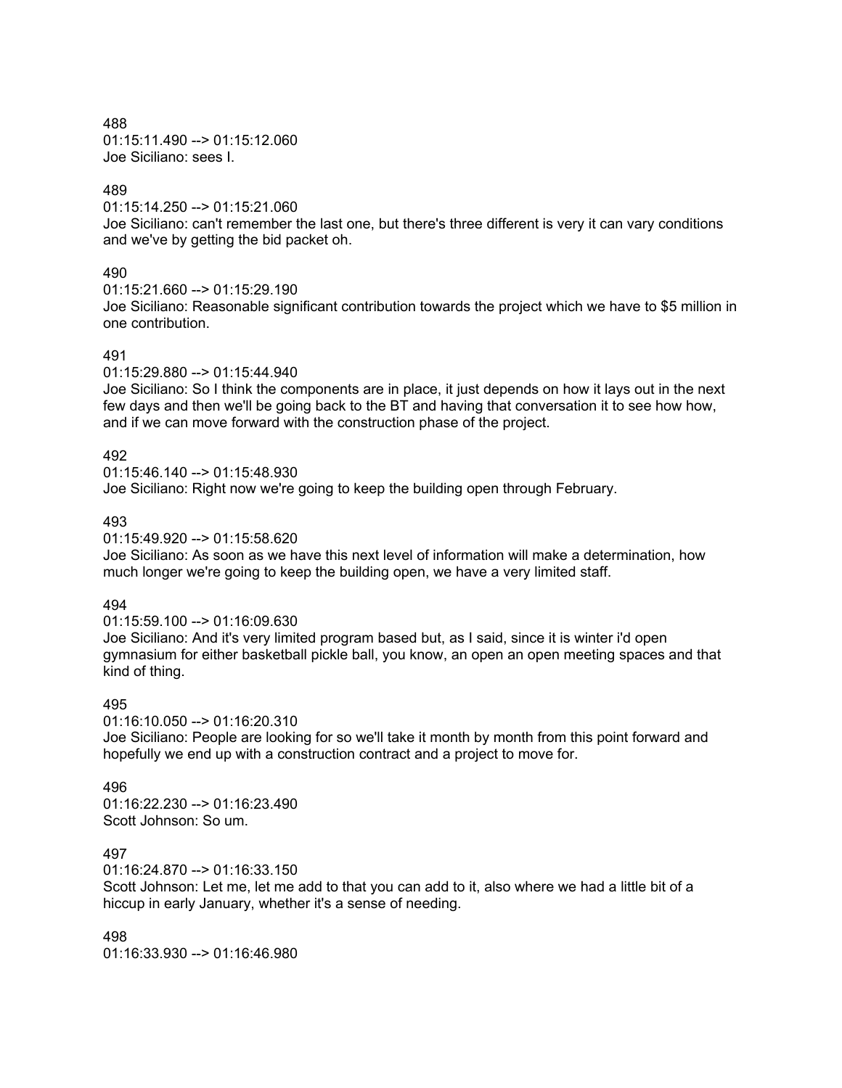488 01:15:11.490 --> 01:15:12.060 Joe Siciliano: sees I.

### 489

01:15:14.250 --> 01:15:21.060

Joe Siciliano: can't remember the last one, but there's three different is very it can vary conditions and we've by getting the bid packet oh.

#### 490

01:15:21.660 --> 01:15:29.190

Joe Siciliano: Reasonable significant contribution towards the project which we have to \$5 million in one contribution.

#### 491

01:15:29.880 --> 01:15:44.940

Joe Siciliano: So I think the components are in place, it just depends on how it lays out in the next few days and then we'll be going back to the BT and having that conversation it to see how how, and if we can move forward with the construction phase of the project.

## 492

 $01:15:46.140 \rightarrow 01:15:48.930$ Joe Siciliano: Right now we're going to keep the building open through February.

#### 493

01:15:49.920 --> 01:15:58.620 Joe Siciliano: As soon as we have this next level of information will make a determination, how much longer we're going to keep the building open, we have a very limited staff.

#### 494

01:15:59.100 --> 01:16:09.630 Joe Siciliano: And it's very limited program based but, as I said, since it is winter i'd open gymnasium for either basketball pickle ball, you know, an open an open meeting spaces and that kind of thing.

#### 495

01:16:10.050 --> 01:16:20.310 Joe Siciliano: People are looking for so we'll take it month by month from this point forward and hopefully we end up with a construction contract and a project to move for.

#### 496

01:16:22.230 --> 01:16:23.490 Scott Johnson: So um.

### 497

01:16:24.870 --> 01:16:33.150

Scott Johnson: Let me, let me add to that you can add to it, also where we had a little bit of a hiccup in early January, whether it's a sense of needing.

498 01:16:33.930 --> 01:16:46.980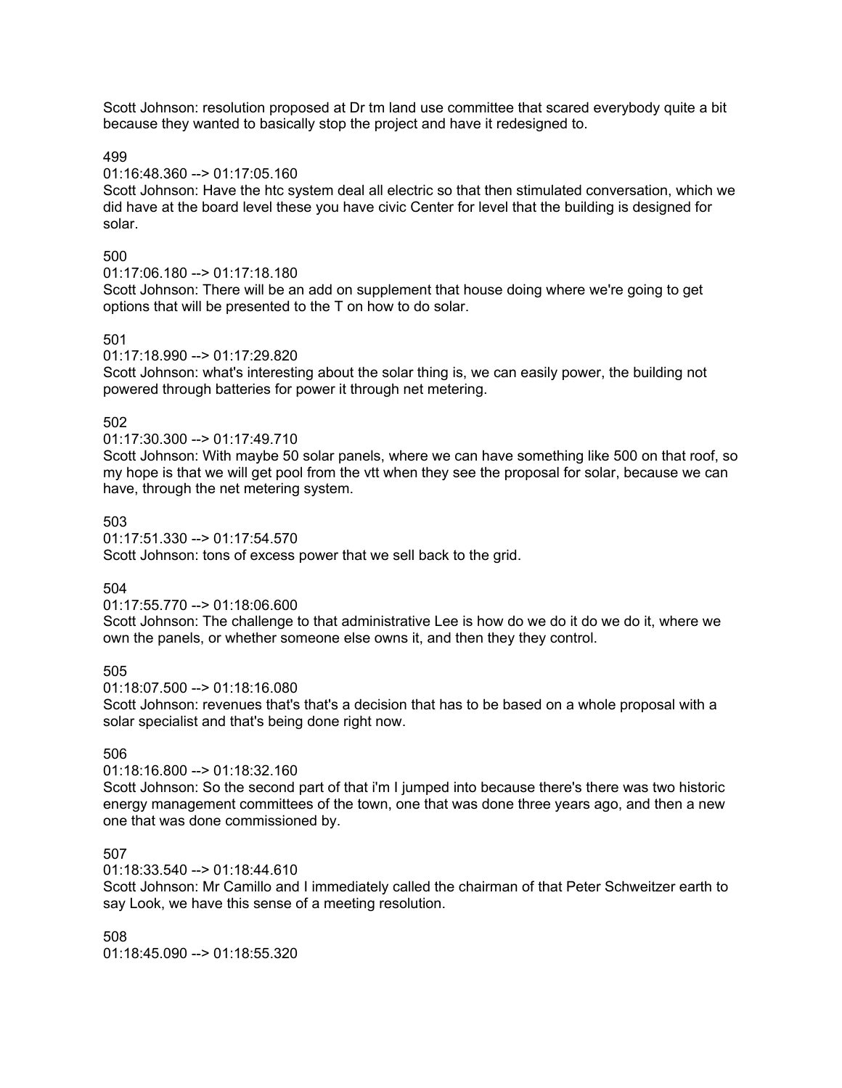Scott Johnson: resolution proposed at Dr tm land use committee that scared everybody quite a bit because they wanted to basically stop the project and have it redesigned to.

499

## 01:16:48.360 --> 01:17:05.160

Scott Johnson: Have the htc system deal all electric so that then stimulated conversation, which we did have at the board level these you have civic Center for level that the building is designed for solar.

## 500

## 01:17:06.180 --> 01:17:18.180

Scott Johnson: There will be an add on supplement that house doing where we're going to get options that will be presented to the T on how to do solar.

## 501

#### 01:17:18.990 --> 01:17:29.820

Scott Johnson: what's interesting about the solar thing is, we can easily power, the building not powered through batteries for power it through net metering.

## 502

## 01:17:30.300 --> 01:17:49.710

Scott Johnson: With maybe 50 solar panels, where we can have something like 500 on that roof, so my hope is that we will get pool from the vtt when they see the proposal for solar, because we can have, through the net metering system.

## 503

01:17:51.330 --> 01:17:54.570 Scott Johnson: tons of excess power that we sell back to the grid.

## 504

#### 01:17:55.770 --> 01:18:06.600

Scott Johnson: The challenge to that administrative Lee is how do we do it do we do it, where we own the panels, or whether someone else owns it, and then they they control.

#### 505

#### 01:18:07.500 --> 01:18:16.080

Scott Johnson: revenues that's that's a decision that has to be based on a whole proposal with a solar specialist and that's being done right now.

## 506

## 01:18:16.800 --> 01:18:32.160

Scott Johnson: So the second part of that i'm I jumped into because there's there was two historic energy management committees of the town, one that was done three years ago, and then a new one that was done commissioned by.

### 507

01:18:33.540 --> 01:18:44.610

Scott Johnson: Mr Camillo and I immediately called the chairman of that Peter Schweitzer earth to say Look, we have this sense of a meeting resolution.

508 01:18:45.090 --> 01:18:55.320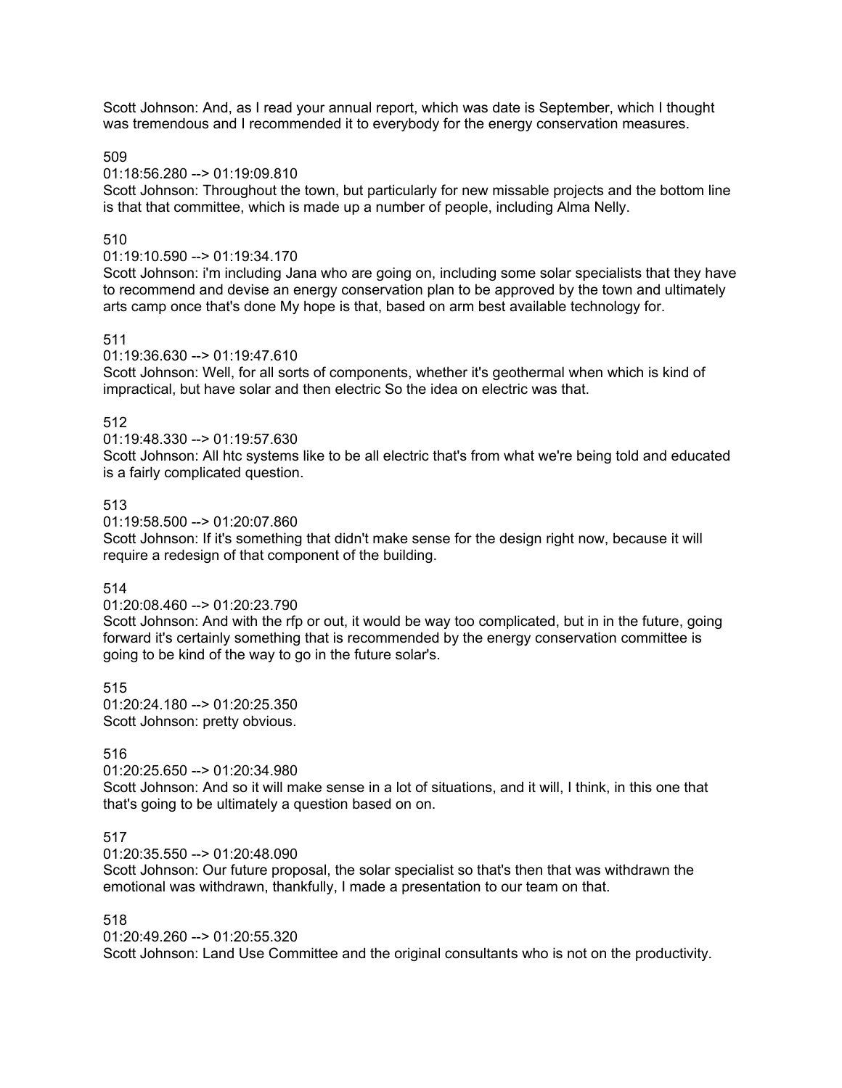Scott Johnson: And, as I read your annual report, which was date is September, which I thought was tremendous and I recommended it to everybody for the energy conservation measures.

509

## 01:18:56.280 --> 01:19:09.810

Scott Johnson: Throughout the town, but particularly for new missable projects and the bottom line is that that committee, which is made up a number of people, including Alma Nelly.

## 510

## 01:19:10.590 --> 01:19:34.170

Scott Johnson: i'm including Jana who are going on, including some solar specialists that they have to recommend and devise an energy conservation plan to be approved by the town and ultimately arts camp once that's done My hope is that, based on arm best available technology for.

## 511

01:19:36.630 --> 01:19:47.610

Scott Johnson: Well, for all sorts of components, whether it's geothermal when which is kind of impractical, but have solar and then electric So the idea on electric was that.

## 512

01:19:48.330 --> 01:19:57.630

Scott Johnson: All htc systems like to be all electric that's from what we're being told and educated is a fairly complicated question.

## 513

01:19:58.500 --> 01:20:07.860

Scott Johnson: If it's something that didn't make sense for the design right now, because it will require a redesign of that component of the building.

514

#### 01:20:08.460 --> 01:20:23.790

Scott Johnson: And with the rfp or out, it would be way too complicated, but in in the future, going forward it's certainly something that is recommended by the energy conservation committee is going to be kind of the way to go in the future solar's.

515 01:20:24.180 --> 01:20:25.350 Scott Johnson: pretty obvious.

#### 516

#### 01:20:25.650 --> 01:20:34.980

Scott Johnson: And so it will make sense in a lot of situations, and it will, I think, in this one that that's going to be ultimately a question based on on.

#### 517

01:20:35.550 --> 01:20:48.090

Scott Johnson: Our future proposal, the solar specialist so that's then that was withdrawn the emotional was withdrawn, thankfully, I made a presentation to our team on that.

#### 518

01:20:49.260 --> 01:20:55.320

Scott Johnson: Land Use Committee and the original consultants who is not on the productivity.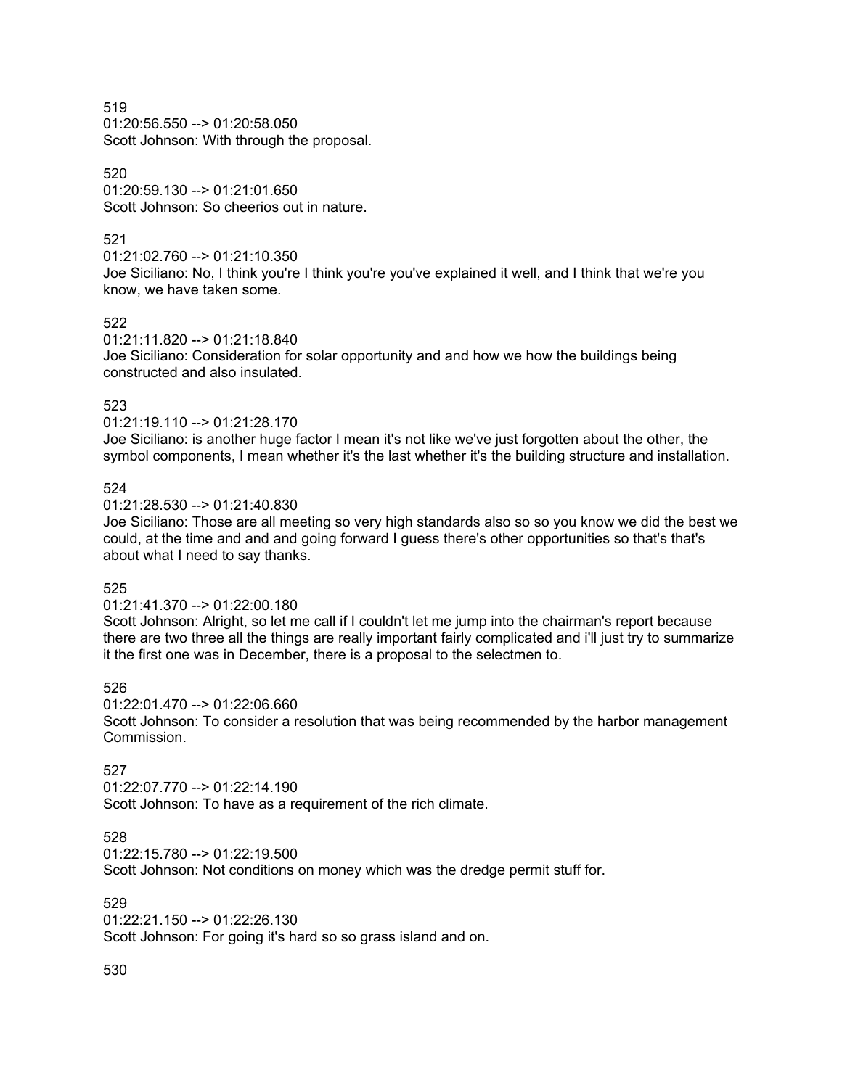01:20:56.550 --> 01:20:58.050 Scott Johnson: With through the proposal.

#### 520

01:20:59.130 --> 01:21:01.650 Scott Johnson: So cheerios out in nature.

## 521

01:21:02.760 --> 01:21:10.350

Joe Siciliano: No, I think you're I think you're you've explained it well, and I think that we're you know, we have taken some.

#### 522

01:21:11.820 --> 01:21:18.840

Joe Siciliano: Consideration for solar opportunity and and how we how the buildings being constructed and also insulated.

## 523

01:21:19.110 --> 01:21:28.170 Joe Siciliano: is another huge factor I mean it's not like we've just forgotten about the other, the symbol components, I mean whether it's the last whether it's the building structure and installation.

## 524

01:21:28.530 --> 01:21:40.830

Joe Siciliano: Those are all meeting so very high standards also so so you know we did the best we could, at the time and and and going forward I guess there's other opportunities so that's that's about what I need to say thanks.

## 525

01:21:41.370 --> 01:22:00.180

Scott Johnson: Alright, so let me call if I couldn't let me jump into the chairman's report because there are two three all the things are really important fairly complicated and i'll just try to summarize it the first one was in December, there is a proposal to the selectmen to.

## 526

01:22:01.470 --> 01:22:06.660

Scott Johnson: To consider a resolution that was being recommended by the harbor management Commission.

## 527

01:22:07.770 --> 01:22:14.190 Scott Johnson: To have as a requirement of the rich climate.

#### 528

01:22:15.780 --> 01:22:19.500

Scott Johnson: Not conditions on money which was the dredge permit stuff for.

#### 529

01:22:21.150 --> 01:22:26.130

Scott Johnson: For going it's hard so so grass island and on.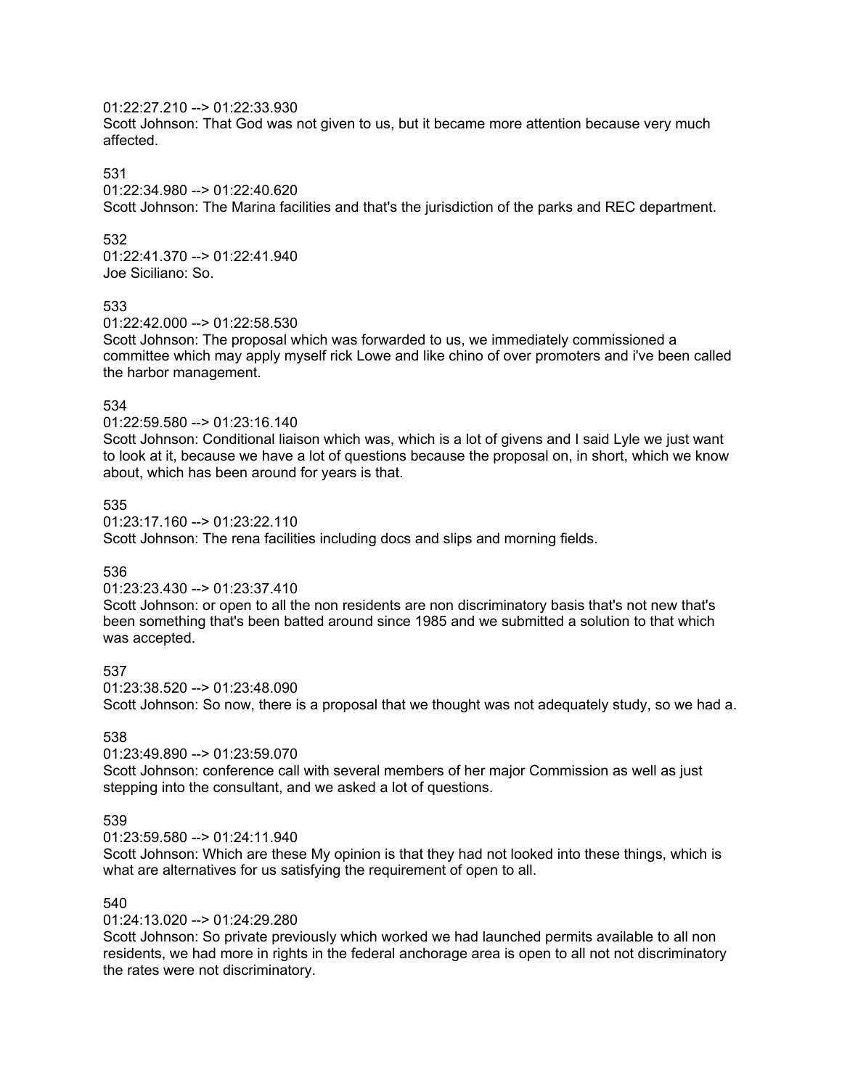## 01:22:27.210 --> 01:22:33.930

Scott Johnson: That God was not given to us, but it became more attention because very much affected.

#### 531

01:22:34.980 --> 01:22:40.620

Scott Johnson: The Marina facilities and that's the jurisdiction of the parks and REC department.

#### 532

01:22:41.370 --> 01:22:41.940 Joe Siciliano: So.

#### 533

01:22:42.000 --> 01:22:58.530

Scott Johnson: The proposal which was forwarded to us, we immediately commissioned a committee which may apply myself rick Lowe and like chino of over promoters and i've been called the harbor management.

#### 534

01:22:59.580 --> 01:23:16.140

Scott Johnson: Conditional liaison which was, which is a lot of givens and I said Lyle we just want to look at it, because we have a lot of questions because the proposal on, in short, which we know about, which has been around for years is that.

### 535

01:23:17.160 --> 01:23:22.110 Scott Johnson: The rena facilities including docs and slips and morning fields.

#### 536

#### 01:23:23.430 --> 01:23:37.410

Scott Johnson: or open to all the non residents are non discriminatory basis that's not new that's been something that's been batted around since 1985 and we submitted a solution to that which was accepted.

537

01:23:38.520 --> 01:23:48.090 Scott Johnson: So now, there is a proposal that we thought was not adequately study, so we had a.

#### 538

01:23:49.890 --> 01:23:59.070

Scott Johnson: conference call with several members of her major Commission as well as just stepping into the consultant, and we asked a lot of questions.

#### 539

01:23:59.580 --> 01:24:11.940

Scott Johnson: Which are these My opinion is that they had not looked into these things, which is what are alternatives for us satisfying the requirement of open to all.

#### 540

01:24:13.020 --> 01:24:29.280

Scott Johnson: So private previously which worked we had launched permits available to all non residents, we had more in rights in the federal anchorage area is open to all not not discriminatory the rates were not discriminatory.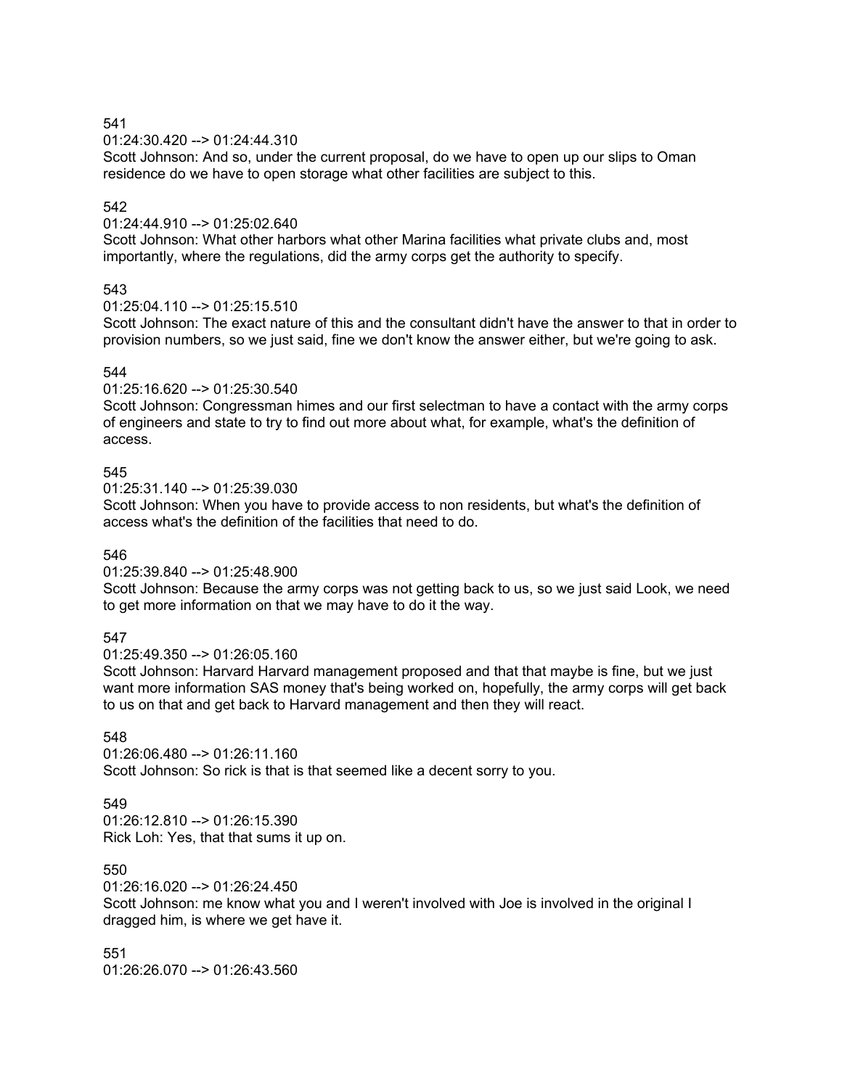01:24:30.420 --> 01:24:44.310

Scott Johnson: And so, under the current proposal, do we have to open up our slips to Oman residence do we have to open storage what other facilities are subject to this.

# 542

01:24:44.910 --> 01:25:02.640

Scott Johnson: What other harbors what other Marina facilities what private clubs and, most importantly, where the regulations, did the army corps get the authority to specify.

## 543

 $01:25:04.110 \rightarrow 01:25:15.510$ 

Scott Johnson: The exact nature of this and the consultant didn't have the answer to that in order to provision numbers, so we just said, fine we don't know the answer either, but we're going to ask.

## 544

 $01:25:16.620 \rightarrow 01:25:30.540$ 

Scott Johnson: Congressman himes and our first selectman to have a contact with the army corps of engineers and state to try to find out more about what, for example, what's the definition of access.

## 545

01:25:31.140 --> 01:25:39.030

Scott Johnson: When you have to provide access to non residents, but what's the definition of access what's the definition of the facilities that need to do.

#### 546

01:25:39.840 --> 01:25:48.900

Scott Johnson: Because the army corps was not getting back to us, so we just said Look, we need to get more information on that we may have to do it the way.

## 547

01:25:49.350 --> 01:26:05.160

Scott Johnson: Harvard Harvard management proposed and that that maybe is fine, but we just want more information SAS money that's being worked on, hopefully, the army corps will get back to us on that and get back to Harvard management and then they will react.

# 548

01:26:06.480 --> 01:26:11.160 Scott Johnson: So rick is that is that seemed like a decent sorry to you.

# 549

 $01:26:12.810 - \ge 01:26:15.390$ Rick Loh: Yes, that that sums it up on.

# 550

01:26:16.020 --> 01:26:24.450

Scott Johnson: me know what you and I weren't involved with Joe is involved in the original I dragged him, is where we get have it.

551 01:26:26.070 --> 01:26:43.560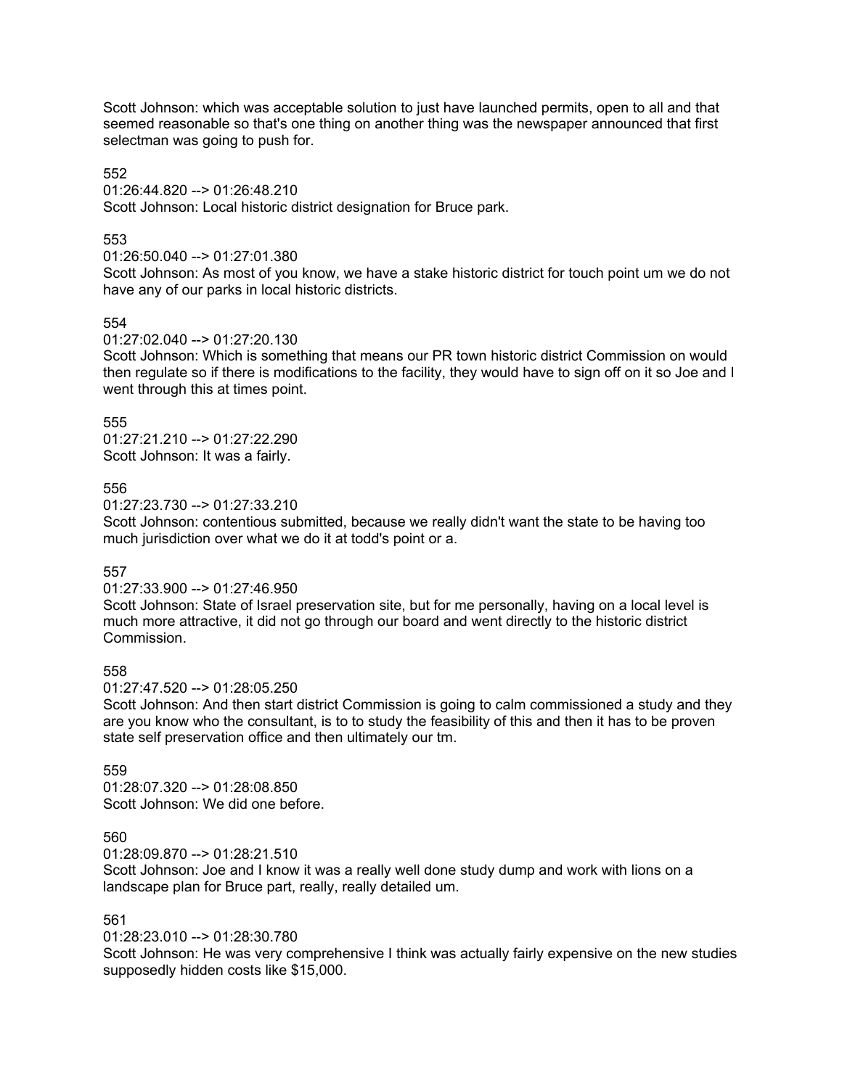Scott Johnson: which was acceptable solution to just have launched permits, open to all and that seemed reasonable so that's one thing on another thing was the newspaper announced that first selectman was going to push for.

#### 552

01:26:44.820 --> 01:26:48.210

Scott Johnson: Local historic district designation for Bruce park.

#### 553

## 01:26:50.040 --> 01:27:01.380

Scott Johnson: As most of you know, we have a stake historic district for touch point um we do not have any of our parks in local historic districts.

#### 554

#### 01:27:02.040 --> 01:27:20.130

Scott Johnson: Which is something that means our PR town historic district Commission on would then regulate so if there is modifications to the facility, they would have to sign off on it so Joe and I went through this at times point.

## 555

01:27:21.210 --> 01:27:22.290 Scott Johnson: It was a fairly.

#### 556

01:27:23.730 --> 01:27:33.210

Scott Johnson: contentious submitted, because we really didn't want the state to be having too much jurisdiction over what we do it at todd's point or a.

#### 557

## 01:27:33.900 --> 01:27:46.950

Scott Johnson: State of Israel preservation site, but for me personally, having on a local level is much more attractive, it did not go through our board and went directly to the historic district Commission.

#### 558

01:27:47.520 --> 01:28:05.250

Scott Johnson: And then start district Commission is going to calm commissioned a study and they are you know who the consultant, is to to study the feasibility of this and then it has to be proven state self preservation office and then ultimately our tm.

### 559

01:28:07.320 --> 01:28:08.850 Scott Johnson: We did one before.

#### 560

01:28:09.870 --> 01:28:21.510

Scott Johnson: Joe and I know it was a really well done study dump and work with lions on a landscape plan for Bruce part, really, really detailed um.

#### 561

01:28:23.010 --> 01:28:30.780

Scott Johnson: He was very comprehensive I think was actually fairly expensive on the new studies supposedly hidden costs like \$15,000.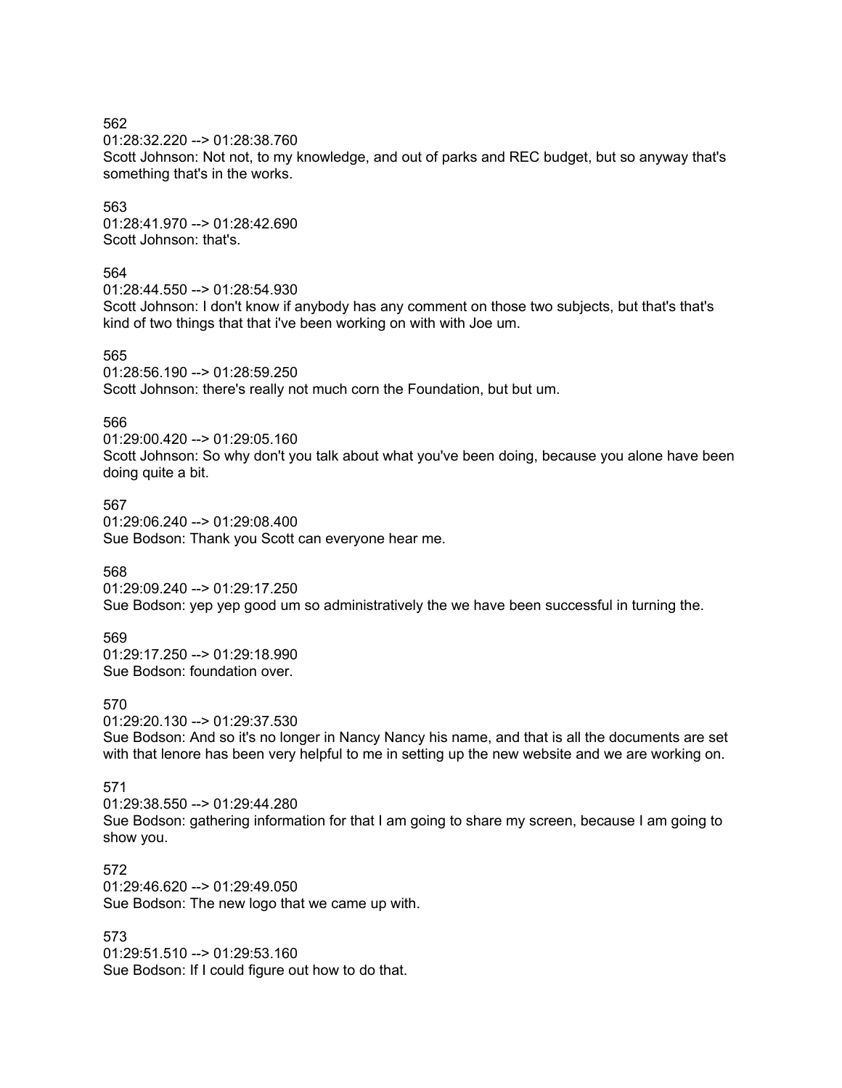01:28:32.220 --> 01:28:38.760

Scott Johnson: Not not, to my knowledge, and out of parks and REC budget, but so anyway that's something that's in the works.

563

01:28:41.970 --> 01:28:42.690 Scott Johnson: that's.

## 564

01:28:44.550 --> 01:28:54.930

Scott Johnson: I don't know if anybody has any comment on those two subjects, but that's that's kind of two things that that i've been working on with with Joe um.

565

01:28:56.190 --> 01:28:59.250 Scott Johnson: there's really not much corn the Foundation, but but um.

## 566

01:29:00.420 --> 01:29:05.160 Scott Johnson: So why don't you talk about what you've been doing, because you alone have been doing quite a bit.

567 01:29:06.240 --> 01:29:08.400 Sue Bodson: Thank you Scott can everyone hear me.

568

01:29:09.240 --> 01:29:17.250 Sue Bodson: yep yep good um so administratively the we have been successful in turning the.

569

01:29:17.250 --> 01:29:18.990 Sue Bodson: foundation over.

570

01:29:20.130 --> 01:29:37.530 Sue Bodson: And so it's no longer in Nancy Nancy his name, and that is all the documents are set with that lenore has been very helpful to me in setting up the new website and we are working on.

## 571

01:29:38.550 --> 01:29:44.280 Sue Bodson: gathering information for that I am going to share my screen, because I am going to show you.

572 01:29:46.620 --> 01:29:49.050 Sue Bodson: The new logo that we came up with.

573 01:29:51.510 --> 01:29:53.160 Sue Bodson: If I could figure out how to do that.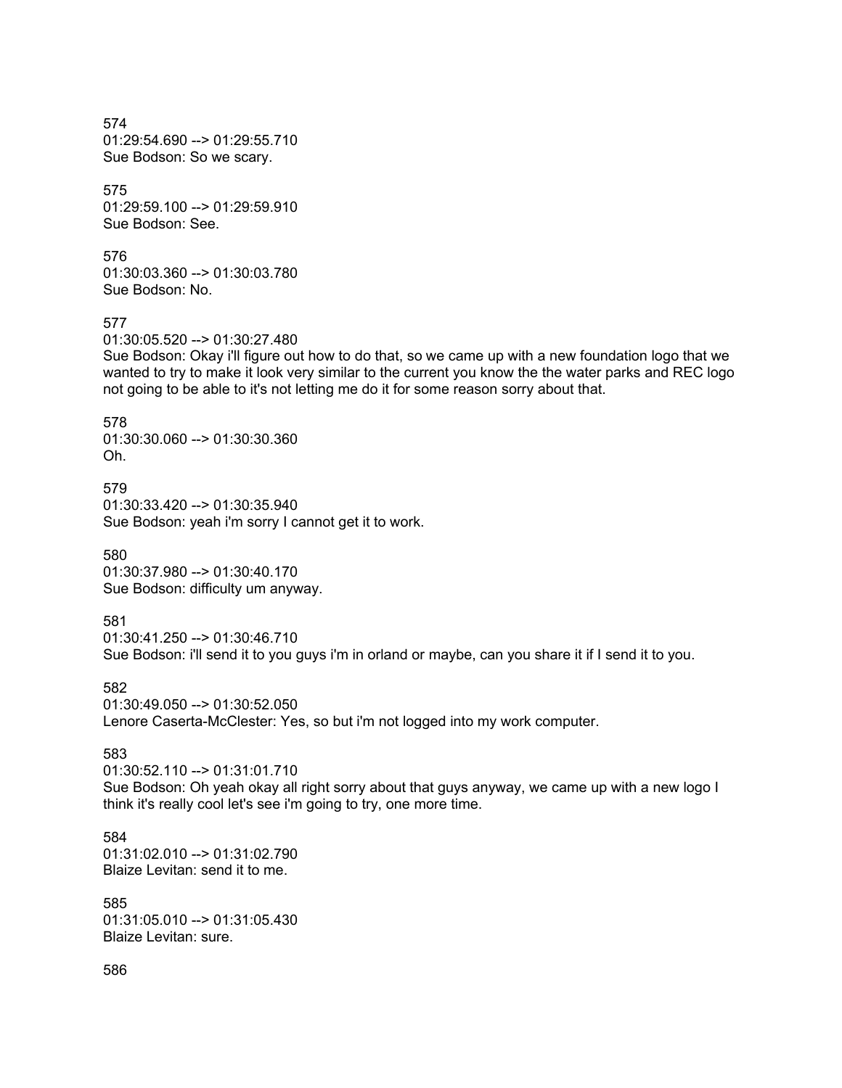574 01:29:54.690 --> 01:29:55.710 Sue Bodson: So we scary.

575 01:29:59.100 --> 01:29:59.910 Sue Bodson: See.

576 01:30:03.360 --> 01:30:03.780 Sue Bodson: No.

577

01:30:05.520 --> 01:30:27.480

Sue Bodson: Okay i'll figure out how to do that, so we came up with a new foundation logo that we wanted to try to make it look very similar to the current you know the the water parks and REC logo not going to be able to it's not letting me do it for some reason sorry about that.

578 01:30:30.060 --> 01:30:30.360 Oh.

579 01:30:33.420 --> 01:30:35.940 Sue Bodson: yeah i'm sorry I cannot get it to work.

580 01:30:37.980 --> 01:30:40.170 Sue Bodson: difficulty um anyway.

581

01:30:41.250 --> 01:30:46.710

Sue Bodson: i'll send it to you guys i'm in orland or maybe, can you share it if I send it to you.

582 01:30:49.050 --> 01:30:52.050 Lenore Caserta-McClester: Yes, so but i'm not logged into my work computer.

583

01:30:52.110 --> 01:31:01.710

Sue Bodson: Oh yeah okay all right sorry about that guys anyway, we came up with a new logo I think it's really cool let's see i'm going to try, one more time.

584 01:31:02.010 --> 01:31:02.790 Blaize Levitan: send it to me.

585 01:31:05.010 --> 01:31:05.430 Blaize Levitan: sure.

586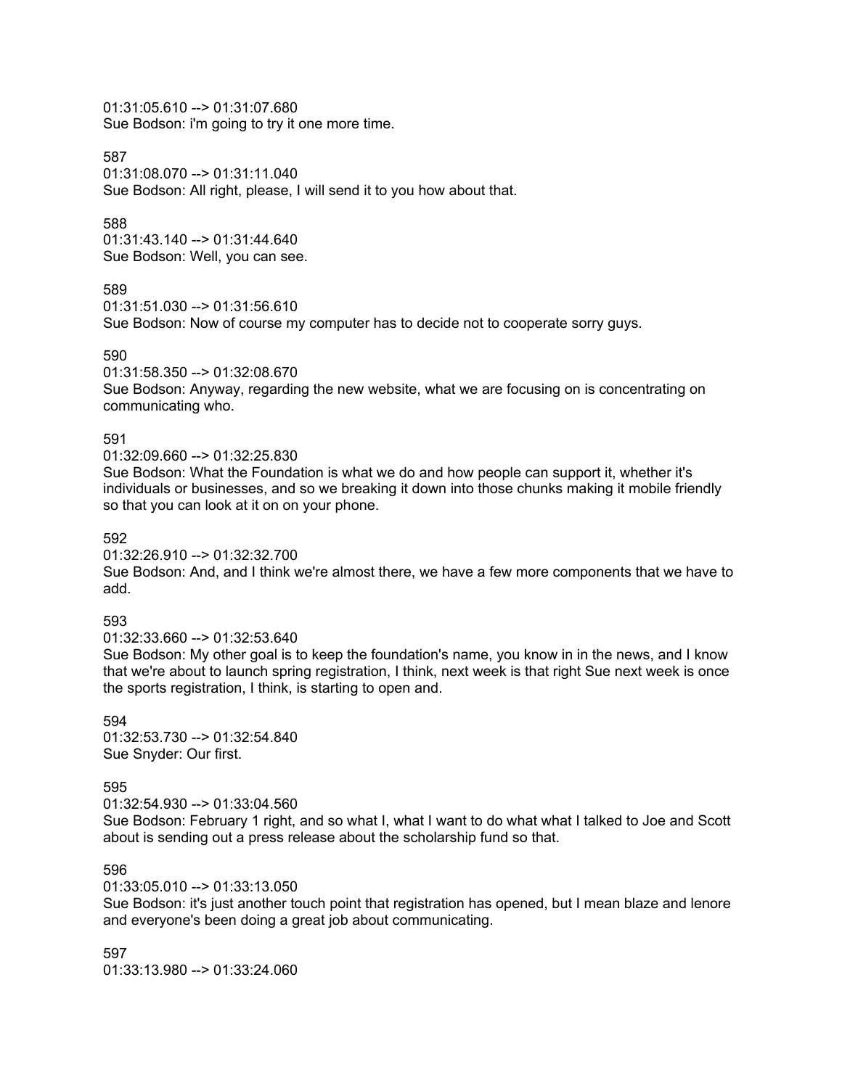01:31:05.610 --> 01:31:07.680 Sue Bodson: i'm going to try it one more time.

#### 587

01:31:08.070 --> 01:31:11.040 Sue Bodson: All right, please, I will send it to you how about that.

#### 588

01:31:43.140 --> 01:31:44.640 Sue Bodson: Well, you can see.

## 589

```
01:31:51.030 --> 01:31:56.610
```
Sue Bodson: Now of course my computer has to decide not to cooperate sorry guys.

#### 590

#### 01:31:58.350 --> 01:32:08.670

Sue Bodson: Anyway, regarding the new website, what we are focusing on is concentrating on communicating who.

#### 591

#### 01:32:09.660 --> 01:32:25.830

Sue Bodson: What the Foundation is what we do and how people can support it, whether it's individuals or businesses, and so we breaking it down into those chunks making it mobile friendly so that you can look at it on on your phone.

#### 592

01:32:26.910 --> 01:32:32.700

Sue Bodson: And, and I think we're almost there, we have a few more components that we have to add.

#### 593

#### 01:32:33.660 --> 01:32:53.640

Sue Bodson: My other goal is to keep the foundation's name, you know in in the news, and I know that we're about to launch spring registration, I think, next week is that right Sue next week is once the sports registration, I think, is starting to open and.

594 01:32:53.730 --> 01:32:54.840 Sue Snyder: Our first.

#### 595

01:32:54.930 --> 01:33:04.560

Sue Bodson: February 1 right, and so what I, what I want to do what what I talked to Joe and Scott about is sending out a press release about the scholarship fund so that.

596

01:33:05.010 --> 01:33:13.050

Sue Bodson: it's just another touch point that registration has opened, but I mean blaze and lenore and everyone's been doing a great job about communicating.

597 01:33:13.980 --> 01:33:24.060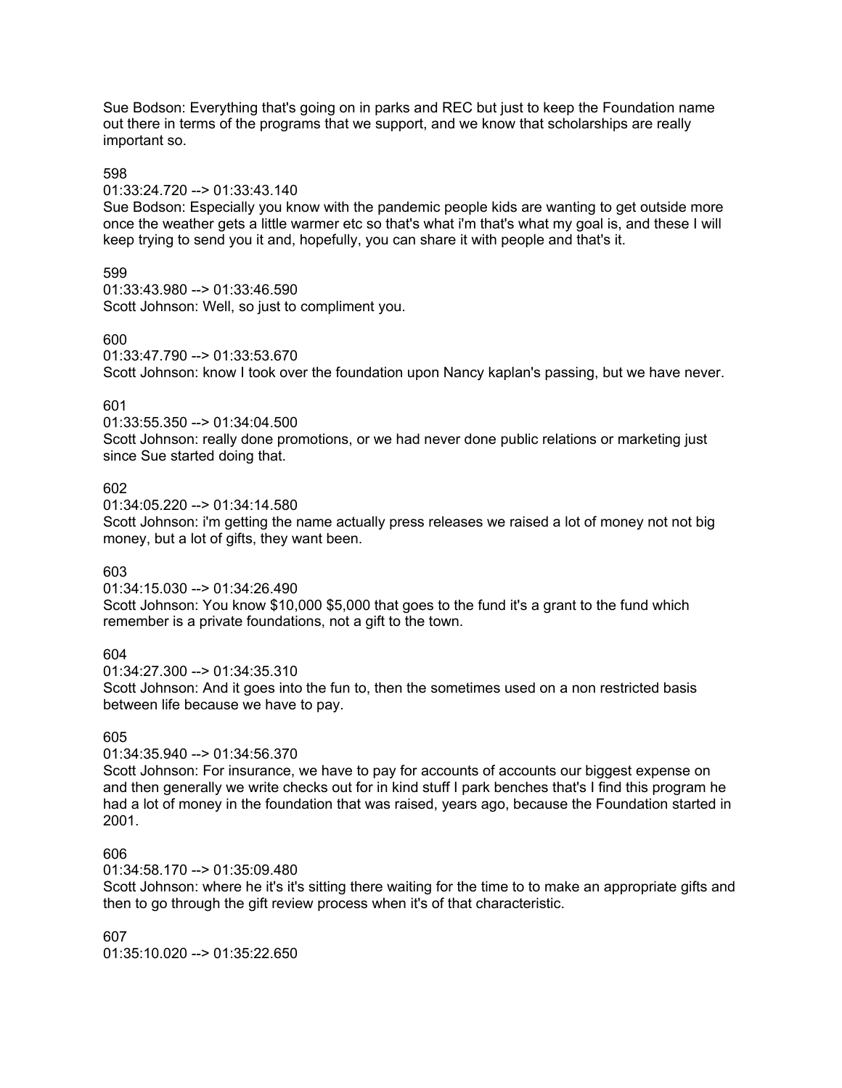Sue Bodson: Everything that's going on in parks and REC but just to keep the Foundation name out there in terms of the programs that we support, and we know that scholarships are really important so.

#### 598

# 01:33:24.720 --> 01:33:43.140

Sue Bodson: Especially you know with the pandemic people kids are wanting to get outside more once the weather gets a little warmer etc so that's what i'm that's what my goal is, and these I will keep trying to send you it and, hopefully, you can share it with people and that's it.

## 599

01:33:43.980 --> 01:33:46.590 Scott Johnson: Well, so just to compliment you.

## 600

01:33:47.790 --> 01:33:53.670 Scott Johnson: know I took over the foundation upon Nancy kaplan's passing, but we have never.

## 601

01:33:55.350 --> 01:34:04.500

Scott Johnson: really done promotions, or we had never done public relations or marketing just since Sue started doing that.

## 602

01:34:05.220 --> 01:34:14.580

Scott Johnson: i'm getting the name actually press releases we raised a lot of money not not big money, but a lot of gifts, they want been.

#### 603

01:34:15.030 --> 01:34:26.490

Scott Johnson: You know \$10,000 \$5,000 that goes to the fund it's a grant to the fund which remember is a private foundations, not a gift to the town.

## 604

01:34:27.300 --> 01:34:35.310

Scott Johnson: And it goes into the fun to, then the sometimes used on a non restricted basis between life because we have to pay.

## 605

01:34:35.940 --> 01:34:56.370

Scott Johnson: For insurance, we have to pay for accounts of accounts our biggest expense on and then generally we write checks out for in kind stuff I park benches that's I find this program he had a lot of money in the foundation that was raised, years ago, because the Foundation started in 2001.

## 606

01:34:58.170 --> 01:35:09.480

Scott Johnson: where he it's it's sitting there waiting for the time to to make an appropriate gifts and then to go through the gift review process when it's of that characteristic.

607

01:35:10.020 --> 01:35:22.650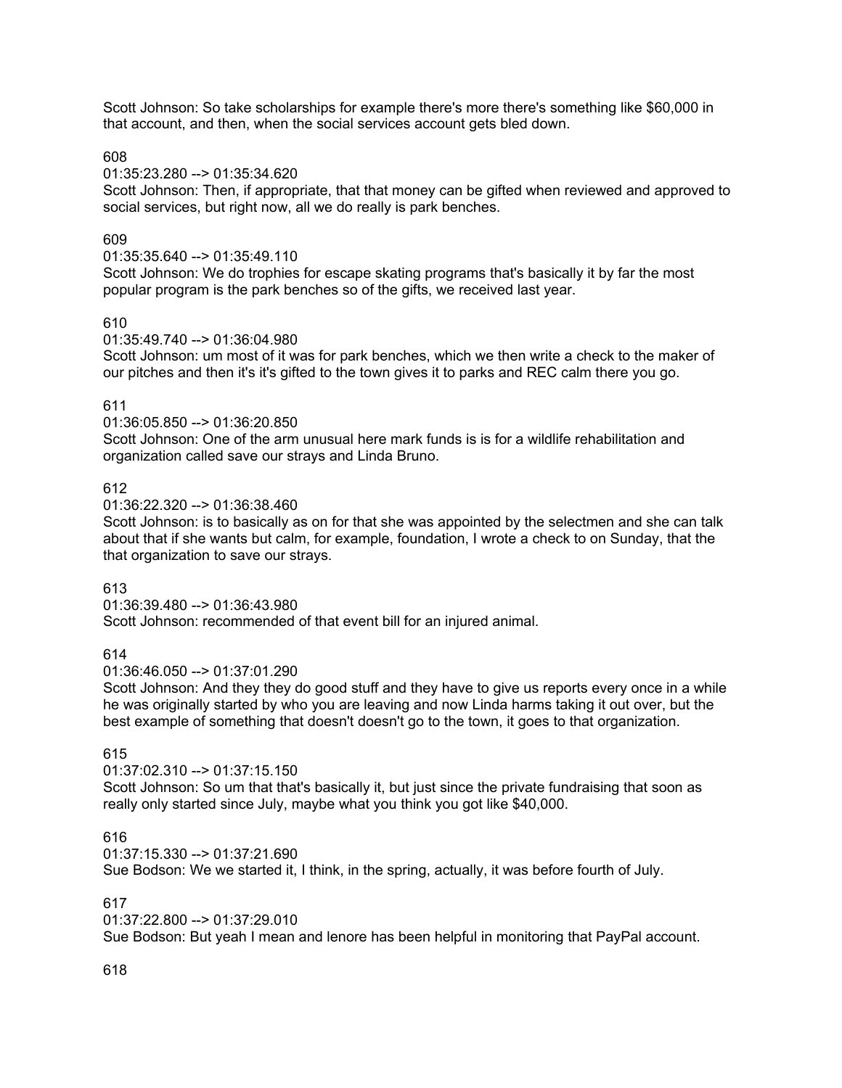Scott Johnson: So take scholarships for example there's more there's something like \$60,000 in that account, and then, when the social services account gets bled down.

608

01:35:23.280 --> 01:35:34.620

Scott Johnson: Then, if appropriate, that that money can be gifted when reviewed and approved to social services, but right now, all we do really is park benches.

## 609

01:35:35.640 --> 01:35:49.110

Scott Johnson: We do trophies for escape skating programs that's basically it by far the most popular program is the park benches so of the gifts, we received last year.

## 610

01:35:49.740 --> 01:36:04.980

Scott Johnson: um most of it was for park benches, which we then write a check to the maker of our pitches and then it's it's gifted to the town gives it to parks and REC calm there you go.

## 611

01:36:05.850 --> 01:36:20.850

Scott Johnson: One of the arm unusual here mark funds is is for a wildlife rehabilitation and organization called save our strays and Linda Bruno.

## 612

01:36:22.320 --> 01:36:38.460

Scott Johnson: is to basically as on for that she was appointed by the selectmen and she can talk about that if she wants but calm, for example, foundation, I wrote a check to on Sunday, that the that organization to save our strays.

## 613

01:36:39.480 --> 01:36:43.980 Scott Johnson: recommended of that event bill for an injured animal.

## 614

01:36:46.050 --> 01:37:01.290

Scott Johnson: And they they do good stuff and they have to give us reports every once in a while he was originally started by who you are leaving and now Linda harms taking it out over, but the best example of something that doesn't doesn't go to the town, it goes to that organization.

## 615

#### 01:37:02.310 --> 01:37:15.150

Scott Johnson: So um that that's basically it, but just since the private fundraising that soon as really only started since July, maybe what you think you got like \$40,000.

## 616

01:37:15.330 --> 01:37:21.690

Sue Bodson: We we started it, I think, in the spring, actually, it was before fourth of July.

#### 617

01:37:22.800 --> 01:37:29.010

Sue Bodson: But yeah I mean and lenore has been helpful in monitoring that PayPal account.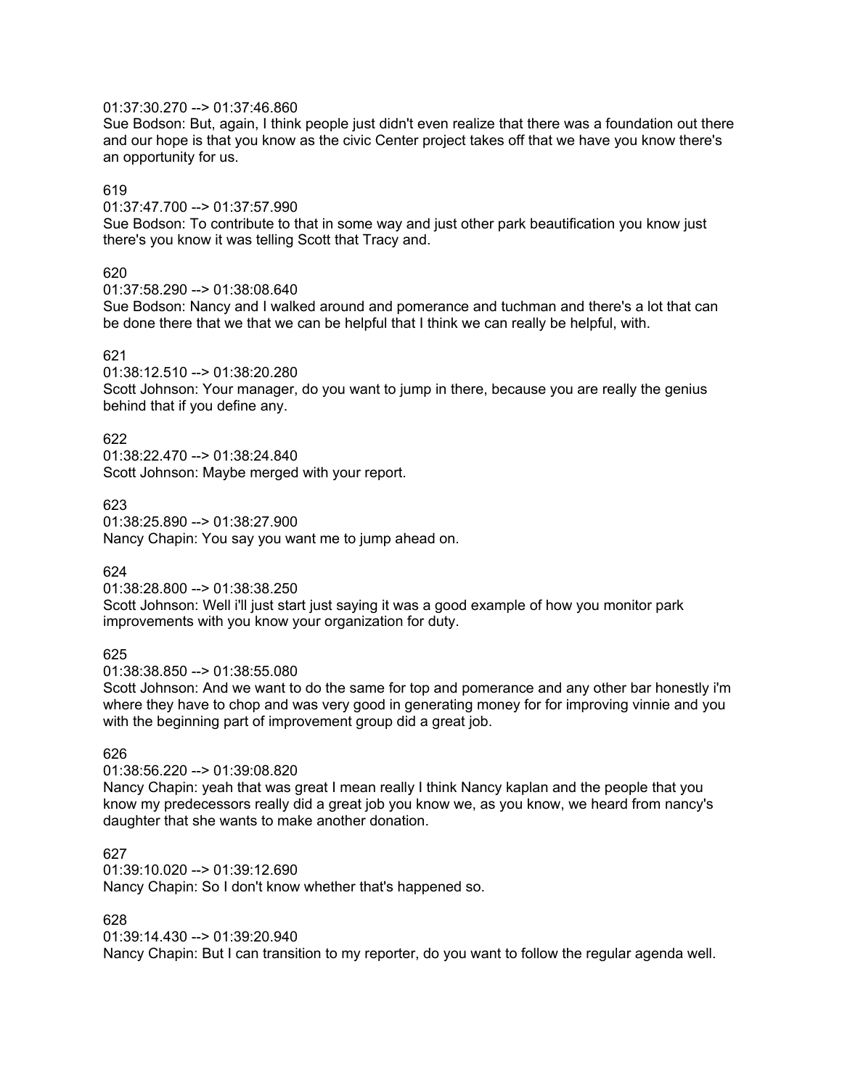## 01:37:30.270 --> 01:37:46.860

Sue Bodson: But, again, I think people just didn't even realize that there was a foundation out there and our hope is that you know as the civic Center project takes off that we have you know there's an opportunity for us.

## 619

01:37:47.700 --> 01:37:57.990

Sue Bodson: To contribute to that in some way and just other park beautification you know just there's you know it was telling Scott that Tracy and.

## 620

01:37:58.290 --> 01:38:08.640

Sue Bodson: Nancy and I walked around and pomerance and tuchman and there's a lot that can be done there that we that we can be helpful that I think we can really be helpful, with.

## 621

01:38:12.510 --> 01:38:20.280

Scott Johnson: Your manager, do you want to jump in there, because you are really the genius behind that if you define any.

## 622

01:38:22.470 --> 01:38:24.840 Scott Johnson: Maybe merged with your report.

## 623

01:38:25.890 --> 01:38:27.900 Nancy Chapin: You say you want me to jump ahead on.

#### 624

01:38:28.800 --> 01:38:38.250

Scott Johnson: Well i'll just start just saying it was a good example of how you monitor park improvements with you know your organization for duty.

#### 625

01:38:38.850 --> 01:38:55.080

Scott Johnson: And we want to do the same for top and pomerance and any other bar honestly i'm where they have to chop and was very good in generating money for for improving vinnie and you with the beginning part of improvement group did a great job.

#### 626

### 01:38:56.220 --> 01:39:08.820

Nancy Chapin: yeah that was great I mean really I think Nancy kaplan and the people that you know my predecessors really did a great job you know we, as you know, we heard from nancy's daughter that she wants to make another donation.

### 627

01:39:10.020 --> 01:39:12.690

Nancy Chapin: So I don't know whether that's happened so.

#### 628

01:39:14.430 --> 01:39:20.940

Nancy Chapin: But I can transition to my reporter, do you want to follow the regular agenda well.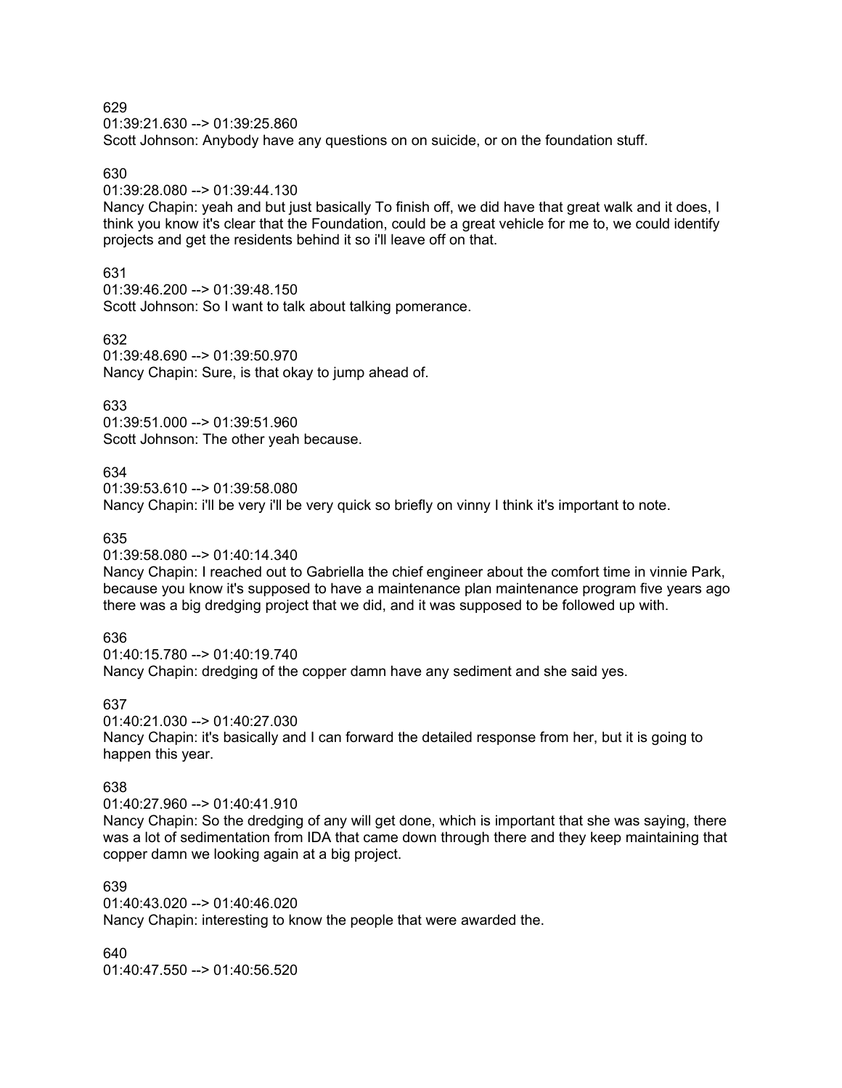01:39:21.630 --> 01:39:25.860 Scott Johnson: Anybody have any questions on on suicide, or on the foundation stuff.

### 630

### 01:39:28.080 --> 01:39:44.130

Nancy Chapin: yeah and but just basically To finish off, we did have that great walk and it does, I think you know it's clear that the Foundation, could be a great vehicle for me to, we could identify projects and get the residents behind it so i'll leave off on that.

#### 631

01:39:46.200 --> 01:39:48.150 Scott Johnson: So I want to talk about talking pomerance.

632

01:39:48.690 --> 01:39:50.970 Nancy Chapin: Sure, is that okay to jump ahead of.

## 633

01:39:51.000 --> 01:39:51.960 Scott Johnson: The other yeah because.

#### 634

01:39:53.610 --> 01:39:58.080

Nancy Chapin: i'll be very i'll be very quick so briefly on vinny I think it's important to note.

## 635

01:39:58.080 --> 01:40:14.340

Nancy Chapin: I reached out to Gabriella the chief engineer about the comfort time in vinnie Park, because you know it's supposed to have a maintenance plan maintenance program five years ago there was a big dredging project that we did, and it was supposed to be followed up with.

#### 636

01:40:15.780 --> 01:40:19.740 Nancy Chapin: dredging of the copper damn have any sediment and she said yes.

## 637

01:40:21.030 --> 01:40:27.030 Nancy Chapin: it's basically and I can forward the detailed response from her, but it is going to happen this year.

#### 638

01:40:27.960 --> 01:40:41.910 Nancy Chapin: So the dredging of any will get done, which is important that she was saying, there was a lot of sedimentation from IDA that came down through there and they keep maintaining that copper damn we looking again at a big project.

### 639

01:40:43.020 --> 01:40:46.020 Nancy Chapin: interesting to know the people that were awarded the.

640  $01:40:47.550 \rightarrow 01:40:56.520$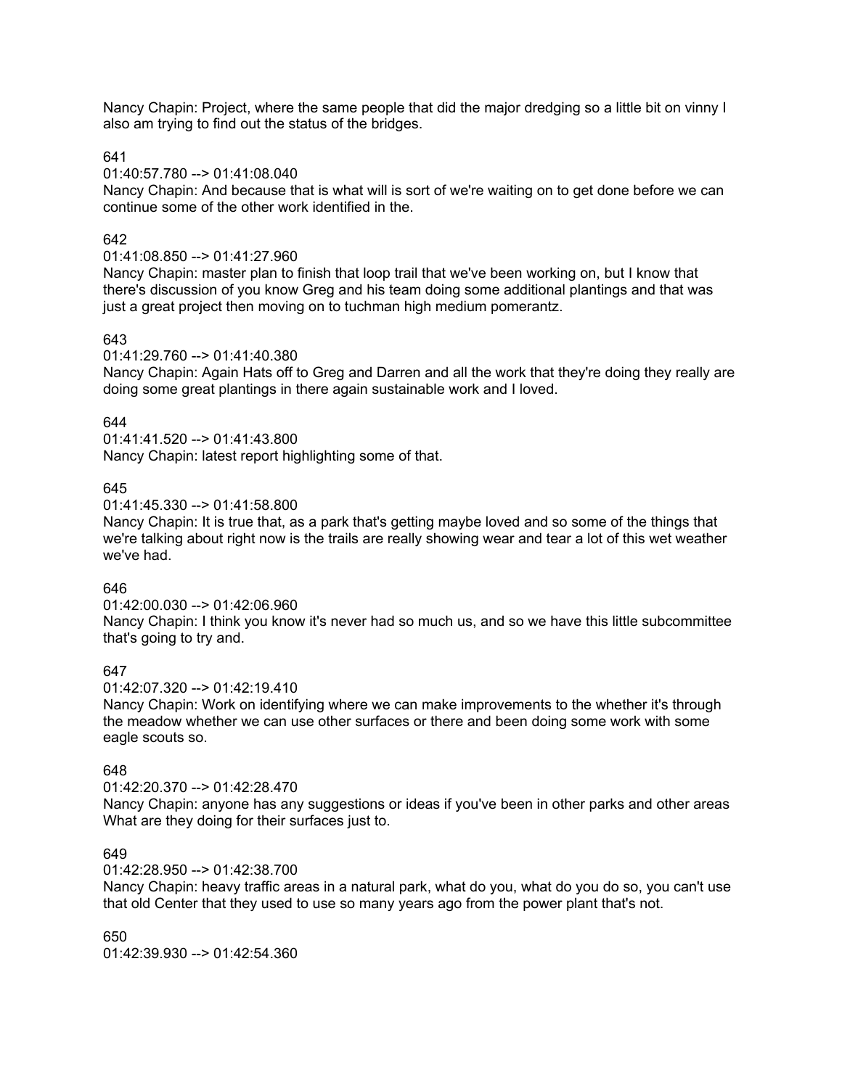Nancy Chapin: Project, where the same people that did the major dredging so a little bit on vinny I also am trying to find out the status of the bridges.

641

#### 01:40:57.780 --> 01:41:08.040

Nancy Chapin: And because that is what will is sort of we're waiting on to get done before we can continue some of the other work identified in the.

## 642

## 01:41:08.850 --> 01:41:27.960

Nancy Chapin: master plan to finish that loop trail that we've been working on, but I know that there's discussion of you know Greg and his team doing some additional plantings and that was just a great project then moving on to tuchman high medium pomerantz.

## 643

01:41:29.760 --> 01:41:40.380

Nancy Chapin: Again Hats off to Greg and Darren and all the work that they're doing they really are doing some great plantings in there again sustainable work and I loved.

## 644

01:41:41.520 --> 01:41:43.800 Nancy Chapin: latest report highlighting some of that.

## 645

01:41:45.330 --> 01:41:58.800

Nancy Chapin: It is true that, as a park that's getting maybe loved and so some of the things that we're talking about right now is the trails are really showing wear and tear a lot of this wet weather we've had.

## 646

01:42:00.030 --> 01:42:06.960

Nancy Chapin: I think you know it's never had so much us, and so we have this little subcommittee that's going to try and.

## 647

01:42:07.320 --> 01:42:19.410

Nancy Chapin: Work on identifying where we can make improvements to the whether it's through the meadow whether we can use other surfaces or there and been doing some work with some eagle scouts so.

## 648

01:42:20.370 --> 01:42:28.470

Nancy Chapin: anyone has any suggestions or ideas if you've been in other parks and other areas What are they doing for their surfaces just to.

### 649

01:42:28.950 --> 01:42:38.700

Nancy Chapin: heavy traffic areas in a natural park, what do you, what do you do so, you can't use that old Center that they used to use so many years ago from the power plant that's not.

650 01:42:39.930 --> 01:42:54.360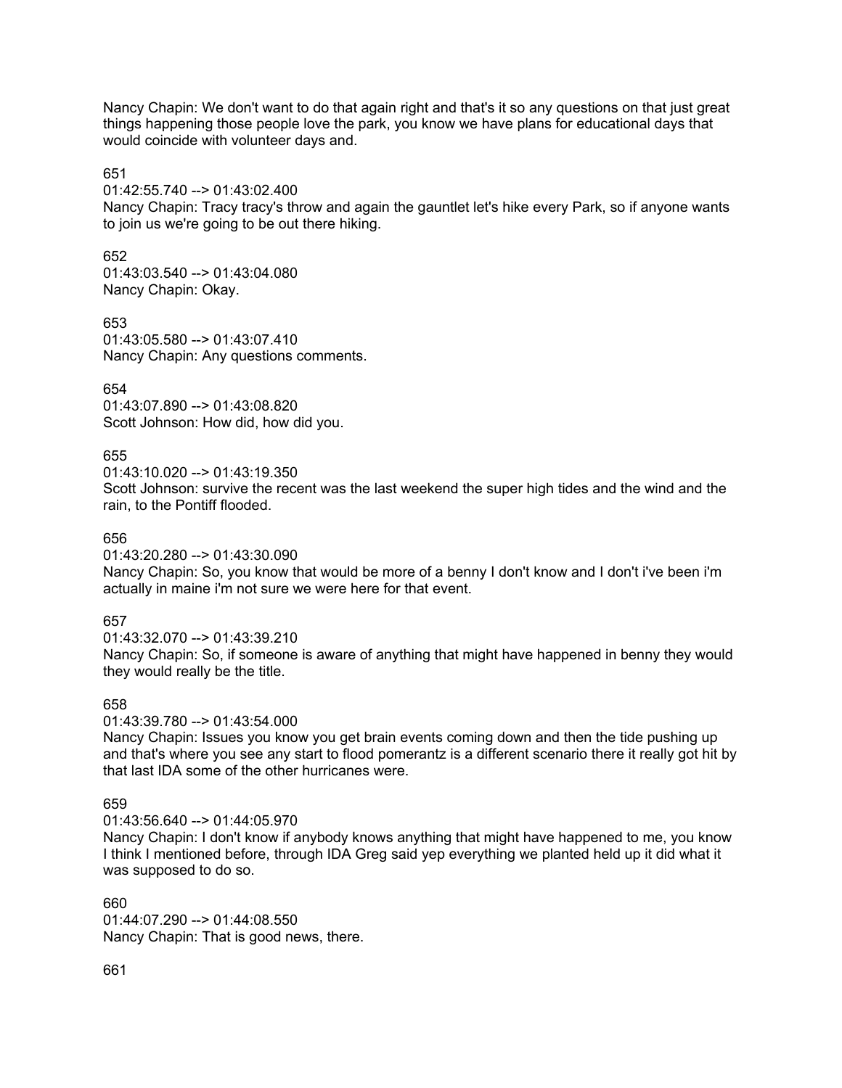Nancy Chapin: We don't want to do that again right and that's it so any questions on that just great things happening those people love the park, you know we have plans for educational days that would coincide with volunteer days and.

#### 651

01:42:55.740 --> 01:43:02.400

Nancy Chapin: Tracy tracy's throw and again the gauntlet let's hike every Park, so if anyone wants to join us we're going to be out there hiking.

652

01:43:03.540 --> 01:43:04.080 Nancy Chapin: Okay.

653 01:43:05.580 --> 01:43:07.410 Nancy Chapin: Any questions comments.

# 654

01:43:07.890 --> 01:43:08.820 Scott Johnson: How did, how did you.

# 655

 $01:43:10.020 \rightarrow 01:43:19.350$ 

Scott Johnson: survive the recent was the last weekend the super high tides and the wind and the rain, to the Pontiff flooded.

## 656

01:43:20.280 --> 01:43:30.090

Nancy Chapin: So, you know that would be more of a benny I don't know and I don't i've been i'm actually in maine i'm not sure we were here for that event.

# 657

 $01:43:32.070 \rightarrow 01:43:39.210$ Nancy Chapin: So, if someone is aware of anything that might have happened in benny they would they would really be the title.

# 658

01:43:39.780 --> 01:43:54.000 Nancy Chapin: Issues you know you get brain events coming down and then the tide pushing up and that's where you see any start to flood pomerantz is a different scenario there it really got hit by that last IDA some of the other hurricanes were.

## 659

01:43:56.640 --> 01:44:05.970

Nancy Chapin: I don't know if anybody knows anything that might have happened to me, you know I think I mentioned before, through IDA Greg said yep everything we planted held up it did what it was supposed to do so.

660 01:44:07.290 --> 01:44:08.550 Nancy Chapin: That is good news, there.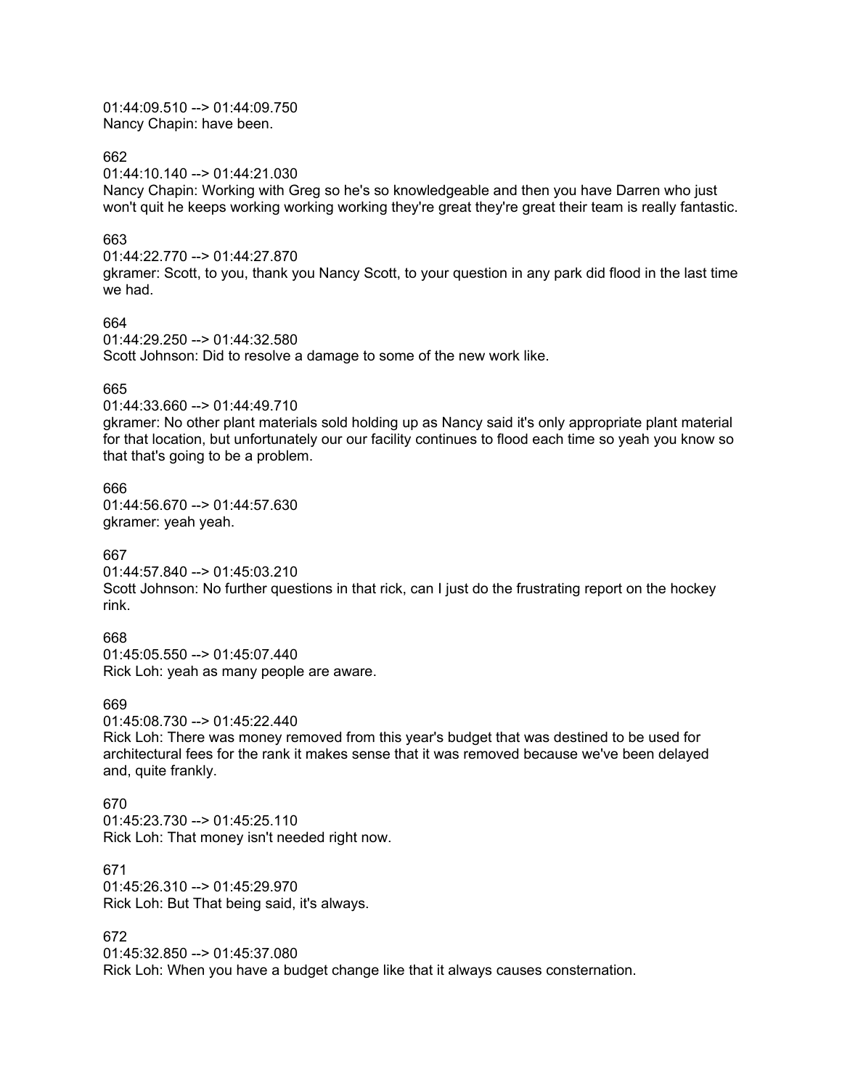01:44:09.510 --> 01:44:09.750 Nancy Chapin: have been.

662

01:44:10.140 --> 01:44:21.030

Nancy Chapin: Working with Greg so he's so knowledgeable and then you have Darren who just won't quit he keeps working working working they're great they're great their team is really fantastic.

#### 663

01:44:22.770 --> 01:44:27.870 gkramer: Scott, to you, thank you Nancy Scott, to your question in any park did flood in the last time we had.

## 664

01:44:29.250 --> 01:44:32.580 Scott Johnson: Did to resolve a damage to some of the new work like.

## 665

01:44:33.660 --> 01:44:49.710

gkramer: No other plant materials sold holding up as Nancy said it's only appropriate plant material for that location, but unfortunately our our facility continues to flood each time so yeah you know so that that's going to be a problem.

#### 666

01:44:56.670 --> 01:44:57.630 gkramer: yeah yeah.

## 667

01:44:57.840 --> 01:45:03.210 Scott Johnson: No further questions in that rick, can I just do the frustrating report on the hockey rink.

## 668

01:45:05.550 --> 01:45:07.440 Rick Loh: yeah as many people are aware.

#### 669

01:45:08.730 --> 01:45:22.440 Rick Loh: There was money removed from this year's budget that was destined to be used for architectural fees for the rank it makes sense that it was removed because we've been delayed and, quite frankly.

## 670

 $01:45:23.730 \rightarrow 01:45:25.110$ Rick Loh: That money isn't needed right now.

### 671

01:45:26.310 --> 01:45:29.970 Rick Loh: But That being said, it's always.

## 672

01:45:32.850 --> 01:45:37.080 Rick Loh: When you have a budget change like that it always causes consternation.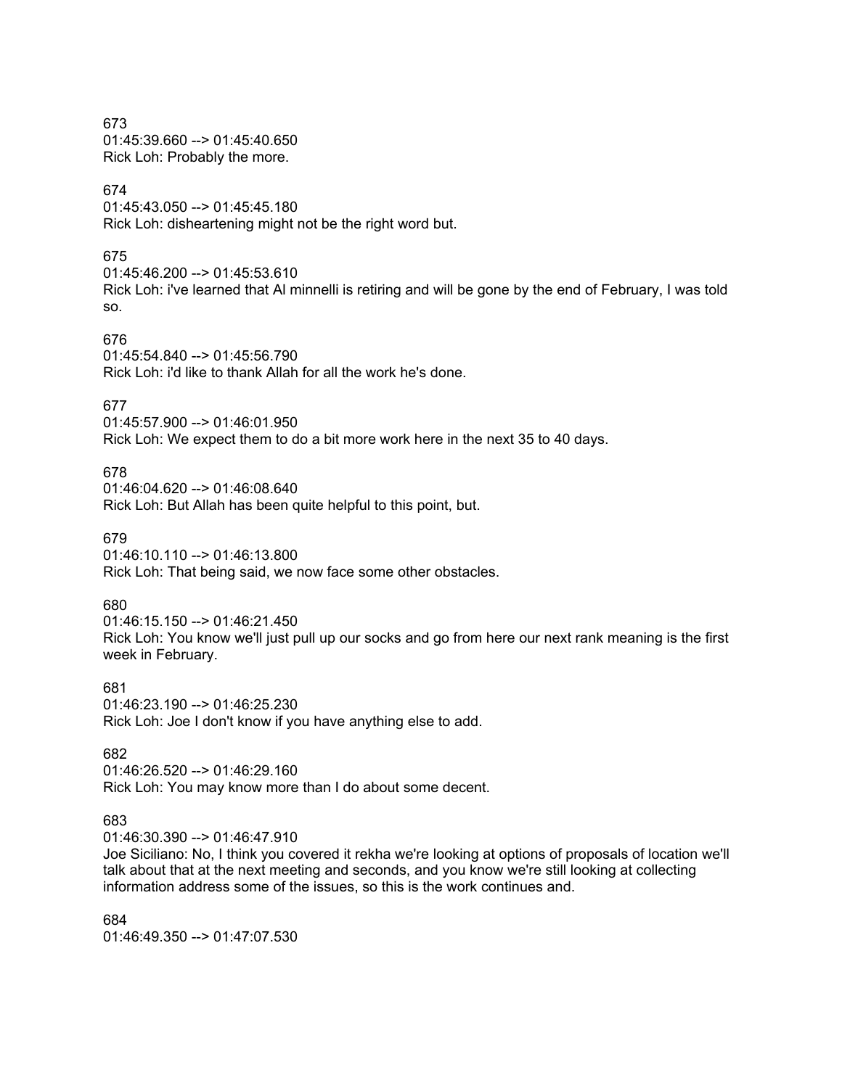673 01:45:39.660 --> 01:45:40.650 Rick Loh: Probably the more.

# 674

01:45:43.050 --> 01:45:45.180 Rick Loh: disheartening might not be the right word but.

#### 675

01:45:46.200 --> 01:45:53.610 Rick Loh: i've learned that Al minnelli is retiring and will be gone by the end of February, I was told so.

## 676

01:45:54.840 --> 01:45:56.790 Rick Loh: i'd like to thank Allah for all the work he's done.

## 677

01:45:57.900 --> 01:46:01.950 Rick Loh: We expect them to do a bit more work here in the next 35 to 40 days.

#### 678

01:46:04.620 --> 01:46:08.640 Rick Loh: But Allah has been quite helpful to this point, but.

## 679

01:46:10.110 --> 01:46:13.800 Rick Loh: That being said, we now face some other obstacles.

#### 680

01:46:15.150 --> 01:46:21.450 Rick Loh: You know we'll just pull up our socks and go from here our next rank meaning is the first week in February.

681 01:46:23.190 --> 01:46:25.230 Rick Loh: Joe I don't know if you have anything else to add.

#### 682

01:46:26.520 --> 01:46:29.160 Rick Loh: You may know more than I do about some decent.

### 683

01:46:30.390 --> 01:46:47.910

Joe Siciliano: No, I think you covered it rekha we're looking at options of proposals of location we'll talk about that at the next meeting and seconds, and you know we're still looking at collecting information address some of the issues, so this is the work continues and.

684 01:46:49.350 --> 01:47:07.530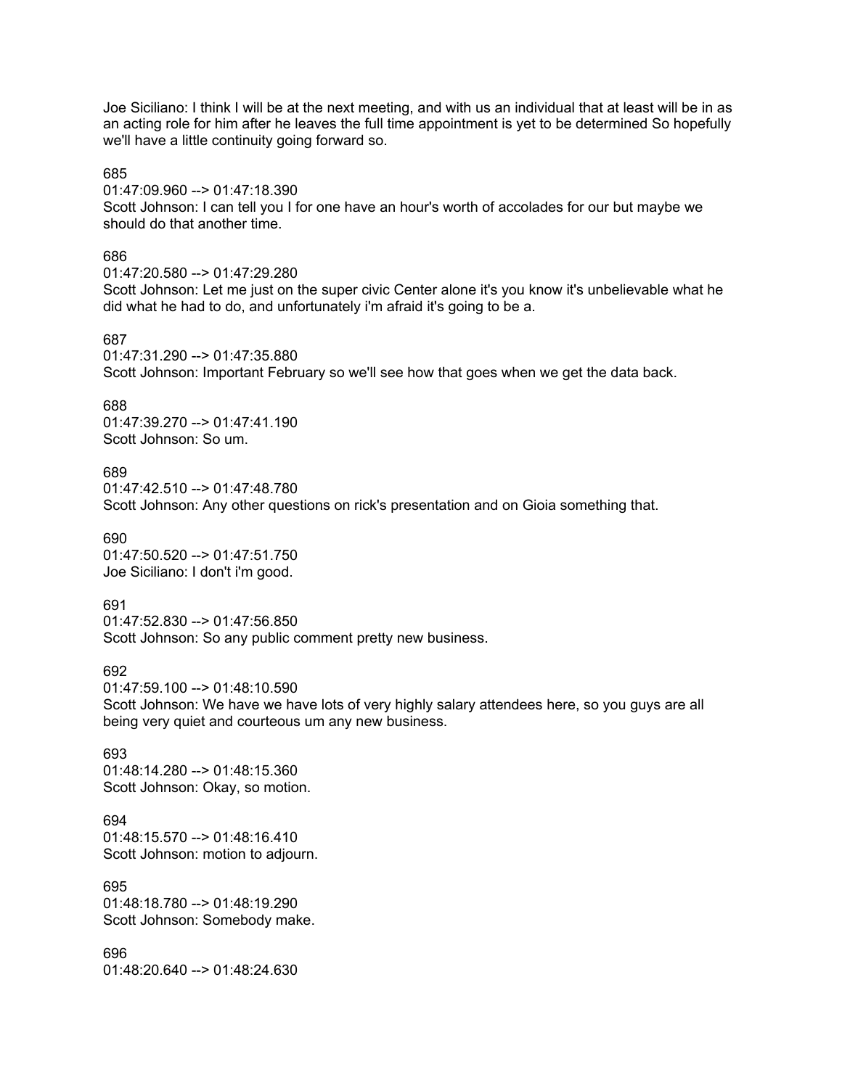Joe Siciliano: I think I will be at the next meeting, and with us an individual that at least will be in as an acting role for him after he leaves the full time appointment is yet to be determined So hopefully we'll have a little continuity going forward so.

#### 685

01:47:09.960 --> 01:47:18.390

Scott Johnson: I can tell you I for one have an hour's worth of accolades for our but maybe we should do that another time.

#### 686

01:47:20.580 --> 01:47:29.280 Scott Johnson: Let me just on the super civic Center alone it's you know it's unbelievable what he did what he had to do, and unfortunately i'm afraid it's going to be a.

## 687

01:47:31.290 --> 01:47:35.880 Scott Johnson: Important February so we'll see how that goes when we get the data back.

#### 688

01:47:39.270 --> 01:47:41.190 Scott Johnson: So um.

#### 689

01:47:42.510 --> 01:47:48.780 Scott Johnson: Any other questions on rick's presentation and on Gioia something that.

690 01:47:50.520 --> 01:47:51.750 Joe Siciliano: I don't i'm good.

691

01:47:52.830 --> 01:47:56.850 Scott Johnson: So any public comment pretty new business.

692

01:47:59.100 --> 01:48:10.590

Scott Johnson: We have we have lots of very highly salary attendees here, so you guys are all being very quiet and courteous um any new business.

693 01:48:14.280 --> 01:48:15.360 Scott Johnson: Okay, so motion.

694 01:48:15.570 --> 01:48:16.410 Scott Johnson: motion to adjourn.

695 01:48:18.780 --> 01:48:19.290 Scott Johnson: Somebody make.

696 01:48:20.640 --> 01:48:24.630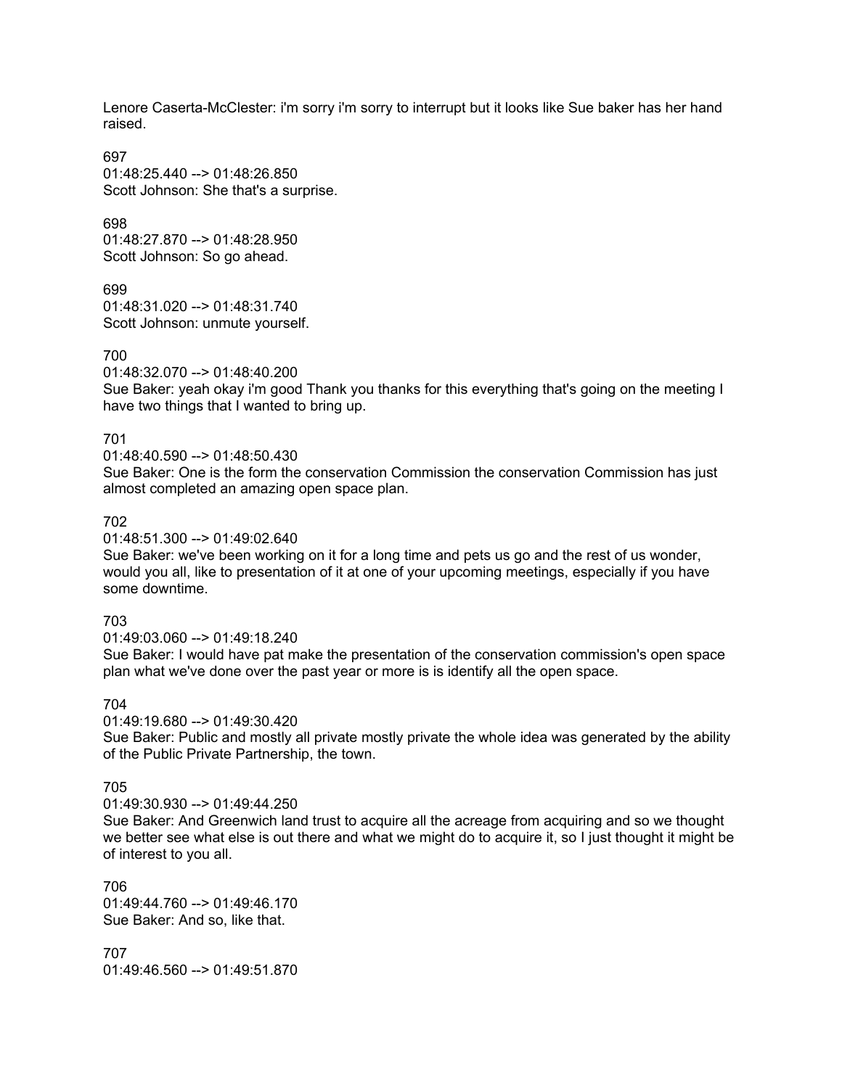Lenore Caserta-McClester: i'm sorry i'm sorry to interrupt but it looks like Sue baker has her hand raised.

697 01:48:25.440 --> 01:48:26.850 Scott Johnson: She that's a surprise.

698 01:48:27.870 --> 01:48:28.950 Scott Johnson: So go ahead.

699  $01:48:31.020 \rightarrow 01:48:31.740$ Scott Johnson: unmute yourself.

700

01:48:32.070 --> 01:48:40.200

Sue Baker: yeah okay i'm good Thank you thanks for this everything that's going on the meeting I have two things that I wanted to bring up.

701

01:48:40.590 --> 01:48:50.430

Sue Baker: One is the form the conservation Commission the conservation Commission has just almost completed an amazing open space plan.

## 702

01:48:51.300 --> 01:49:02.640

Sue Baker: we've been working on it for a long time and pets us go and the rest of us wonder, would you all, like to presentation of it at one of your upcoming meetings, especially if you have some downtime.

## 703

 $01:49:03.060 \rightarrow 01:49:18.240$ 

Sue Baker: I would have pat make the presentation of the conservation commission's open space plan what we've done over the past year or more is is identify all the open space.

## 704

01:49:19.680 --> 01:49:30.420 Sue Baker: Public and mostly all private mostly private the whole idea was generated by the ability of the Public Private Partnership, the town.

## 705

01:49:30.930 --> 01:49:44.250

Sue Baker: And Greenwich land trust to acquire all the acreage from acquiring and so we thought we better see what else is out there and what we might do to acquire it, so I just thought it might be of interest to you all.

706 01:49:44.760 --> 01:49:46.170 Sue Baker: And so, like that.

707 01:49:46.560 --> 01:49:51.870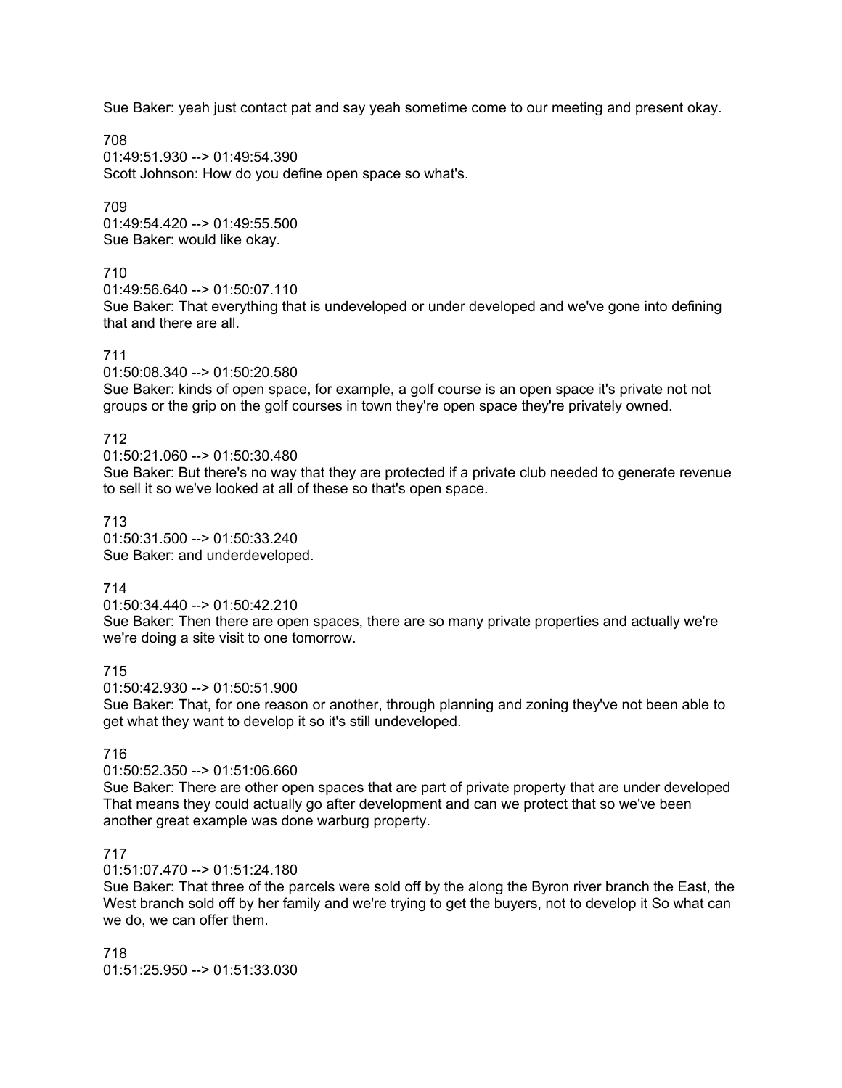Sue Baker: yeah just contact pat and say yeah sometime come to our meeting and present okay.

708  $01.49.51.930 - \ge 01.49.54.390$ Scott Johnson: How do you define open space so what's.

709 01:49:54.420 --> 01:49:55.500 Sue Baker: would like okay.

## 710

01:49:56.640 --> 01:50:07.110

Sue Baker: That everything that is undeveloped or under developed and we've gone into defining that and there are all.

## 711

01:50:08.340 --> 01:50:20.580

Sue Baker: kinds of open space, for example, a golf course is an open space it's private not not groups or the grip on the golf courses in town they're open space they're privately owned.

## 712

01:50:21.060 --> 01:50:30.480

Sue Baker: But there's no way that they are protected if a private club needed to generate revenue to sell it so we've looked at all of these so that's open space.

## 713

01:50:31.500 --> 01:50:33.240 Sue Baker: and underdeveloped.

## 714

01:50:34.440 --> 01:50:42.210

Sue Baker: Then there are open spaces, there are so many private properties and actually we're we're doing a site visit to one tomorrow.

715

01:50:42.930 --> 01:50:51.900

Sue Baker: That, for one reason or another, through planning and zoning they've not been able to get what they want to develop it so it's still undeveloped.

## 716

#### 01:50:52.350 --> 01:51:06.660

Sue Baker: There are other open spaces that are part of private property that are under developed That means they could actually go after development and can we protect that so we've been another great example was done warburg property.

#### 717

01:51:07.470 --> 01:51:24.180

Sue Baker: That three of the parcels were sold off by the along the Byron river branch the East, the West branch sold off by her family and we're trying to get the buyers, not to develop it So what can we do, we can offer them.

718 01:51:25.950 --> 01:51:33.030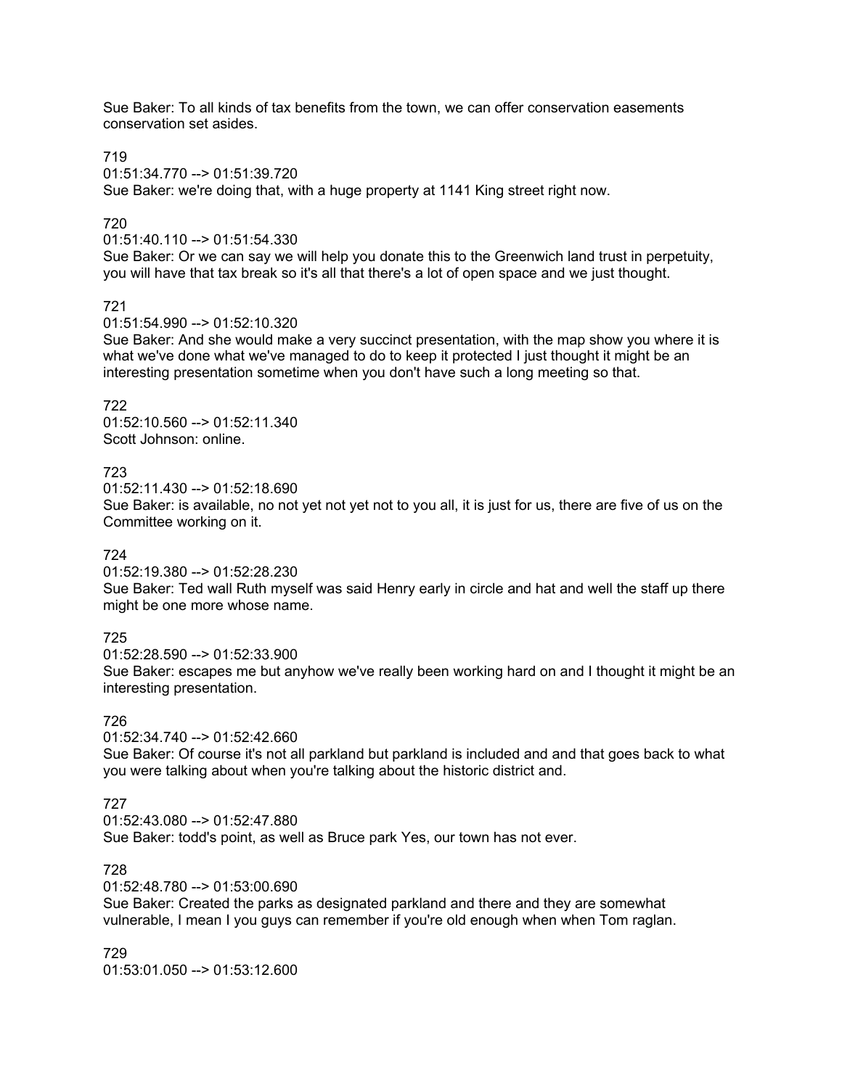Sue Baker: To all kinds of tax benefits from the town, we can offer conservation easements conservation set asides.

#### 719

01:51:34.770 --> 01:51:39.720 Sue Baker: we're doing that, with a huge property at 1141 King street right now.

# 720

01:51:40.110 --> 01:51:54.330

Sue Baker: Or we can say we will help you donate this to the Greenwich land trust in perpetuity, you will have that tax break so it's all that there's a lot of open space and we just thought.

## 721

01:51:54.990 --> 01:52:10.320

Sue Baker: And she would make a very succinct presentation, with the map show you where it is what we've done what we've managed to do to keep it protected I just thought it might be an interesting presentation sometime when you don't have such a long meeting so that.

# 722

01:52:10.560 --> 01:52:11.340 Scott Johnson: online.

## 723

01:52:11.430 --> 01:52:18.690

Sue Baker: is available, no not yet not yet not to you all, it is just for us, there are five of us on the Committee working on it.

#### 724

01:52:19.380 --> 01:52:28.230

Sue Baker: Ted wall Ruth myself was said Henry early in circle and hat and well the staff up there might be one more whose name.

## 725

01:52:28.590 --> 01:52:33.900 Sue Baker: escapes me but anyhow we've really been working hard on and I thought it might be an interesting presentation.

## 726

01:52:34.740 --> 01:52:42.660

Sue Baker: Of course it's not all parkland but parkland is included and and that goes back to what you were talking about when you're talking about the historic district and.

## 727

 $01:52:43.080 \rightarrow 01:52:47.880$ 

Sue Baker: todd's point, as well as Bruce park Yes, our town has not ever.

## 728

01:52:48.780 --> 01:53:00.690

Sue Baker: Created the parks as designated parkland and there and they are somewhat vulnerable, I mean I you guys can remember if you're old enough when when Tom raglan.

729 01:53:01.050 --> 01:53:12.600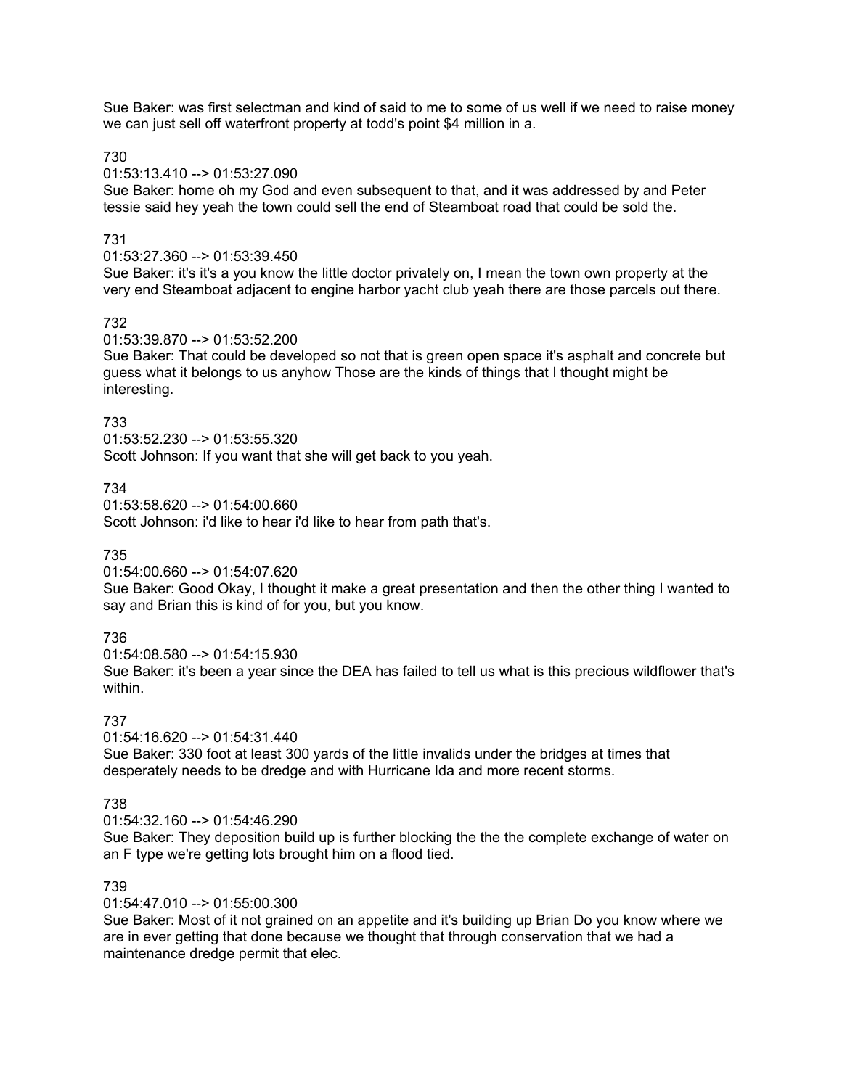Sue Baker: was first selectman and kind of said to me to some of us well if we need to raise money we can just sell off waterfront property at todd's point \$4 million in a.

730

01:53:13.410 --> 01:53:27.090

Sue Baker: home oh my God and even subsequent to that, and it was addressed by and Peter tessie said hey yeah the town could sell the end of Steamboat road that could be sold the.

## 731

01:53:27.360 --> 01:53:39.450

Sue Baker: it's it's a you know the little doctor privately on, I mean the town own property at the very end Steamboat adjacent to engine harbor yacht club yeah there are those parcels out there.

## 732

01:53:39.870 --> 01:53:52.200

Sue Baker: That could be developed so not that is green open space it's asphalt and concrete but guess what it belongs to us anyhow Those are the kinds of things that I thought might be interesting.

#### 733

01:53:52.230 --> 01:53:55.320 Scott Johnson: If you want that she will get back to you yeah.

734

01:53:58.620 --> 01:54:00.660 Scott Johnson: i'd like to hear i'd like to hear from path that's.

#### 735

01:54:00.660 --> 01:54:07.620

Sue Baker: Good Okay, I thought it make a great presentation and then the other thing I wanted to say and Brian this is kind of for you, but you know.

## 736

01:54:08.580 --> 01:54:15.930 Sue Baker: it's been a year since the DEA has failed to tell us what is this precious wildflower that's within.

#### 737

01:54:16.620 --> 01:54:31.440 Sue Baker: 330 foot at least 300 yards of the little invalids under the bridges at times that desperately needs to be dredge and with Hurricane Ida and more recent storms.

#### 738

 $01:54:32.160 \rightarrow 01:54:46.290$ 

Sue Baker: They deposition build up is further blocking the the the complete exchange of water on an F type we're getting lots brought him on a flood tied.

# 739

01:54:47.010 --> 01:55:00.300

Sue Baker: Most of it not grained on an appetite and it's building up Brian Do you know where we are in ever getting that done because we thought that through conservation that we had a maintenance dredge permit that elec.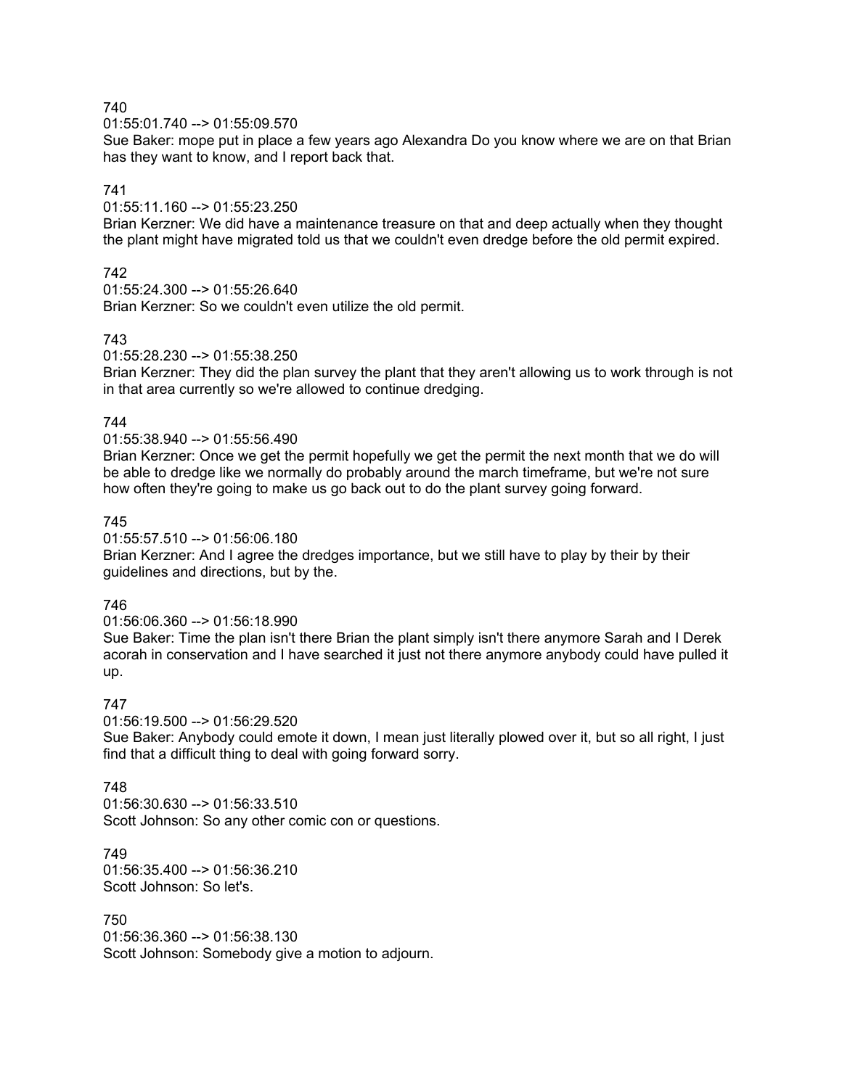$01:55:01.740 \rightarrow 01:55:09.570$ 

Sue Baker: mope put in place a few years ago Alexandra Do you know where we are on that Brian has they want to know, and I report back that.

# 741

01:55:11.160 --> 01:55:23.250

Brian Kerzner: We did have a maintenance treasure on that and deep actually when they thought the plant might have migrated told us that we couldn't even dredge before the old permit expired.

## 742

01:55:24.300 --> 01:55:26.640 Brian Kerzner: So we couldn't even utilize the old permit.

## 743

01:55:28.230 --> 01:55:38.250

Brian Kerzner: They did the plan survey the plant that they aren't allowing us to work through is not in that area currently so we're allowed to continue dredging.

## 744

01:55:38.940 --> 01:55:56.490

Brian Kerzner: Once we get the permit hopefully we get the permit the next month that we do will be able to dredge like we normally do probably around the march timeframe, but we're not sure how often they're going to make us go back out to do the plant survey going forward.

## 745

01:55:57.510 --> 01:56:06.180

Brian Kerzner: And I agree the dredges importance, but we still have to play by their by their guidelines and directions, but by the.

#### 746

01:56:06.360 --> 01:56:18.990

Sue Baker: Time the plan isn't there Brian the plant simply isn't there anymore Sarah and I Derek acorah in conservation and I have searched it just not there anymore anybody could have pulled it up.

## 747

01:56:19.500 --> 01:56:29.520

Sue Baker: Anybody could emote it down, I mean just literally plowed over it, but so all right, I just find that a difficult thing to deal with going forward sorry.

#### 748

01:56:30.630 --> 01:56:33.510 Scott Johnson: So any other comic con or questions.

749 01:56:35.400 --> 01:56:36.210 Scott Johnson: So let's.

750 01:56:36.360 --> 01:56:38.130 Scott Johnson: Somebody give a motion to adjourn.